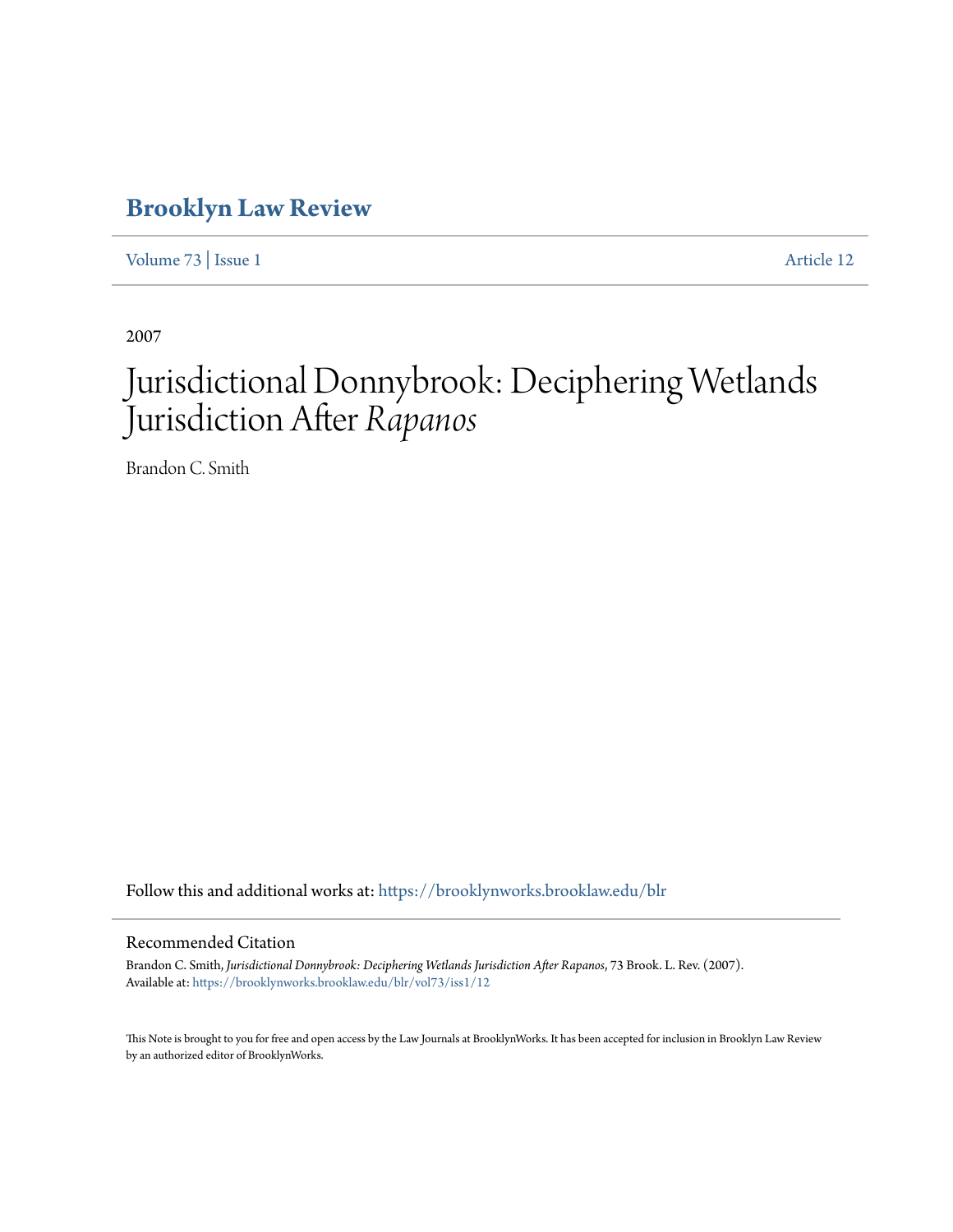# **[Brooklyn Law Review](https://brooklynworks.brooklaw.edu/blr?utm_source=brooklynworks.brooklaw.edu%2Fblr%2Fvol73%2Fiss1%2F12&utm_medium=PDF&utm_campaign=PDFCoverPages)**

[Volume 73](https://brooklynworks.brooklaw.edu/blr/vol73?utm_source=brooklynworks.brooklaw.edu%2Fblr%2Fvol73%2Fiss1%2F12&utm_medium=PDF&utm_campaign=PDFCoverPages) | [Issue 1](https://brooklynworks.brooklaw.edu/blr/vol73/iss1?utm_source=brooklynworks.brooklaw.edu%2Fblr%2Fvol73%2Fiss1%2F12&utm_medium=PDF&utm_campaign=PDFCoverPages) [Article 12](https://brooklynworks.brooklaw.edu/blr/vol73/iss1/12?utm_source=brooklynworks.brooklaw.edu%2Fblr%2Fvol73%2Fiss1%2F12&utm_medium=PDF&utm_campaign=PDFCoverPages)

2007

# Jurisdictional Donnybrook: Deciphering Wetlands Jurisdiction After *Rapanos*

Brandon C. Smith

Follow this and additional works at: [https://brooklynworks.brooklaw.edu/blr](https://brooklynworks.brooklaw.edu/blr?utm_source=brooklynworks.brooklaw.edu%2Fblr%2Fvol73%2Fiss1%2F12&utm_medium=PDF&utm_campaign=PDFCoverPages)

#### Recommended Citation

Brandon C. Smith, *Jurisdictional Donnybrook: Deciphering Wetlands Jurisdiction After Rapanos*, 73 Brook. L. Rev. (2007). Available at: [https://brooklynworks.brooklaw.edu/blr/vol73/iss1/12](https://brooklynworks.brooklaw.edu/blr/vol73/iss1/12?utm_source=brooklynworks.brooklaw.edu%2Fblr%2Fvol73%2Fiss1%2F12&utm_medium=PDF&utm_campaign=PDFCoverPages)

This Note is brought to you for free and open access by the Law Journals at BrooklynWorks. It has been accepted for inclusion in Brooklyn Law Review by an authorized editor of BrooklynWorks.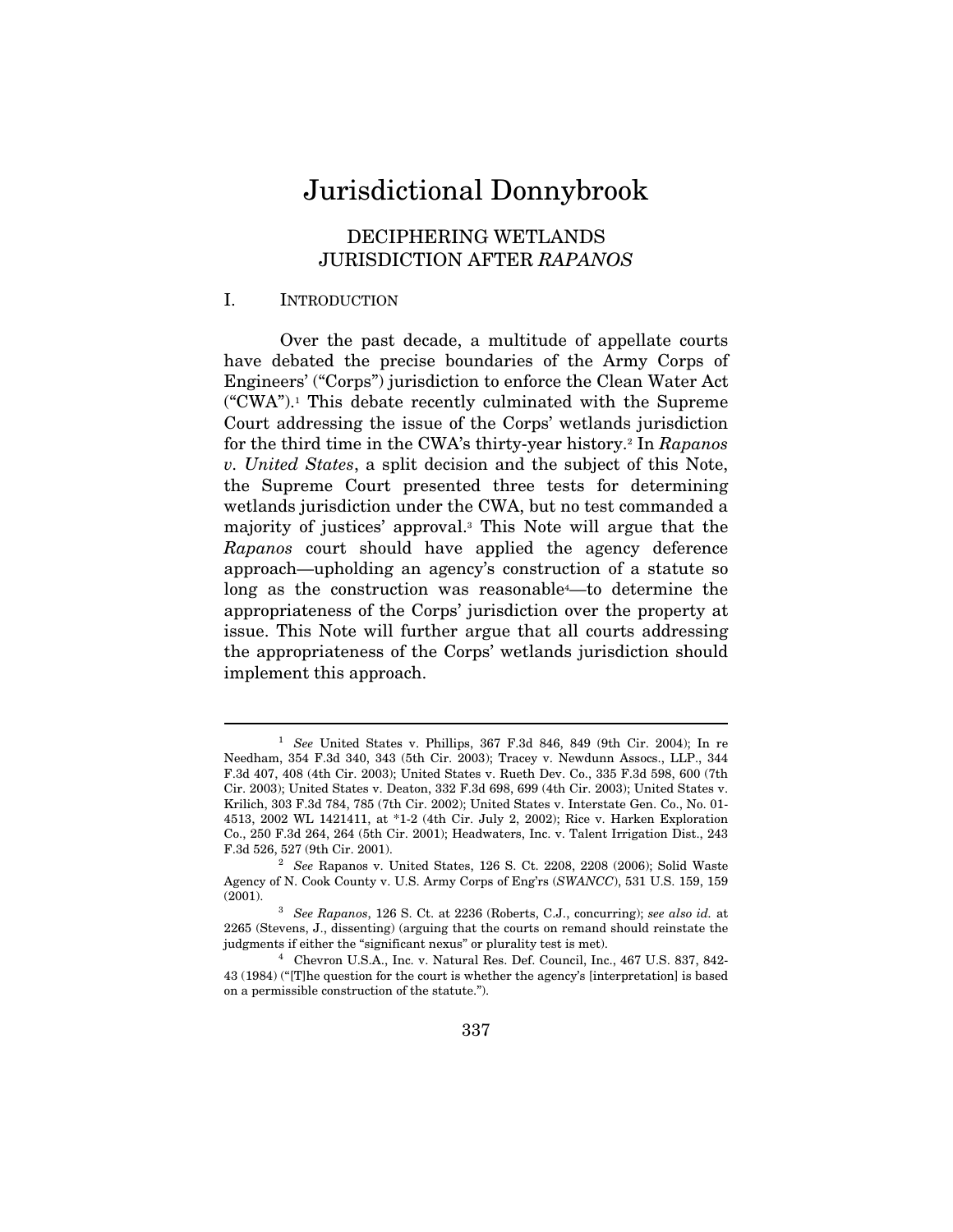# Jurisdictional Donnybrook

# DECIPHERING WETLANDS JURISDICTION AFTER RAPANOS

## I. INTRODUCTION

 $\overline{a}$ 

Over the past decade, a multitude of appellate courts have debated the precise boundaries of the Army Corps of Engineers' ("Corps") jurisdiction to enforce the Clean Water Act  $({}^{\omega}$ CWA").<sup>1</sup> This debate recently culminated with the Supreme Court addressing the issue of the Corps' wetlands jurisdiction for the third time in the CWA's thirty-year history.2 In Rapanos v. United States, a split decision and the subject of this Note, the Supreme Court presented three tests for determining wetlands jurisdiction under the CWA, but no test commanded a majority of justices' approval.3 This Note will argue that the Rapanos court should have applied the agency deference approach—upholding an agency's construction of a statute so long as the construction was reasonable<sup>4</sup>—to determine the appropriateness of the Corps' jurisdiction over the property at issue. This Note will further argue that all courts addressing the appropriateness of the Corps' wetlands jurisdiction should implement this approach.

 $1$  See United States v. Phillips, 367 F.3d 846, 849 (9th Cir. 2004); In re Needham, 354 F.3d 340, 343 (5th Cir. 2003); Tracey v. Newdunn Assocs., LLP., 344 F.3d 407, 408 (4th Cir. 2003); United States v. Rueth Dev. Co., 335 F.3d 598, 600 (7th Cir. 2003); United States v. Deaton, 332 F.3d 698, 699 (4th Cir. 2003); United States v. Krilich, 303 F.3d 784, 785 (7th Cir. 2002); United States v. Interstate Gen. Co., No. 01- 4513, 2002 WL 1421411, at \*1-2 (4th Cir. July 2, 2002); Rice v. Harken Exploration Co., 250 F.3d 264, 264 (5th Cir. 2001); Headwaters, Inc. v. Talent Irrigation Dist., 243 F.3d 526, 527 (9th Cir. 2001). 2 See Rapanos v. United States, 126 S. Ct. 2208, 2208 (2006); Solid Waste

Agency of N. Cook County v. U.S. Army Corps of Eng'rs  $(SWANCC)$ , 531 U.S. 159, 159 $(2001)$ .

 $3$  See Rapanos, 126 S. Ct. at 2236 (Roberts, C.J., concurring); see also id. at 2265 (Stevens, J., dissenting) (arguing that the courts on remand should reinstate the judgments if either the "significant nexus" or plurality test is met). 4 Chevron U.S.A., Inc. v. Natural Res. Def. Council, Inc., 467 U.S. 837, 842-

<sup>43 (1984) (&</sup>quot;[T]he question for the court is whether the agency's [interpretation] is based on a permissible construction of the statute.").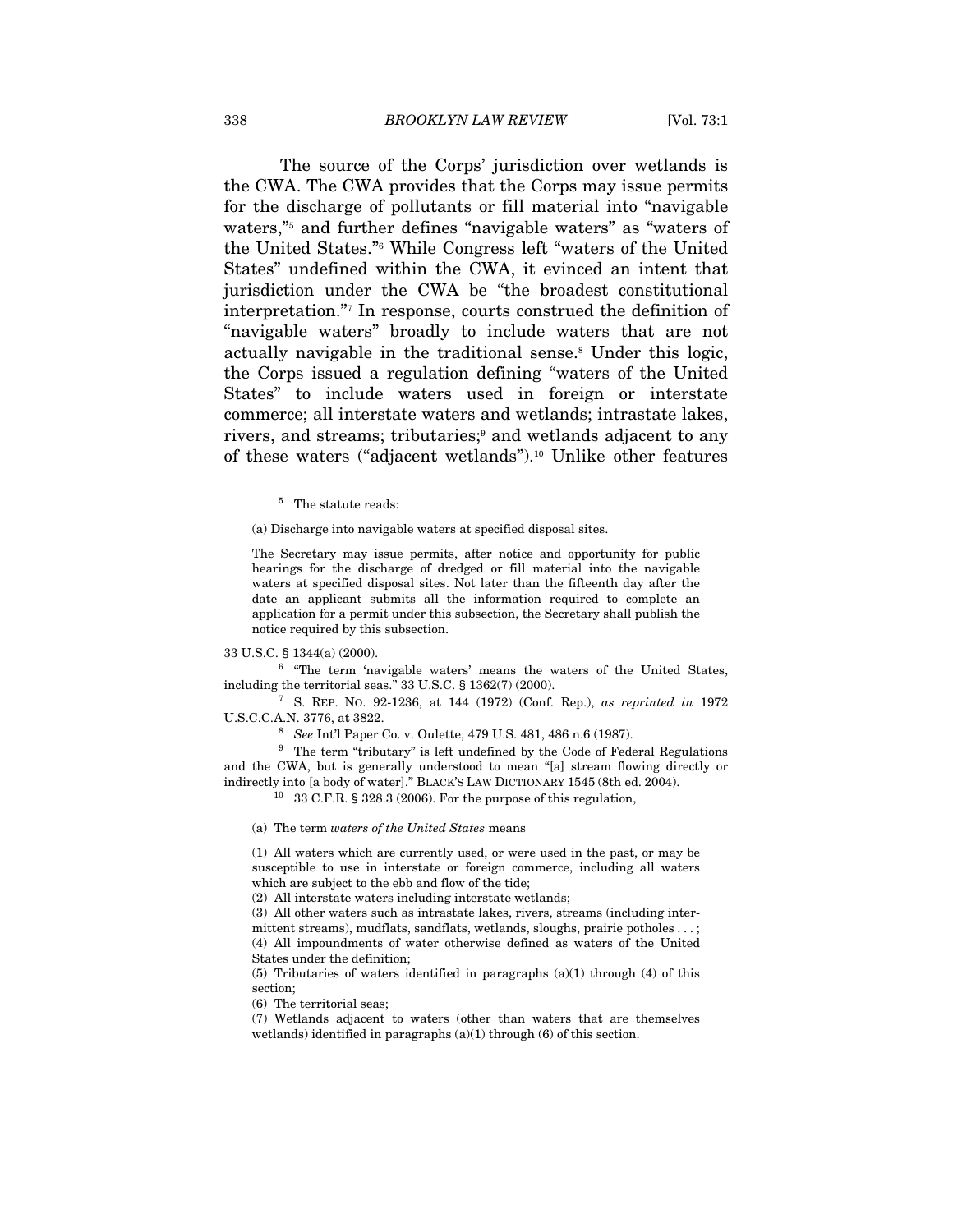The source of the Corps' jurisdiction over wetlands is the CWA. The CWA provides that the Corps may issue permits for the discharge of pollutants or fill material into "navigable waters,"<sup>5</sup> and further defines "navigable waters" as "waters of the United States."6 While Congress left "waters of the United States" undefined within the CWA, it evinced an intent that jurisdiction under the CWA be "the broadest constitutional interpretation."7 In response, courts construed the definition of "navigable waters" broadly to include waters that are not actually navigable in the traditional sense.<sup>8</sup> Under this logic, the Corps issued a regulation defining "waters of the United States" to include waters used in foreign or interstate commerce; all interstate waters and wetlands; intrastate lakes, rivers, and streams; tributaries;<sup>9</sup> and wetlands adjacent to any of these waters ("adjacent wetlands").10 Unlike other features

(a) Discharge into navigable waters at specified disposal sites.

The Secretary may issue permits, after notice and opportunity for public hearings for the discharge of dredged or fill material into the navigable waters at specified disposal sites. Not later than the fifteenth day after the date an applicant submits all the information required to complete an application for a permit under this subsection, the Secretary shall publish the notice required by this subsection.

33 U.S.C. § 1344(a) (2000).  $\frac{6}{5}$  "The term 'navigable waters' means the waters of the United States, including the territorial seas." 33 U.S.C.  $\S$  1362(7) (2000).<br><sup>7</sup> S. REP. NO. 92-1236, at 144 (1972) (Conf. Rep.), as reprinted in 1972

U.S.C.C.A.N. 3776, at 3822.<br><sup>8</sup> See Int'l Paper Co. v. Oulette, 479 U.S. 481, 486 n.6 (1987).<br><sup>9</sup> The term "tributary" is left undefined by the Code of Federal Regulations

and the CWA, but is generally understood to mean "[a] stream flowing directly or indirectly into [a body of water]." BLACK'S LAW DICTIONARY 1545 (8th ed. 2004). <sup>10</sup> 33 C.F.R. § 328.3 (2006). For the purpose of this regulation,

(a) The term waters of the United States means

(1) All waters which are currently used, or were used in the past, or may be susceptible to use in interstate or foreign commerce, including all waters which are subject to the ebb and flow of the tide;

(2) All interstate waters including interstate wetlands;

(3) All other waters such as intrastate lakes, rivers, streams (including intermittent streams), mudflats, sandflats, wetlands, sloughs, prairie potholes . . . ; (4) All impoundments of water otherwise defined as waters of the United States under the definition;

(5) Tributaries of waters identified in paragraphs  $(a)(1)$  through  $(4)$  of this section;

(6) The territorial seas;

(7) Wetlands adjacent to waters (other than waters that are themselves wetlands) identified in paragraphs (a)(1) through (6) of this section.

<sup>5</sup> The statute reads: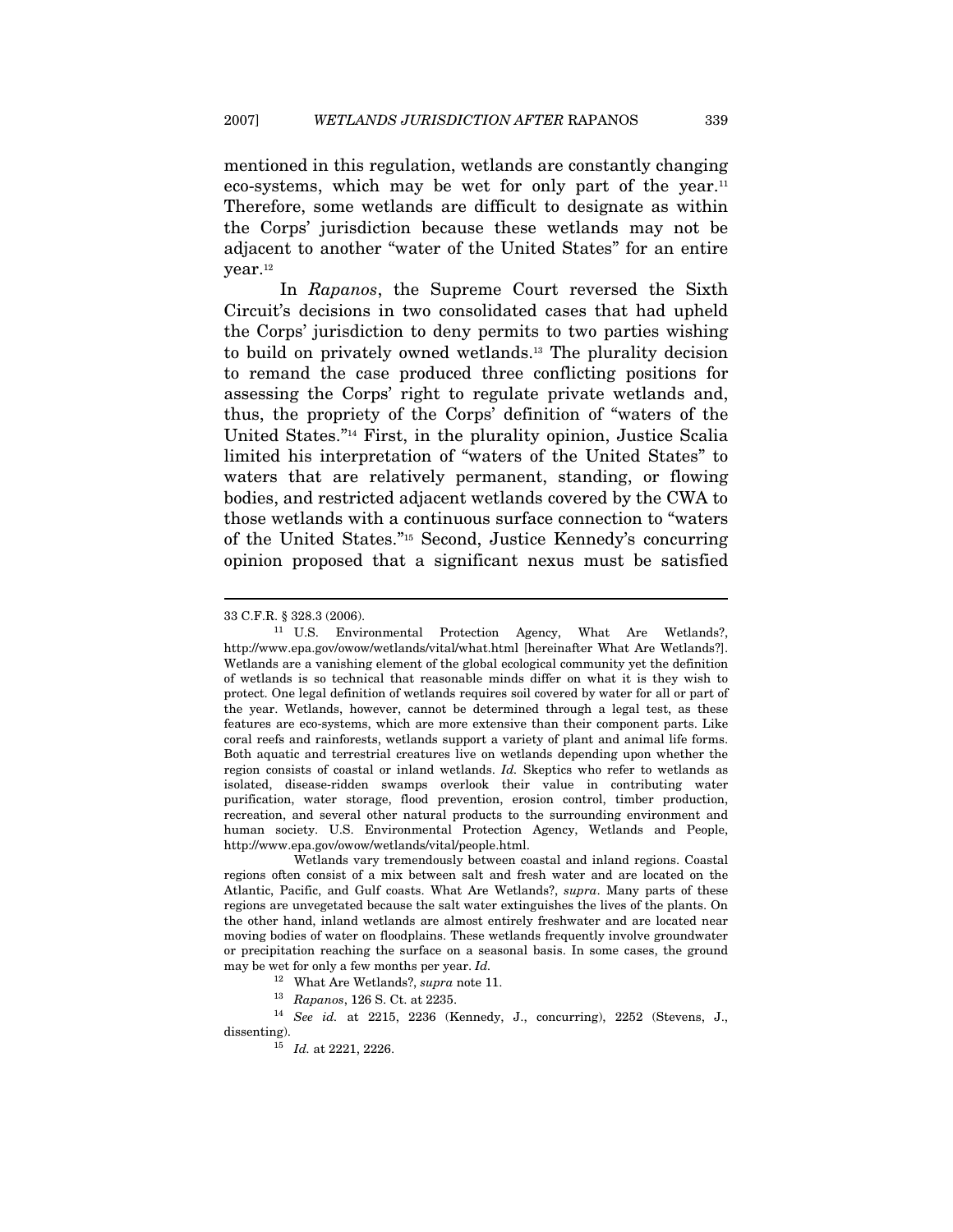mentioned in this regulation, wetlands are constantly changing eco-systems, which may be wet for only part of the year.<sup>11</sup> Therefore, some wetlands are difficult to designate as within the Corps' jurisdiction because these wetlands may not be adjacent to another "water of the United States" for an entire year.<sup>12</sup>

In Rapanos, the Supreme Court reversed the Sixth Circuit's decisions in two consolidated cases that had upheld the Corps' jurisdiction to deny permits to two parties wishing to build on privately owned wetlands.13 The plurality decision to remand the case produced three conflicting positions for assessing the Corps' right to regulate private wetlands and, thus, the propriety of the Corps' definition of "waters of the United States."14 First, in the plurality opinion, Justice Scalia limited his interpretation of "waters of the United States" to waters that are relatively permanent, standing, or flowing bodies, and restricted adjacent wetlands covered by the CWA to those wetlands with a continuous surface connection to "waters of the United States."15 Second, Justice Kennedy's concurring opinion proposed that a significant nexus must be satisfied

<sup>33</sup> C.F.R. § 328.3 (2006).<br><sup>11</sup> U.S. Environmental Protection Agency, What Are Wetlands?, http://www.epa.gov/owow/wetlands/vital/what.html [hereinafter What Are Wetlands?]. Wetlands are a vanishing element of the global ecological community yet the definition of wetlands is so technical that reasonable minds differ on what it is they wish to protect. One legal definition of wetlands requires soil covered by water for all or part of the year. Wetlands, however, cannot be determined through a legal test, as these features are eco-systems, which are more extensive than their component parts. Like coral reefs and rainforests, wetlands support a variety of plant and animal life forms. Both aquatic and terrestrial creatures live on wetlands depending upon whether the region consists of coastal or inland wetlands. Id. Skeptics who refer to wetlands as isolated, disease-ridden swamps overlook their value in contributing water purification, water storage, flood prevention, erosion control, timber production, recreation, and several other natural products to the surrounding environment and human society. U.S. Environmental Protection Agency, Wetlands and People, http://www.epa.gov/owow/wetlands/vital/people.html.

Wetlands vary tremendously between coastal and inland regions. Coastal regions often consist of a mix between salt and fresh water and are located on the Atlantic, Pacific, and Gulf coasts. What Are Wetlands?, supra. Many parts of these regions are unvegetated because the salt water extinguishes the lives of the plants. On the other hand, inland wetlands are almost entirely freshwater and are located near moving bodies of water on floodplains. These wetlands frequently involve groundwater or precipitation reaching the surface on a seasonal basis. In some cases, the ground may be wet for only a few months per year. Id.

 $^\mathrm{12}$  What Are Wetlands?, supra note 11.  $^\mathrm{13}$  Rapanos, 126 S. Ct. at 2235.  $^\mathrm{14}$  See id. at 2215, 2236 (Kennedy, J., concurring), 2252 (Stevens, J., dissenting).

 $15$  Id. at 2221, 2226.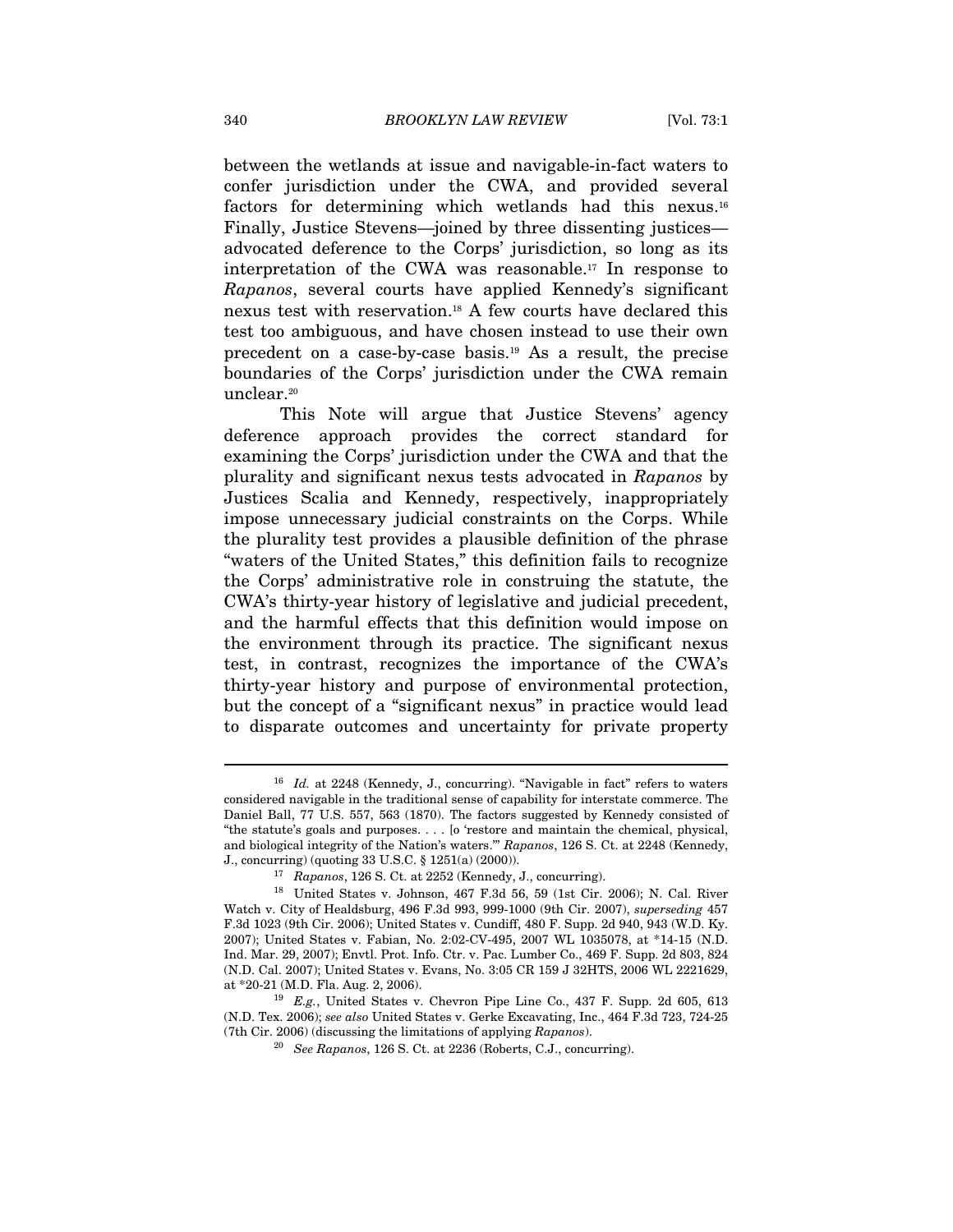between the wetlands at issue and navigable-in-fact waters to confer jurisdiction under the CWA, and provided several factors for determining which wetlands had this nexus.16 Finally, Justice Stevens—joined by three dissenting justices advocated deference to the Corps' jurisdiction, so long as its interpretation of the CWA was reasonable.17 In response to Rapanos, several courts have applied Kennedy's significant nexus test with reservation.18 A few courts have declared this test too ambiguous, and have chosen instead to use their own precedent on a case-by-case basis.19 As a result, the precise boundaries of the Corps' jurisdiction under the CWA remain unclear.20

This Note will argue that Justice Stevens' agency deference approach provides the correct standard for examining the Corps' jurisdiction under the CWA and that the plurality and significant nexus tests advocated in Rapanos by Justices Scalia and Kennedy, respectively, inappropriately impose unnecessary judicial constraints on the Corps. While the plurality test provides a plausible definition of the phrase "waters of the United States," this definition fails to recognize the Corps' administrative role in construing the statute, the CWA's thirty-year history of legislative and judicial precedent, and the harmful effects that this definition would impose on the environment through its practice. The significant nexus test, in contrast, recognizes the importance of the CWA's thirty-year history and purpose of environmental protection, but the concept of a "significant nexus" in practice would lead to disparate outcomes and uncertainty for private property

 $16$  Id. at 2248 (Kennedy, J., concurring). "Navigable in fact" refers to waters considered navigable in the traditional sense of capability for interstate commerce. The Daniel Ball, 77 U.S. 557, 563 (1870). The factors suggested by Kennedy consisted of "the statute's goals and purposes. . . . [o 'restore and maintain the chemical, physical, and biological integrity of the Nation's waters.'" Rapanos, 126 S. Ct. at 2248 (Kennedy, J., concurring) (quoting 33 U.S.C. § 1251(a) (2000)). 17 Rapanos, 126 S. Ct. at 2252 (Kennedy, J., concurring).

<sup>18</sup> United States v. Johnson, 467 F.3d 56, 59 (1st Cir. 2006); N. Cal. River Watch v. City of Healdsburg, 496 F.3d 993, 999-1000 (9th Cir. 2007), superseding 457 F.3d 1023 (9th Cir. 2006); United States v. Cundiff, 480 F. Supp. 2d 940, 943 (W.D. Ky. 2007); United States v. Fabian, No. 2:02-CV-495, 2007 WL 1035078, at \*14-15 (N.D. Ind. Mar. 29, 2007); Envtl. Prot. Info. Ctr. v. Pac. Lumber Co., 469 F. Supp. 2d 803, 824 (N.D. Cal. 2007); United States v. Evans, No. 3:05 CR 159 J 32HTS, 2006 WL 2221629, at \*20-21 (M.D. Fla. Aug. 2, 2006). 19 E.g., United States v. Chevron Pipe Line Co., 437 F. Supp. 2d 605, 613

<sup>(</sup>N.D. Tex. 2006); see also United States v. Gerke Excavating, Inc., 464 F.3d 723, 724-25 (7th Cir. 2006) (discussing the limitations of applying Rapanos). 20 See Rapanos, 126 S. Ct. at 2236 (Roberts, C.J., concurring).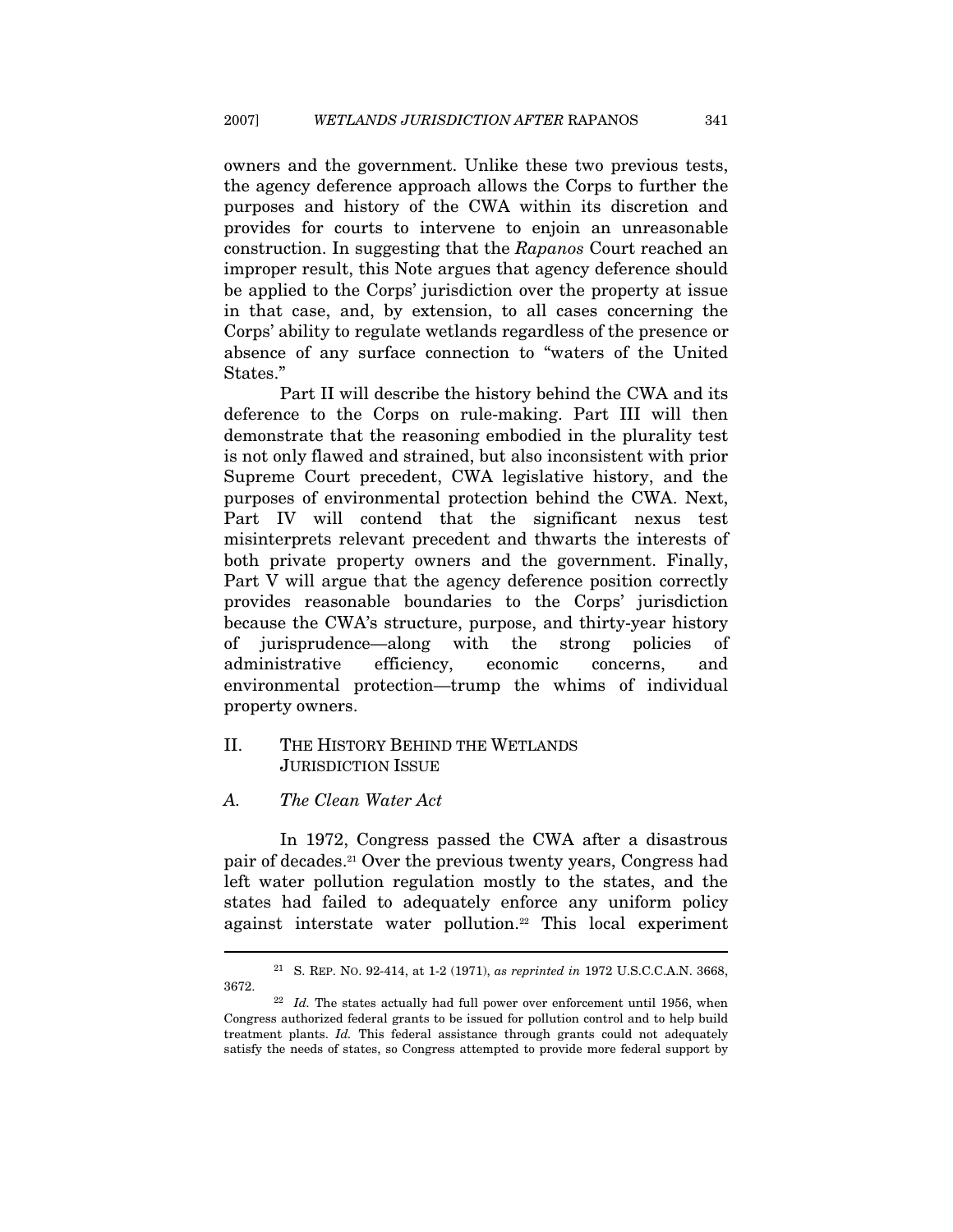owners and the government. Unlike these two previous tests, the agency deference approach allows the Corps to further the purposes and history of the CWA within its discretion and provides for courts to intervene to enjoin an unreasonable construction. In suggesting that the Rapanos Court reached an improper result, this Note argues that agency deference should be applied to the Corps' jurisdiction over the property at issue in that case, and, by extension, to all cases concerning the Corps' ability to regulate wetlands regardless of the presence or absence of any surface connection to "waters of the United States."

Part II will describe the history behind the CWA and its deference to the Corps on rule-making. Part III will then demonstrate that the reasoning embodied in the plurality test is not only flawed and strained, but also inconsistent with prior Supreme Court precedent, CWA legislative history, and the purposes of environmental protection behind the CWA. Next, Part IV will contend that the significant nexus test misinterprets relevant precedent and thwarts the interests of both private property owners and the government. Finally, Part V will argue that the agency deference position correctly provides reasonable boundaries to the Corps' jurisdiction because the CWA's structure, purpose, and thirty-year history of jurisprudence—along with the strong policies of administrative efficiency, economic concerns, and environmental protection—trump the whims of individual property owners.

# II. THE HISTORY BEHIND THE WETLANDS JURISDICTION ISSUE

#### A. The Clean Water Act

 $\overline{a}$ 

In 1972, Congress passed the CWA after a disastrous pair of decades.21 Over the previous twenty years, Congress had left water pollution regulation mostly to the states, and the states had failed to adequately enforce any uniform policy against interstate water pollution.22 This local experiment

<sup>&</sup>lt;sup>21</sup> S. REP. NO. 92-414, at 1-2 (1971), as reprinted in 1972 U.S.C.C.A.N. 3668, 3672. 22 Id. The states actually had full power over enforcement until 1956, when

Congress authorized federal grants to be issued for pollution control and to help build treatment plants. Id. This federal assistance through grants could not adequately satisfy the needs of states, so Congress attempted to provide more federal support by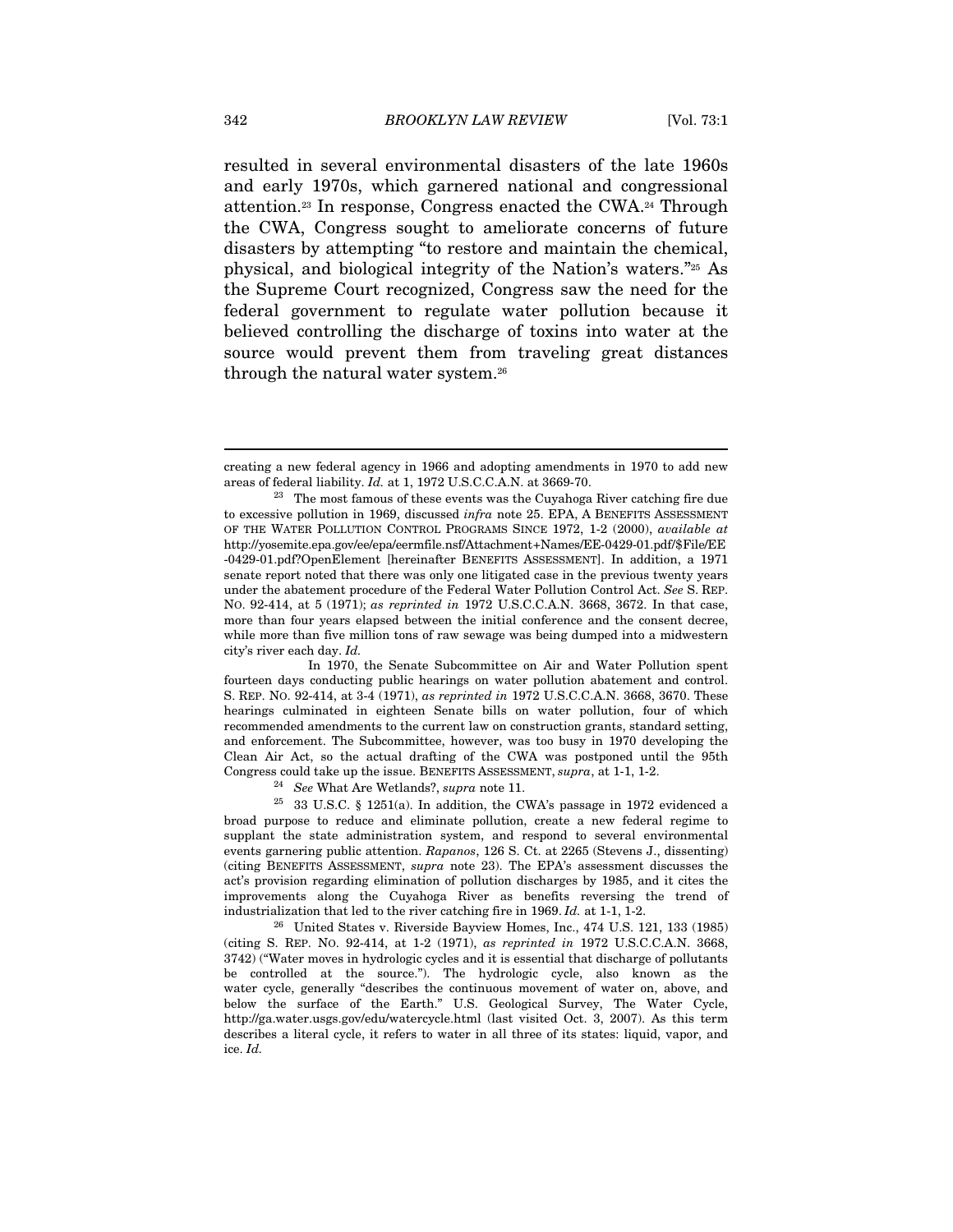resulted in several environmental disasters of the late 1960s and early 1970s, which garnered national and congressional attention.23 In response, Congress enacted the CWA.24 Through the CWA, Congress sought to ameliorate concerns of future disasters by attempting "to restore and maintain the chemical, physical, and biological integrity of the Nation's waters."25 As the Supreme Court recognized, Congress saw the need for the federal government to regulate water pollution because it believed controlling the discharge of toxins into water at the source would prevent them from traveling great distances through the natural water system.<sup>26</sup>

 In 1970, the Senate Subcommittee on Air and Water Pollution spent fourteen days conducting public hearings on water pollution abatement and control. S. REP. NO. 92-414, at 3-4 (1971), as reprinted in 1972 U.S.C.C.A.N. 3668, 3670. These hearings culminated in eighteen Senate bills on water pollution, four of which recommended amendments to the current law on construction grants, standard setting, and enforcement. The Subcommittee, however, was too busy in 1970 developing the Clean Air Act, so the actual drafting of the CWA was postponed until the 95th Congress could take up the issue. BENEFITS ASSESSMENT, supra, at 1-1, 1-2.<br><sup>24</sup> See What Are Wetlands?, supra note 11.<br><sup>25</sup> 33 U.S.C. § 1251(a). In addition, the CWA's passage in 1972 evidenced a

broad purpose to reduce and eliminate pollution, create a new federal regime to supplant the state administration system, and respond to several environmental events garnering public attention. Rapanos, 126 S. Ct. at 2265 (Stevens J., dissenting) (citing BENEFITS ASSESSMENT, supra note 23). The EPA's assessment discusses the act's provision regarding elimination of pollution discharges by 1985, and it cites the improvements along the Cuyahoga River as benefits reversing the trend of

industrialization that led to the river catching fire in 1969. Id. at 1-1, 1-2.<br><sup>26</sup> United States v. Riverside Bayview Homes, Inc., 474 U.S. 121, 133 (1985) (citing S. REP. NO. 92-414, at 1-2 (1971), as reprinted in 1972 U.S.C.C.A.N. 3668, 3742) ("Water moves in hydrologic cycles and it is essential that discharge of pollutants be controlled at the source."). The hydrologic cycle, also known as the water cycle, generally "describes the continuous movement of water on, above, and below the surface of the Earth." U.S. Geological Survey, The Water Cycle, http://ga.water.usgs.gov/edu/watercycle.html (last visited Oct. 3, 2007). As this term describes a literal cycle, it refers to water in all three of its states: liquid, vapor, and ice. Id.

creating a new federal agency in 1966 and adopting amendments in 1970 to add new areas of federal liability. Id. at 1, 1972 U.S.C.C.A.N. at 3669-70.<br><sup>23</sup> The most famous of these events was the Cuyahoga River catching fire due

to excessive pollution in 1969, discussed infra note 25. EPA, A BENEFITS ASSESSMENT OF THE WATER POLLUTION CONTROL PROGRAMS SINCE 1972, 1-2 (2000), available at http://yosemite.epa.gov/ee/epa/eermfile.nsf/Attachment+Names/EE-0429-01.pdf/\$File/EE -0429-01.pdf?OpenElement [hereinafter BENEFITS ASSESSMENT]. In addition, a 1971 senate report noted that there was only one litigated case in the previous twenty years under the abatement procedure of the Federal Water Pollution Control Act. See S. REP. NO. 92-414, at 5 (1971); as reprinted in 1972 U.S.C.C.A.N. 3668, 3672. In that case, more than four years elapsed between the initial conference and the consent decree, while more than five million tons of raw sewage was being dumped into a midwestern city's river each day. Id.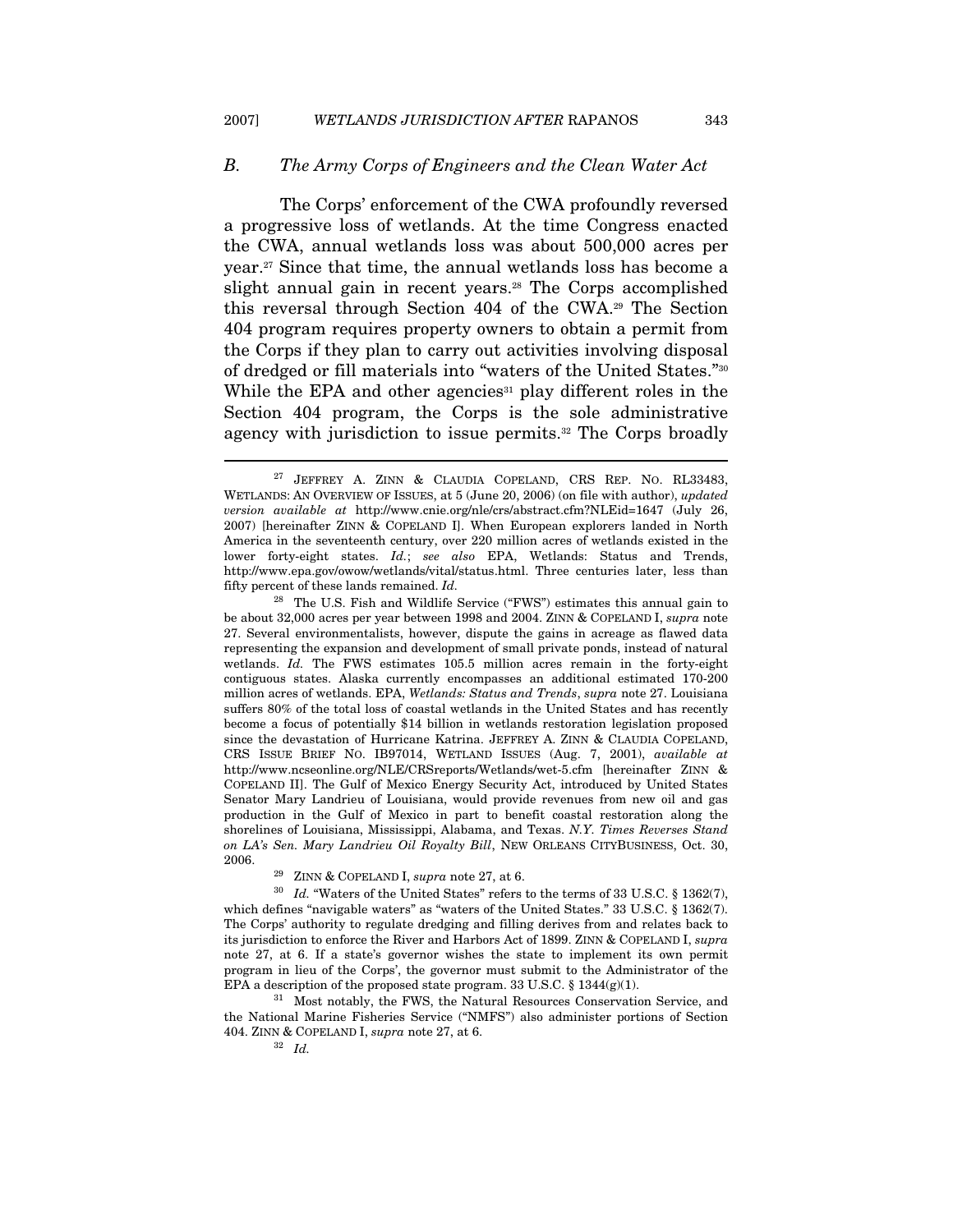#### B. The Army Corps of Engineers and the Clean Water Act

The Corps' enforcement of the CWA profoundly reversed a progressive loss of wetlands. At the time Congress enacted the CWA, annual wetlands loss was about 500,000 acres per year.27 Since that time, the annual wetlands loss has become a slight annual gain in recent years.<sup>28</sup> The Corps accomplished this reversal through Section 404 of the CWA.29 The Section 404 program requires property owners to obtain a permit from the Corps if they plan to carry out activities involving disposal of dredged or fill materials into "waters of the United States."30 While the EPA and other agencies<sup>31</sup> play different roles in the Section 404 program, the Corps is the sole administrative agency with jurisdiction to issue permits.<sup>32</sup> The Corps broadly

<sup>28</sup> The U.S. Fish and Wildlife Service ("FWS") estimates this annual gain to be about 32,000 acres per year between 1998 and 2004. ZINN & COPELAND I, supra note 27. Several environmentalists, however, dispute the gains in acreage as flawed data representing the expansion and development of small private ponds, instead of natural wetlands. Id. The FWS estimates 105.5 million acres remain in the forty-eight contiguous states. Alaska currently encompasses an additional estimated 170-200 million acres of wetlands. EPA, Wetlands: Status and Trends, supra note 27. Louisiana suffers 80% of the total loss of coastal wetlands in the United States and has recently become a focus of potentially \$14 billion in wetlands restoration legislation proposed since the devastation of Hurricane Katrina. JEFFREY A. ZINN & CLAUDIA COPELAND, CRS ISSUE BRIEF NO. IB97014, WETLAND ISSUES (Aug. 7, 2001), available at http://www.ncseonline.org/NLE/CRSreports/Wetlands/wet-5.cfm [hereinafter ZINN & COPELAND II]. The Gulf of Mexico Energy Security Act, introduced by United States Senator Mary Landrieu of Louisiana, would provide revenues from new oil and gas production in the Gulf of Mexico in part to benefit coastal restoration along the shorelines of Louisiana, Mississippi, Alabama, and Texas. N.Y. Times Reverses Stand on LA's Sen. Mary Landrieu Oil Royalty Bill, NEW ORLEANS CITYBUSINESS, Oct. 30, 2006. <br> 29 ZINN & COPELAND I, supra note 27, at 6.

 $^{30}$   $\,$   $Id.$  "Waters of the United States" refers to the terms of 33 U.S.C. § 1362(7), which defines "navigable waters" as "waters of the United States." 33 U.S.C. § 1362(7). The Corps' authority to regulate dredging and filling derives from and relates back to its jurisdiction to enforce the River and Harbors Act of 1899. ZINN & COPELAND I, supra note 27, at 6. If a state's governor wishes the state to implement its own permit program in lieu of the Corps', the governor must submit to the Administrator of the EPA a description of the proposed state program. 33 U.S.C. § 1344(g)(1). <sup>31</sup> Most notably, the FWS, the Natural Resources Conservation Service, and

the National Marine Fisheries Service ("NMFS") also administer portions of Section 404. ZINN & COPELAND I, supra note 27, at 6.  $\frac{32}{1}$  Id.

<sup>&</sup>lt;sup>27</sup> JEFFREY A. ZINN & CLAUDIA COPELAND, CRS REP. NO. RL33483, WETLANDS: AN OVERVIEW OF ISSUES, at 5 (June 20, 2006) (on file with author), updated version available at http://www.cnie.org/nle/crs/abstract.cfm?NLEid=1647 (July 26, 2007) [hereinafter ZINN & COPELAND I]. When European explorers landed in North America in the seventeenth century, over 220 million acres of wetlands existed in the lower forty-eight states. Id.; see also EPA, Wetlands: Status and Trends, http://www.epa.gov/owow/wetlands/vital/status.html. Three centuries later, less than fifty percent of these lands remained. Id.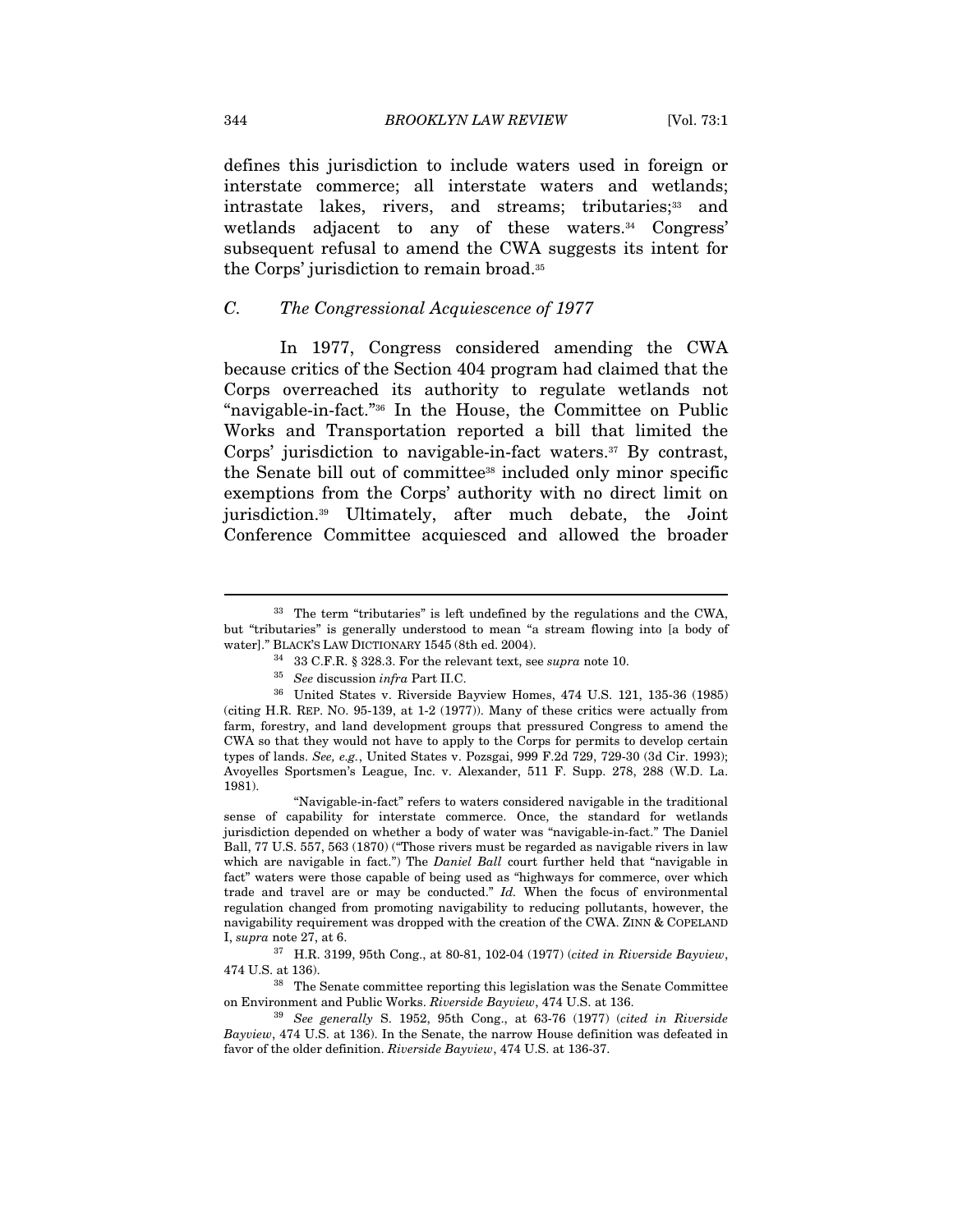defines this jurisdiction to include waters used in foreign or interstate commerce; all interstate waters and wetlands; intrastate lakes, rivers, and streams; tributaries;<sup>33</sup> and wetlands adjacent to any of these waters.<sup>34</sup> Congress' subsequent refusal to amend the CWA suggests its intent for the Corps' jurisdiction to remain broad.35

### C. The Congressional Acquiescence of 1977

In 1977, Congress considered amending the CWA because critics of the Section 404 program had claimed that the Corps overreached its authority to regulate wetlands not "navigable-in-fact."36 In the House, the Committee on Public Works and Transportation reported a bill that limited the Corps' jurisdiction to navigable-in-fact waters.<sup>37</sup> By contrast, the Senate bill out of committee38 included only minor specific exemptions from the Corps' authority with no direct limit on jurisdiction.39 Ultimately, after much debate, the Joint Conference Committee acquiesced and allowed the broader

<sup>33</sup> The term "tributaries" is left undefined by the regulations and the CWA, but "tributaries" is generally understood to mean "a stream flowing into [a body of

water]." BLACK'S LAW DICTIONARY 1545 (8th ed. 2004).  $$^{34}$  33 C.F.R. § 328.3. For the relevant text, see *supra* note 10.  $$^{35}$  See discussion infra Part II.C.  $$^{36}$  United States v. Riverside Bayview Homes, 474 U.S (citing H.R. REP. NO. 95-139, at 1-2 (1977)). Many of these critics were actually from farm, forestry, and land development groups that pressured Congress to amend the CWA so that they would not have to apply to the Corps for permits to develop certain types of lands. See, e.g., United States v. Pozsgai, 999 F.2d 729, 729-30 (3d Cir. 1993); Avoyelles Sportsmen's League, Inc. v. Alexander, 511 F. Supp. 278, 288 (W.D. La. 1981).

 <sup>&</sup>quot;Navigable-in-fact" refers to waters considered navigable in the traditional sense of capability for interstate commerce. Once, the standard for wetlands jurisdiction depended on whether a body of water was "navigable-in-fact." The Daniel Ball, 77 U.S. 557, 563 (1870) ("Those rivers must be regarded as navigable rivers in law which are navigable in fact.") The *Daniel Ball* court further held that "navigable in fact" waters were those capable of being used as "highways for commerce, over which trade and travel are or may be conducted." Id. When the focus of environmental regulation changed from promoting navigability to reducing pollutants, however, the navigability requirement was dropped with the creation of the CWA. ZINN & COPELAND I, supra note 27, at 6.

 $37$  H.R. 3199, 95th Cong., at 80-81, 102-04 (1977) (cited in Riverside Bayview, 474 U.S. at 136).<br><sup>38</sup> The Senate committee reporting this legislation was the Senate Committee

on Environment and Public Works. Riverside Bayview, 474 U.S. at 136.<br><sup>39</sup> See generally S. 1952, 95th Cong., at 63-76 (1977) (cited in Riverside

Bayview, 474 U.S. at 136). In the Senate, the narrow House definition was defeated in favor of the older definition. Riverside Bayview, 474 U.S. at 136-37.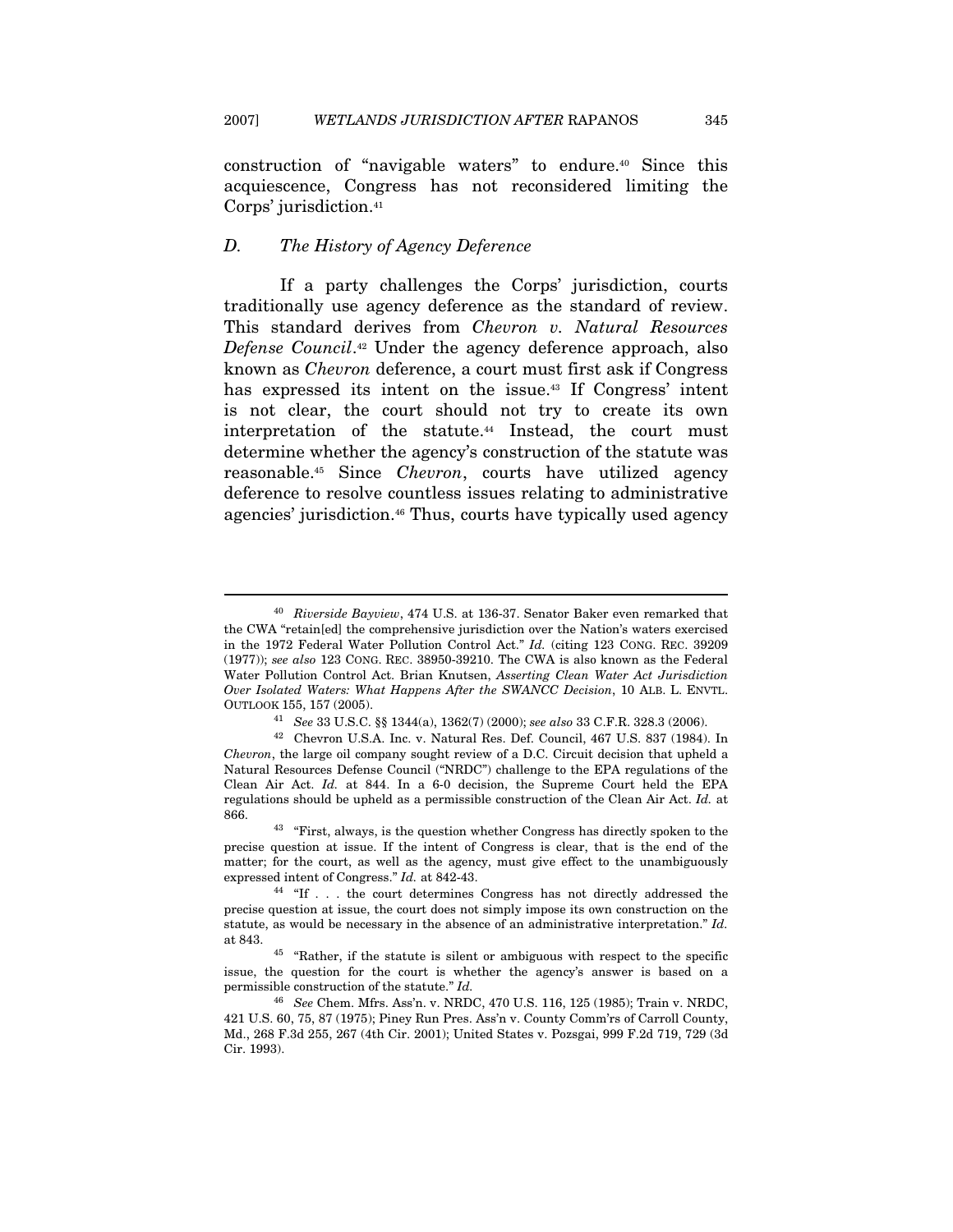construction of "navigable waters" to endure.40 Since this acquiescence, Congress has not reconsidered limiting the Corps' jurisdiction.41

### D. The History of Agency Deference

 $\overline{a}$ 

If a party challenges the Corps' jurisdiction, courts traditionally use agency deference as the standard of review. This standard derives from Chevron v. Natural Resources Defense Council.42 Under the agency deference approach, also known as Chevron deference, a court must first ask if Congress has expressed its intent on the issue.<sup>43</sup> If Congress' intent is not clear, the court should not try to create its own interpretation of the statute.<sup>44</sup> Instead, the court must determine whether the agency's construction of the statute was reasonable.45 Since Chevron, courts have utilized agency deference to resolve countless issues relating to administrative agencies' jurisdiction.46 Thus, courts have typically used agency

<sup>&</sup>lt;sup>40</sup> Riverside Bayview, 474 U.S. at 136-37. Senator Baker even remarked that the CWA "retain[ed] the comprehensive jurisdiction over the Nation's waters exercised in the 1972 Federal Water Pollution Control Act." Id. (citing 123 CONG. REC. 39209 (1977)); see also 123 CONG. REC. 38950-39210. The CWA is also known as the Federal Water Pollution Control Act. Brian Knutsen, Asserting Clean Water Act Jurisdiction Over Isolated Waters: What Happens After the SWANCC Decision, 10 ALB. L. ENVTL. OUTLOOK 155, 157 (2005).<br><sup>41</sup> See 33 U.S.C. §§ 1344(a), 1362(7) (2000); see also 33 C.F.R. 328.3 (2006).

 $^{42}\,$  Chevron U.S.A. Inc. v. Natural Res. Def. Council, 467 U.S. 837 (1984). In Chevron, the large oil company sought review of a D.C. Circuit decision that upheld a Natural Resources Defense Council ("NRDC") challenge to the EPA regulations of the Clean Air Act. Id. at 844. In a 6-0 decision, the Supreme Court held the EPA regulations should be upheld as a permissible construction of the Clean Air Act. Id. at 866. 43 "First, always, is the question whether Congress has directly spoken to the

precise question at issue. If the intent of Congress is clear, that is the end of the matter; for the court, as well as the agency, must give effect to the unambiguously expressed intent of Congress." Id. at 842-43.<br><sup>44</sup> "If . . . the court determines Congress has not directly addressed the

precise question at issue, the court does not simply impose its own construction on the statute, as would be necessary in the absence of an administrative interpretation." Id. at 843. 45 "Rather, if the statute is silent or ambiguous with respect to the specific

issue, the question for the court is whether the agency's answer is based on a permissible construction of the statute." Id.

<sup>46</sup> See Chem. Mfrs. Ass'n. v. NRDC, 470 U.S. 116, 125 (1985); Train v. NRDC, 421 U.S. 60, 75, 87 (1975); Piney Run Pres. Ass'n v. County Comm'rs of Carroll County, Md., 268 F.3d 255, 267 (4th Cir. 2001); United States v. Pozsgai, 999 F.2d 719, 729 (3d Cir. 1993).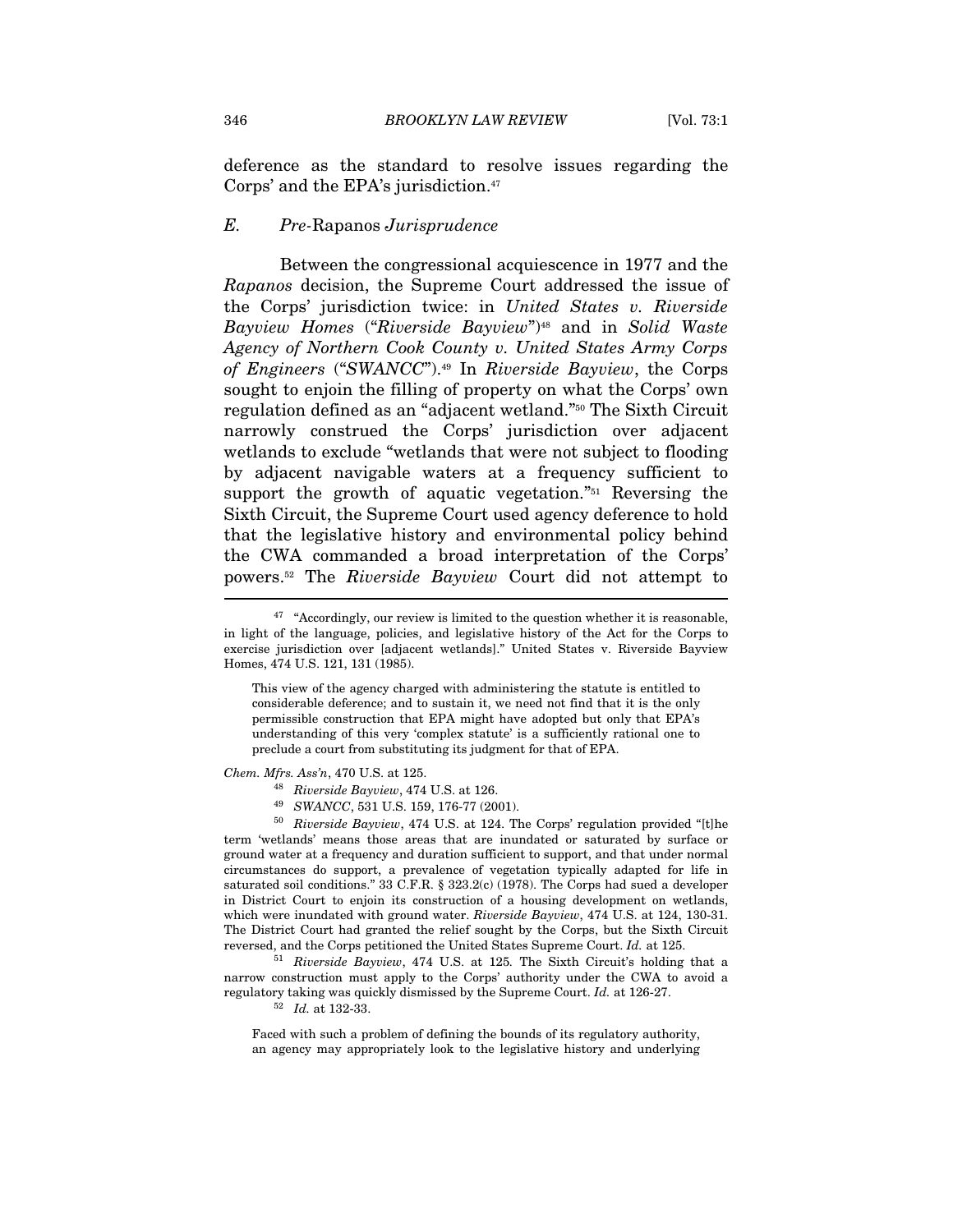deference as the standard to resolve issues regarding the Corps' and the EPA's jurisdiction.47

#### E. Pre-Rapanos Jurisprudence

Between the congressional acquiescence in 1977 and the Rapanos decision, the Supreme Court addressed the issue of the Corps' jurisdiction twice: in United States v. Riverside Bayview Homes ("Riverside Bayview")48 and in Solid Waste Agency of Northern Cook County v. United States Army Corps of Engineers ("SWANCC").49 In Riverside Bayview, the Corps sought to enjoin the filling of property on what the Corps' own regulation defined as an "adjacent wetland."50 The Sixth Circuit narrowly construed the Corps' jurisdiction over adjacent wetlands to exclude "wetlands that were not subject to flooding by adjacent navigable waters at a frequency sufficient to support the growth of aquatic vegetation."51 Reversing the Sixth Circuit, the Supreme Court used agency deference to hold that the legislative history and environmental policy behind the CWA commanded a broad interpretation of the Corps' powers.52 The Riverside Bayview Court did not attempt to

This view of the agency charged with administering the statute is entitled to considerable deference; and to sustain it, we need not find that it is the only permissible construction that EPA might have adopted but only that EPA's understanding of this very 'complex statute' is a sufficiently rational one to preclude a court from substituting its judgment for that of EPA.

*Chem. Mfrs. Ass'n*, 470 U.S. at 125.<br><sup>48</sup> Riverside Bayview, 474 U.S. at 126.<br><sup>49</sup> SWANCC, 531 U.S. 159, 176-77 (2001).<br><sup>50</sup> Riverside Bayview, 474 U.S. at 124. The Corps' regulation provided "[t]he term 'wetlands' means those areas that are inundated or saturated by surface or ground water at a frequency and duration sufficient to support, and that under normal circumstances do support, a prevalence of vegetation typically adapted for life in saturated soil conditions." 33 C.F.R. § 323.2(c) (1978). The Corps had sued a developer in District Court to enjoin its construction of a housing development on wetlands, which were inundated with ground water. Riverside Bayview, 474 U.S. at 124, 130-31. The District Court had granted the relief sought by the Corps, but the Sixth Circuit reversed, and the Corps petitioned the United States Supreme Court. Id. at 125. 51 Riverside Bayview, 474 U.S. at <sup>125</sup>. The Sixth Circuit's holding that a

narrow construction must apply to the Corps' authority under the CWA to avoid a regulatory taking was quickly dismissed by the Supreme Court. Id. at 126-27.  $^{52}$  Id. at 132-33.

Faced with such a problem of defining the bounds of its regulatory authority, an agency may appropriately look to the legislative history and underlying

 $47$  "Accordingly, our review is limited to the question whether it is reasonable, in light of the language, policies, and legislative history of the Act for the Corps to exercise jurisdiction over [adjacent wetlands]." United States v. Riverside Bayview Homes, 474 U.S. 121, 131 (1985).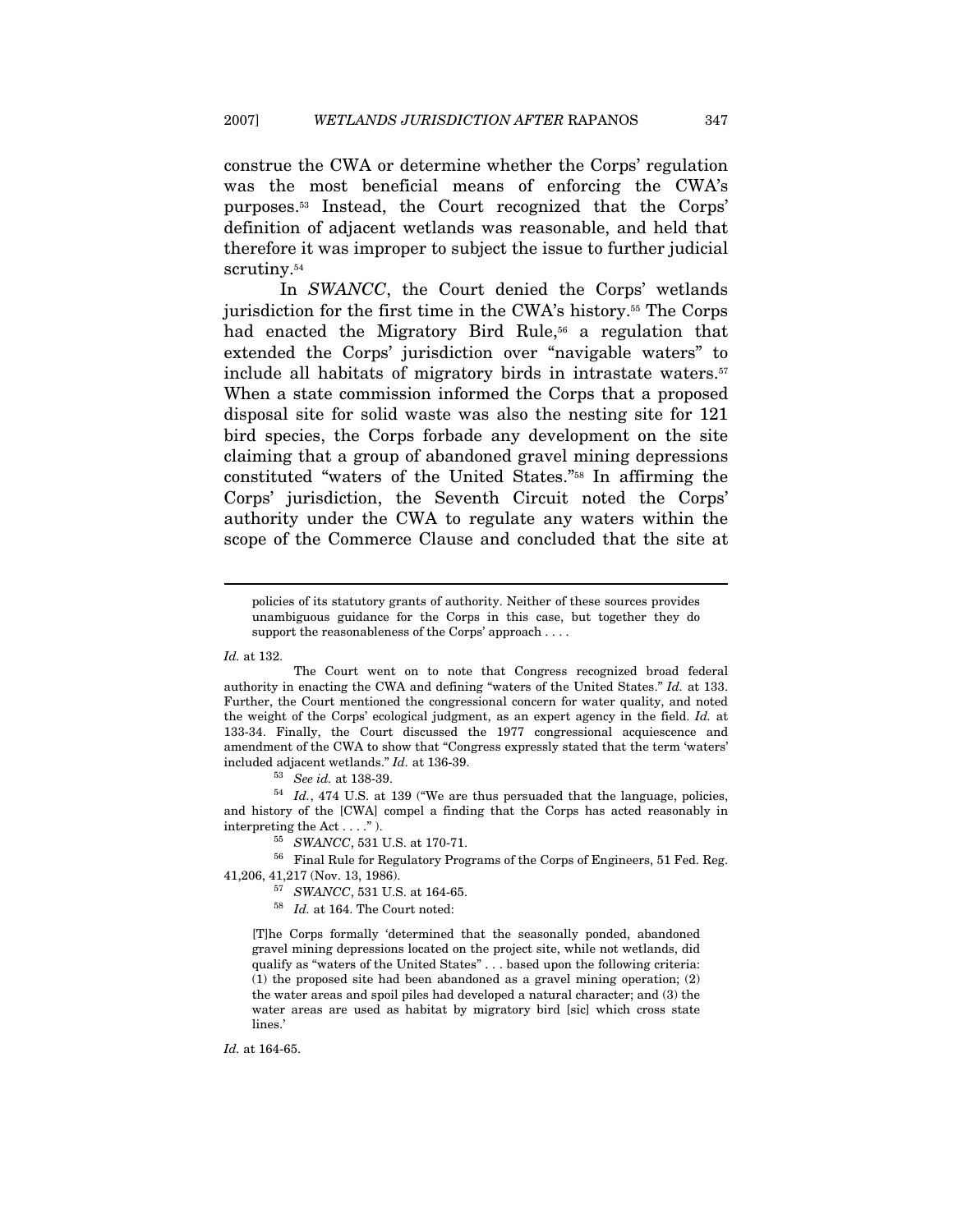construe the CWA or determine whether the Corps' regulation was the most beneficial means of enforcing the CWA's purposes.53 Instead, the Court recognized that the Corps' definition of adjacent wetlands was reasonable, and held that therefore it was improper to subject the issue to further judicial scrutiny.<sup>54</sup>

In SWANCC, the Court denied the Corps' wetlands jurisdiction for the first time in the CWA's history.55 The Corps had enacted the Migratory Bird Rule,<sup>56</sup> a regulation that extended the Corps' jurisdiction over "navigable waters" to include all habitats of migratory birds in intrastate waters.<sup>57</sup> When a state commission informed the Corps that a proposed disposal site for solid waste was also the nesting site for 121 bird species, the Corps forbade any development on the site claiming that a group of abandoned gravel mining depressions constituted "waters of the United States."58 In affirming the Corps' jurisdiction, the Seventh Circuit noted the Corps' authority under the CWA to regulate any waters within the scope of the Commerce Clause and concluded that the site at

Id. at 132.

 $\overline{a}$ 

 The Court went on to note that Congress recognized broad federal authority in enacting the CWA and defining "waters of the United States." Id. at 133. Further, the Court mentioned the congressional concern for water quality, and noted the weight of the Corps' ecological judgment, as an expert agency in the field. Id. at 133-34. Finally, the Court discussed the 1977 congressional acquiescence and amendment of the CWA to show that "Congress expressly stated that the term 'waters'

included adjacent wetlands." Id. at 136-39.<br><sup>53</sup> See id. at 138-39.<br><sup>54</sup> Id., 474 U.S. at 139 ("We are thus persuaded that the language, policies, and history of the [CWA] compel a finding that the Corps has acted reasonably in interpreting the Act . . . ." ).<br> $^{55}$  SWANCC, 531 U.S. at 170-71.

56 Final Rule for Regulatory Programs of the Corps of Engineers, 51 Fed. Reg. 41,206, 41,217 (Nov. 13, 1986).<br><sup>57</sup> SWANCC, 531 U.S. at 164-65.<br><sup>58</sup> Id. at 164. The Court noted:

[T]he Corps formally 'determined that the seasonally ponded, abandoned gravel mining depressions located on the project site, while not wetlands, did qualify as "waters of the United States" . . . based upon the following criteria: (1) the proposed site had been abandoned as a gravel mining operation; (2) the water areas and spoil piles had developed a natural character; and (3) the water areas are used as habitat by migratory bird [sic] which cross state lines.'

Id. at 164-65.

policies of its statutory grants of authority. Neither of these sources provides unambiguous guidance for the Corps in this case, but together they do support the reasonableness of the Corps' approach . . . .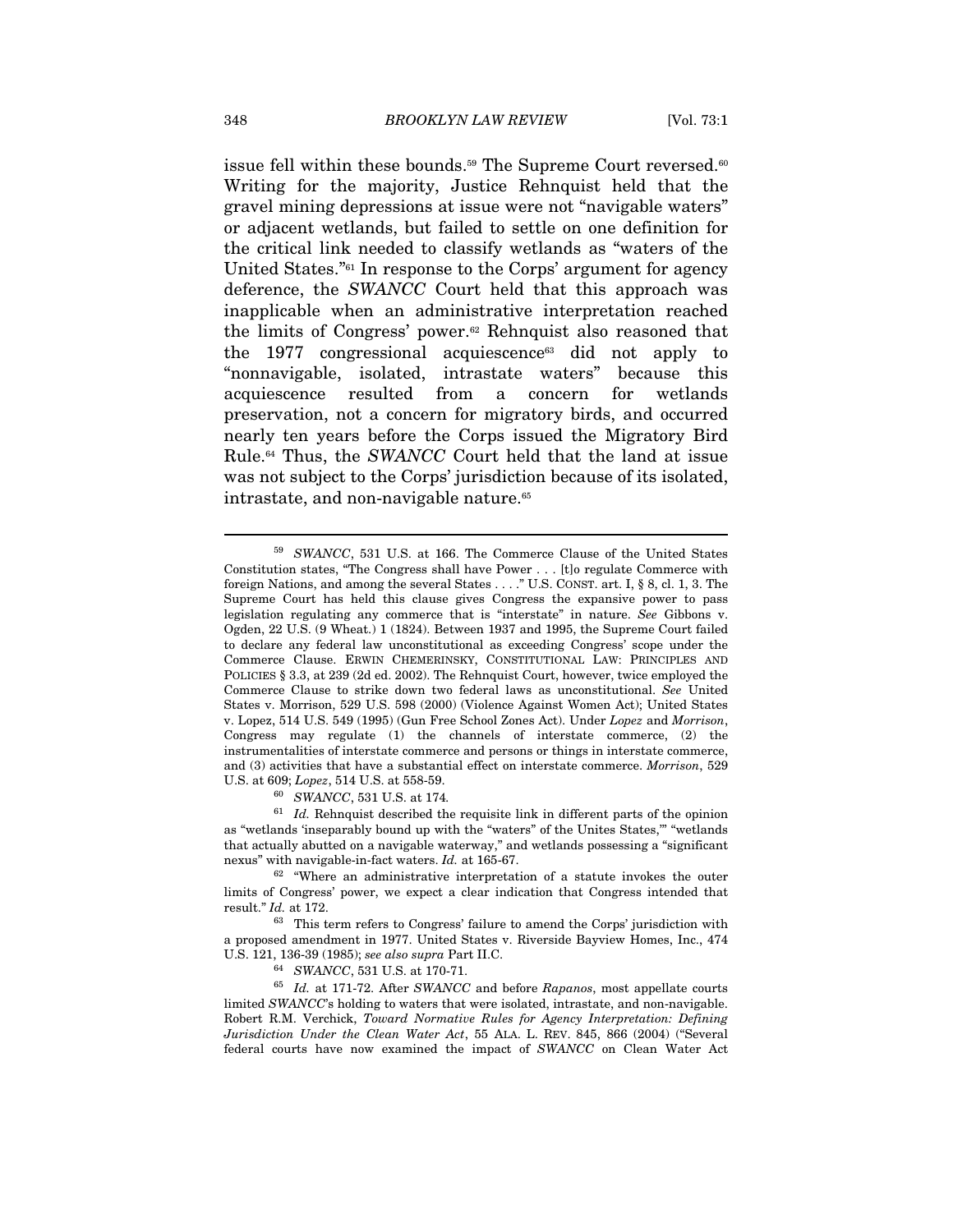issue fell within these bounds.<sup>59</sup> The Supreme Court reversed.<sup>60</sup> Writing for the majority, Justice Rehnquist held that the gravel mining depressions at issue were not "navigable waters" or adjacent wetlands, but failed to settle on one definition for the critical link needed to classify wetlands as "waters of the United States."61 In response to the Corps' argument for agency deference, the SWANCC Court held that this approach was inapplicable when an administrative interpretation reached the limits of Congress' power.62 Rehnquist also reasoned that the 1977 congressional acquiescence<sup>63</sup> did not apply to "nonnavigable, isolated, intrastate waters" because this acquiescence resulted from a concern for wetlands preservation, not a concern for migratory birds, and occurred nearly ten years before the Corps issued the Migratory Bird Rule.64 Thus, the SWANCC Court held that the land at issue was not subject to the Corps' jurisdiction because of its isolated, intrastate, and non-navigable nature.<sup>65</sup>

 $61$  *Id.* Rehnquist described the requisite link in different parts of the opinion as "wetlands 'inseparably bound up with the "waters" of the Unites States,'" "wetlands that actually abutted on a navigable waterway," and wetlands possessing a "significant nexus" with navigable-in-fact waters. Id. at 165-67.<br><sup>62</sup> "Where an administrative interpretation of a statute invokes the outer

<sup>59</sup> SWANCC, 531 U.S. at 166. The Commerce Clause of the United States Constitution states, "The Congress shall have Power . . . [t]o regulate Commerce with foreign Nations, and among the several States . . . ." U.S. CONST. art. I, § 8, cl. 1, 3. The Supreme Court has held this clause gives Congress the expansive power to pass legislation regulating any commerce that is "interstate" in nature. See Gibbons v. Ogden, 22 U.S. (9 Wheat.) 1 (1824). Between 1937 and 1995, the Supreme Court failed to declare any federal law unconstitutional as exceeding Congress' scope under the Commerce Clause. ERWIN CHEMERINSKY, CONSTITUTIONAL LAW: PRINCIPLES AND POLICIES § 3.3, at 239 (2d ed. 2002). The Rehnquist Court, however, twice employed the Commerce Clause to strike down two federal laws as unconstitutional. See United States v. Morrison, 529 U.S. 598 (2000) (Violence Against Women Act); United States v. Lopez, 514 U.S. 549 (1995) (Gun Free School Zones Act). Under Lopez and Morrison, Congress may regulate (1) the channels of interstate commerce, (2) the instrumentalities of interstate commerce and persons or things in interstate commerce, and (3) activities that have a substantial effect on interstate commerce. Morrison, 529 U.S. at 609; *Lopez*, 514 U.S. at 558-59.<br><sup>60</sup> SWANCC, 531 U.S. at 174.

limits of Congress' power, we expect a clear indication that Congress intended that result." Id. at 172.

<sup>63</sup> This term refers to Congress' failure to amend the Corps' jurisdiction with a proposed amendment in 1977. United States v. Riverside Bayview Homes, Inc., 474 U.S. 121, 136-39 (1985); see also supra Part II.C.<br><sup>64</sup> SWANCC, 531 U.S. at 170-71.<br><sup>65</sup> Id. at 171-72. After SWANCC and before Rapanos, most appellate courts

limited SWANCC's holding to waters that were isolated, intrastate, and non-navigable. Robert R.M. Verchick, Toward Normative Rules for Agency Interpretation: Defining Jurisdiction Under the Clean Water Act, 55 ALA. L. REV. 845, 866 (2004) ("Several federal courts have now examined the impact of SWANCC on Clean Water Act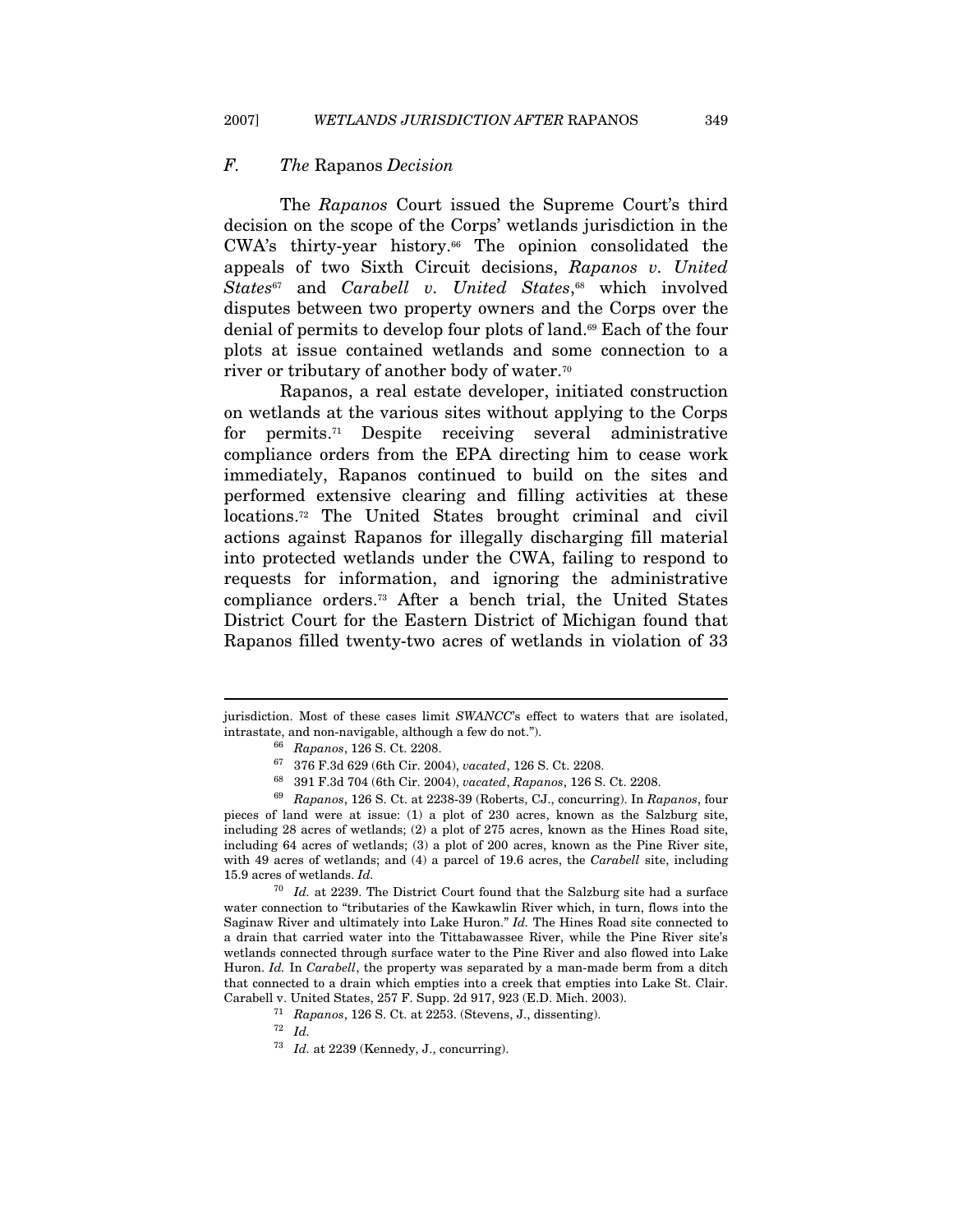## F. The Rapanos Decision

The Rapanos Court issued the Supreme Court's third decision on the scope of the Corps' wetlands jurisdiction in the CWA's thirty-year history.66 The opinion consolidated the appeals of two Sixth Circuit decisions, Rapanos v. United States<sup>67</sup> and Carabell v. United States,<sup>68</sup> which involved disputes between two property owners and the Corps over the denial of permits to develop four plots of land.69 Each of the four plots at issue contained wetlands and some connection to a river or tributary of another body of water.70

Rapanos, a real estate developer, initiated construction on wetlands at the various sites without applying to the Corps for permits.71 Despite receiving several administrative compliance orders from the EPA directing him to cease work immediately, Rapanos continued to build on the sites and performed extensive clearing and filling activities at these locations.72 The United States brought criminal and civil actions against Rapanos for illegally discharging fill material into protected wetlands under the CWA, failing to respond to requests for information, and ignoring the administrative compliance orders.73 After a bench trial, the United States District Court for the Eastern District of Michigan found that Rapanos filled twenty-two acres of wetlands in violation of 33

pieces of land were at issue: (1) a plot of 230 acres, known as the Salzburg site, including 28 acres of wetlands; (2) a plot of 275 acres, known as the Hines Road site, including 64 acres of wetlands; (3) a plot of 200 acres, known as the Pine River site, with 49 acres of wetlands; and (4) a parcel of 19.6 acres, the Carabell site, including 15.9 acres of wetlands. Id.

 $70$  Id. at 2239. The District Court found that the Salzburg site had a surface water connection to "tributaries of the Kawkawlin River which, in turn, flows into the Saginaw River and ultimately into Lake Huron." Id. The Hines Road site connected to a drain that carried water into the Tittabawassee River, while the Pine River site's wetlands connected through surface water to the Pine River and also flowed into Lake Huron. Id. In Carabell, the property was separated by a man-made berm from a ditch that connected to a drain which empties into a creek that empties into Lake St. Clair. Carabell v. United States, 257 F. Supp. 2d 917, 923 (E.D. Mich. 2003).<br>
<sup>71</sup> Rapanos, 126 S. Ct. at 2253. (Stevens, J., dissenting).<br>
<sup>72</sup> Id.

jurisdiction. Most of these cases limit SWANCC's effect to waters that are isolated, intrastate, and non-navigable, although a few do not.").<br>
<sup>66</sup> Rapanos, 126 S. Ct. 2208.<br>
<sup>67</sup> 376 F.3d 629 (6th Cir. 2004), *vacated*, 126 S. Ct. 2208.<br>
<sup>68</sup> 391 F.3d 704 (6th Cir. 2004), *vacated*, Rapanos, 126 S. Ct. 22

 $^{73}$   $\,$  Id. at 2239 (Kennedy, J., concurring).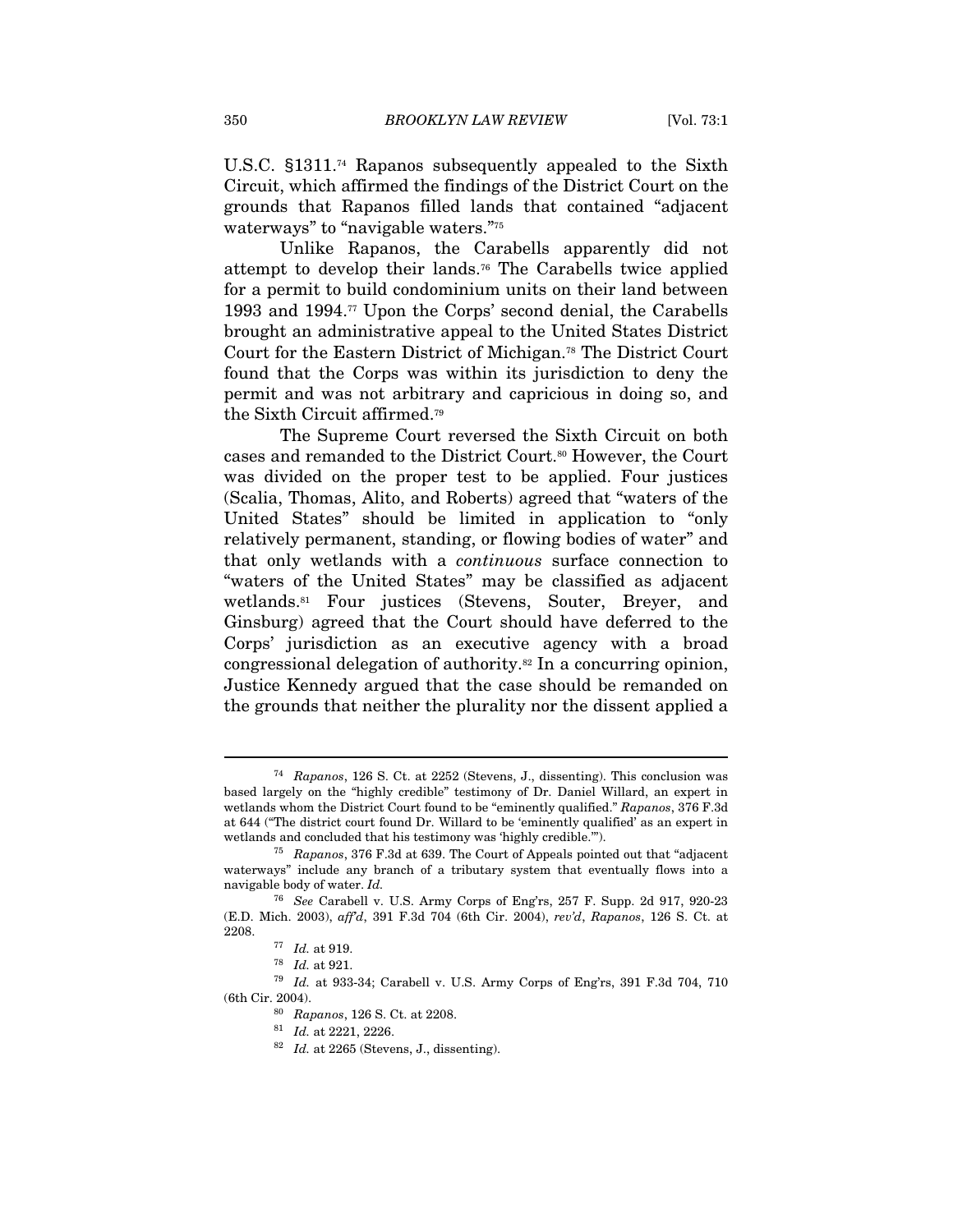U.S.C. §1311.74 Rapanos subsequently appealed to the Sixth Circuit, which affirmed the findings of the District Court on the grounds that Rapanos filled lands that contained "adjacent waterways" to "navigable waters."<sup>75</sup>

Unlike Rapanos, the Carabells apparently did not attempt to develop their lands.76 The Carabells twice applied for a permit to build condominium units on their land between 1993 and 1994.77 Upon the Corps' second denial, the Carabells brought an administrative appeal to the United States District Court for the Eastern District of Michigan.78 The District Court found that the Corps was within its jurisdiction to deny the permit and was not arbitrary and capricious in doing so, and the Sixth Circuit affirmed.79

The Supreme Court reversed the Sixth Circuit on both cases and remanded to the District Court.80 However, the Court was divided on the proper test to be applied. Four justices (Scalia, Thomas, Alito, and Roberts) agreed that "waters of the United States" should be limited in application to "only relatively permanent, standing, or flowing bodies of water" and that only wetlands with a continuous surface connection to "waters of the United States" may be classified as adjacent wetlands.81 Four justices (Stevens, Souter, Breyer, and Ginsburg) agreed that the Court should have deferred to the Corps' jurisdiction as an executive agency with a broad congressional delegation of authority.82 In a concurring opinion, Justice Kennedy argued that the case should be remanded on the grounds that neither the plurality nor the dissent applied a

<sup>74</sup> Rapanos, 126 S. Ct. at 2252 (Stevens, J., dissenting). This conclusion was based largely on the "highly credible" testimony of Dr. Daniel Willard, an expert in wetlands whom the District Court found to be "eminently qualified." Rapanos, 376 F.3d at 644 ("The district court found Dr. Willard to be 'eminently qualified' as an expert in wetlands and concluded that his testimony was 'highly credible.'").

<sup>75</sup> Rapanos, 376 F.3d at 639. The Court of Appeals pointed out that "adjacent waterways" include any branch of a tributary system that eventually flows into a navigable body of water. Id.

<sup>76</sup> See Carabell v. U.S. Army Corps of Eng'rs, 257 F. Supp. 2d 917, 920-23 (E.D. Mich. 2003), aff'd, 391 F.3d 704 (6th Cir. 2004), rev'd, Rapanos, 126 S. Ct. at

<sup>2208.&</sup>lt;br><sup>77</sup> *Id.* at 919.<br><sup>78</sup> *Id.* at 921.<br><sup>79</sup> *Id.* at 933-34; Carabell v. U.S. Army Corps of Eng'rs, 391 F.3d 704, 710 % (6th Cir. 2004). 80 Rapanos, 126 S. Ct. at 2208.<br>
81 Id. at 2221, 2226.<br>
82 Id. at 2265 (Stevens, J., dissenting).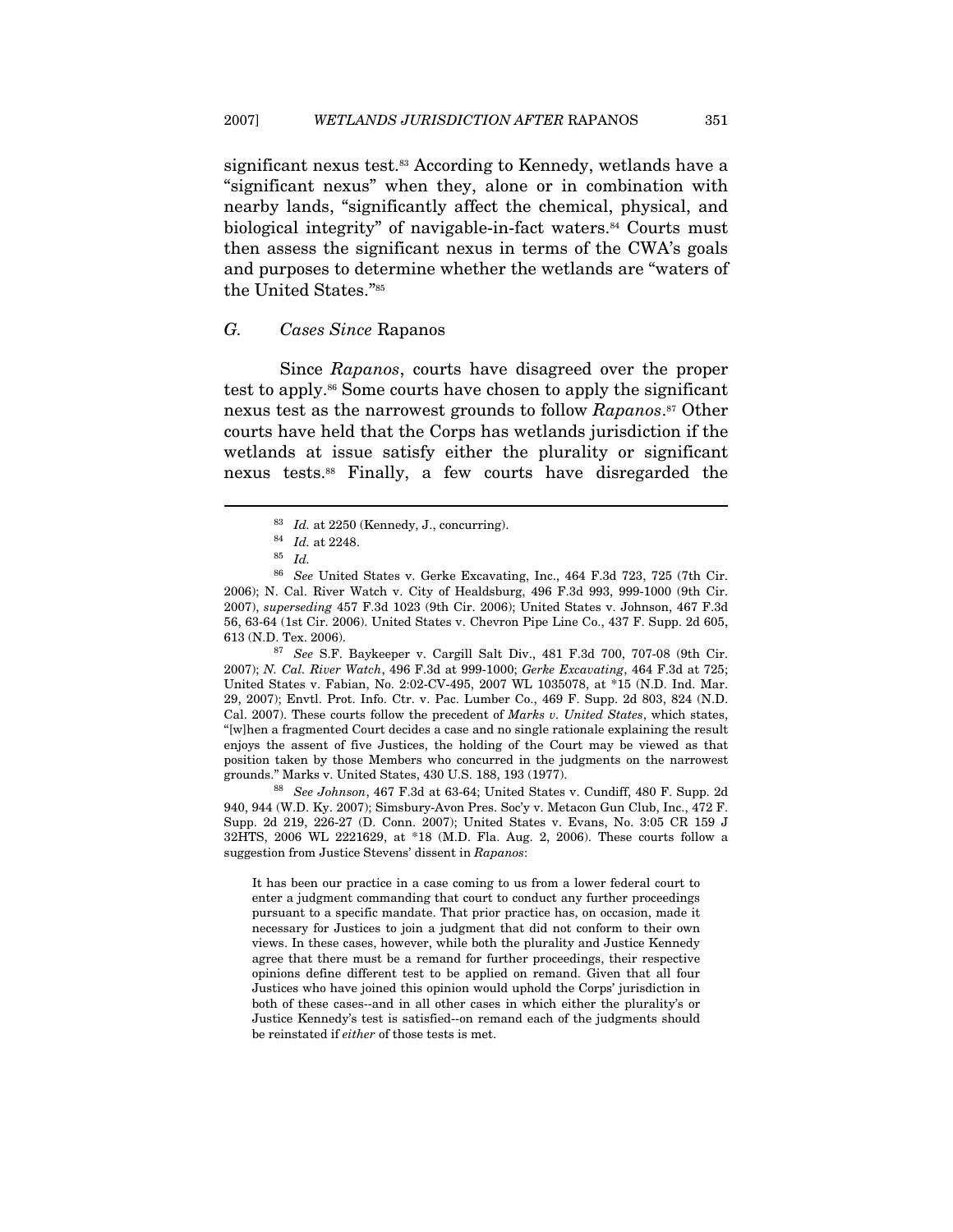significant nexus test.<sup>83</sup> According to Kennedy, wetlands have a "significant nexus" when they, alone or in combination with nearby lands, "significantly affect the chemical, physical, and biological integrity" of navigable-in-fact waters.<sup>84</sup> Courts must then assess the significant nexus in terms of the CWA's goals and purposes to determine whether the wetlands are "waters of the United States."85

# G. Cases Since Rapanos

Since Rapanos, courts have disagreed over the proper test to apply.86 Some courts have chosen to apply the significant nexus test as the narrowest grounds to follow Rapanos.<sup>87</sup> Other courts have held that the Corps has wetlands jurisdiction if the wetlands at issue satisfy either the plurality or significant nexus tests.88 Finally, a few courts have disregarded the

 $\overline{a}$ 

2007); N. Cal. River Watch, 496 F.3d at 999-1000; Gerke Excavating, 464 F.3d at 725; United States v. Fabian, No. 2:02-CV-495, 2007 WL 1035078, at \*15 (N.D. Ind. Mar. 29, 2007); Envtl. Prot. Info. Ctr. v. Pac. Lumber Co., 469 F. Supp. 2d 803, 824 (N.D. Cal. 2007). These courts follow the precedent of *Marks v. United States*, which states, "[w]hen a fragmented Court decides a case and no single rationale explaining the result enjoys the assent of five Justices, the holding of the Court may be viewed as that position taken by those Members who concurred in the judgments on the narrowest grounds." Marks v. United States, 430 U.S. 188, 193 (1977).<br><sup>88</sup> See Johnson, 467 F.3d at 63-64; United States v. Cundiff, 480 F. Supp. 2d

940, 944 (W.D. Ky. 2007); Simsbury-Avon Pres. Soc'y v. Metacon Gun Club, Inc., 472 F. Supp. 2d 219, 226-27 (D. Conn. 2007); United States v. Evans, No. 3:05 CR 159 J 32HTS, 2006 WL 2221629, at \*18 (M.D. Fla. Aug. 2, 2006). These courts follow a suggestion from Justice Stevens' dissent in Rapanos:

It has been our practice in a case coming to us from a lower federal court to enter a judgment commanding that court to conduct any further proceedings pursuant to a specific mandate. That prior practice has, on occasion, made it necessary for Justices to join a judgment that did not conform to their own views. In these cases, however, while both the plurality and Justice Kennedy agree that there must be a remand for further proceedings, their respective opinions define different test to be applied on remand. Given that all four Justices who have joined this opinion would uphold the Corps' jurisdiction in both of these cases--and in all other cases in which either the plurality's or Justice Kennedy's test is satisfied--on remand each of the judgments should be reinstated if either of those tests is met.

<sup>&</sup>lt;sup>83</sup> Id. at 2250 (Kennedy, J., concurring).<br><sup>84</sup> Id. at 2248.<br><sup>85</sup> Id.

<sup>86</sup> See United States v. Gerke Excavating, Inc., 464 F.3d 723, 725 (7th Cir. 2006); N. Cal. River Watch v. City of Healdsburg, 496 F.3d 993, 999-1000 (9th Cir. 2007), superseding 457 F.3d 1023 (9th Cir. 2006); United States v. Johnson, 467 F.3d 56, 63-64 (1st Cir. 2006). United States v. Chevron Pipe Line Co., 437 F. Supp. 2d 605, 613 (N.D. Tex. 2006). 87 See S.F. Baykeeper v. Cargill Salt Div., 481 F.3d 700, 707-08 (9th Cir.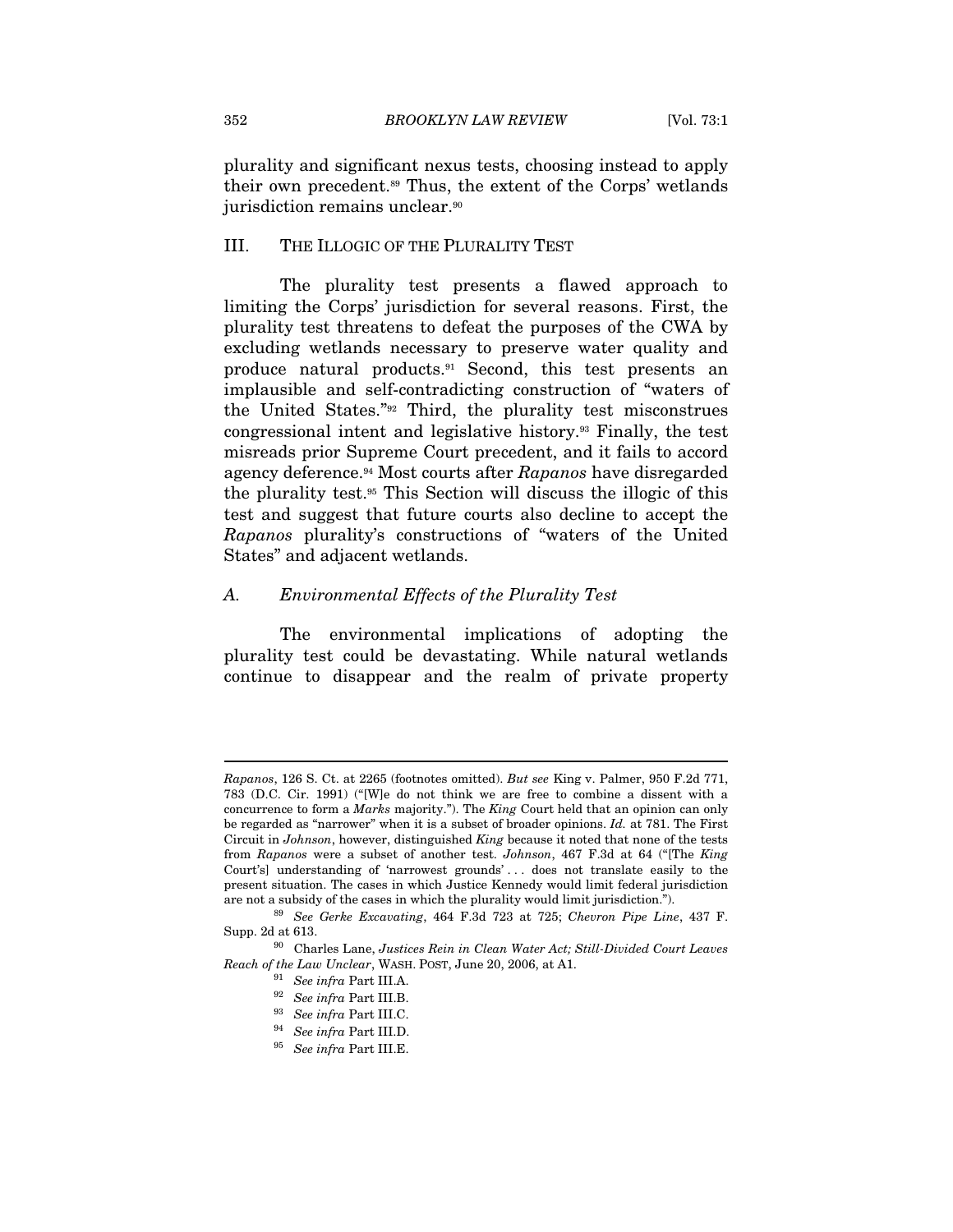plurality and significant nexus tests, choosing instead to apply their own precedent.89 Thus, the extent of the Corps' wetlands jurisdiction remains unclear.<sup>90</sup>

#### III. THE ILLOGIC OF THE PLURALITY TEST

The plurality test presents a flawed approach to limiting the Corps' jurisdiction for several reasons. First, the plurality test threatens to defeat the purposes of the CWA by excluding wetlands necessary to preserve water quality and produce natural products.91 Second, this test presents an implausible and self-contradicting construction of "waters of the United States."92 Third, the plurality test misconstrues congressional intent and legislative history.93 Finally, the test misreads prior Supreme Court precedent, and it fails to accord agency deference.94 Most courts after Rapanos have disregarded the plurality test.95 This Section will discuss the illogic of this test and suggest that future courts also decline to accept the Rapanos plurality's constructions of "waters of the United States" and adjacent wetlands.

#### A. Environmental Effects of the Plurality Test

The environmental implications of adopting the plurality test could be devastating. While natural wetlands continue to disappear and the realm of private property

Rapanos, 126 S. Ct. at 2265 (footnotes omitted). But see King v. Palmer, 950 F.2d 771, 783 (D.C. Cir. 1991) ("[W]e do not think we are free to combine a dissent with a concurrence to form a Marks majority."). The King Court held that an opinion can only be regarded as "narrower" when it is a subset of broader opinions. Id. at 781. The First Circuit in Johnson, however, distinguished King because it noted that none of the tests from Rapanos were a subset of another test. Johnson, 467 F.3d at 64 ("[The King Court's] understanding of 'narrowest grounds' . . . does not translate easily to the present situation. The cases in which Justice Kennedy would limit federal jurisdiction are not a subsidy of the cases in which the plurality would limit jurisdiction.").<br><sup>89</sup> See Gerke Excavating, 464 F.3d 723 at 725; Chevron Pipe Line, 437 F.

Supp. 2d at 613. 90 Charles Lane, Justices Rein in Clean Water Act; Still-Divided Court Leaves

Reach of the Law Unclear, WASH. POST, June 20, 2006, at A1. 91 See infra Part III.A. 92 See infra Part III.B.

<sup>&</sup>lt;sup>93</sup> See infra Part III.C.<br><sup>94</sup> See infra Part III.D.<br><sup>95</sup> See infra Part III.E.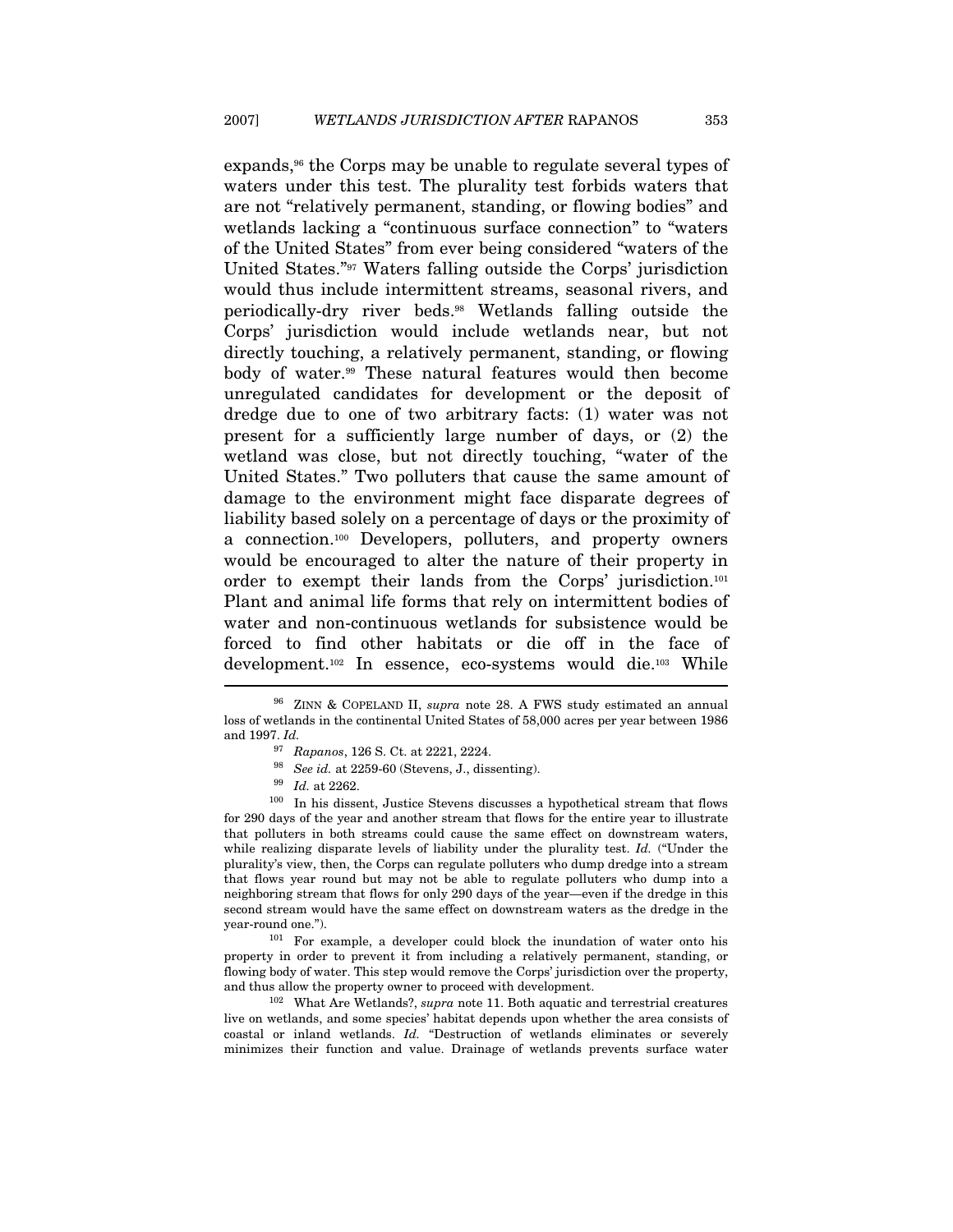expands,<sup>96</sup> the Corps may be unable to regulate several types of waters under this test. The plurality test forbids waters that are not "relatively permanent, standing, or flowing bodies" and wetlands lacking a "continuous surface connection" to "waters of the United States" from ever being considered "waters of the United States."97 Waters falling outside the Corps' jurisdiction would thus include intermittent streams, seasonal rivers, and periodically-dry river beds.98 Wetlands falling outside the Corps' jurisdiction would include wetlands near, but not directly touching, a relatively permanent, standing, or flowing body of water.<sup>99</sup> These natural features would then become unregulated candidates for development or the deposit of dredge due to one of two arbitrary facts: (1) water was not present for a sufficiently large number of days, or (2) the wetland was close, but not directly touching, "water of the United States." Two polluters that cause the same amount of damage to the environment might face disparate degrees of liability based solely on a percentage of days or the proximity of a connection.100 Developers, polluters, and property owners would be encouraged to alter the nature of their property in order to exempt their lands from the Corps' jurisdiction.101 Plant and animal life forms that rely on intermittent bodies of water and non-continuous wetlands for subsistence would be forced to find other habitats or die off in the face of development.102 In essence, eco-systems would die.103 While

- 
- 

<sup>97</sup> Rapanos, 126 S. Ct. at 2221, 2224.<br><sup>98</sup> See id. at 2259-60 (Stevens, J., dissenting).<br><sup>99</sup> Id. at 2262.<br><sup>100</sup> In his dissent, Justice Stevens discusses a hypothetical stream that flows for 290 days of the year and another stream that flows for the entire year to illustrate that polluters in both streams could cause the same effect on downstream waters, while realizing disparate levels of liability under the plurality test.  $Id$ . ("Under the plurality's view, then, the Corps can regulate polluters who dump dredge into a stream that flows year round but may not be able to regulate polluters who dump into a neighboring stream that flows for only 290 days of the year—even if the dredge in this second stream would have the same effect on downstream waters as the dredge in the year-round one.").<br><sup>101</sup> For example, a developer could block the inundation of water onto his

property in order to prevent it from including a relatively permanent, standing, or flowing body of water. This step would remove the Corps' jurisdiction over the property, and thus allow the property owner to proceed with development.<br><sup>102</sup> What Are Wetlands?, *supra* note 11. Both aquatic and terrestrial creatures

live on wetlands, and some species' habitat depends upon whether the area consists of coastal or inland wetlands. Id. "Destruction of wetlands eliminates or severely minimizes their function and value. Drainage of wetlands prevents surface water

<sup>&</sup>lt;sup>96</sup> ZINN & COPELAND II, *supra* note 28. A FWS study estimated an annual loss of wetlands in the continental United States of 58,000 acres per year between 1986 and 1997. Id.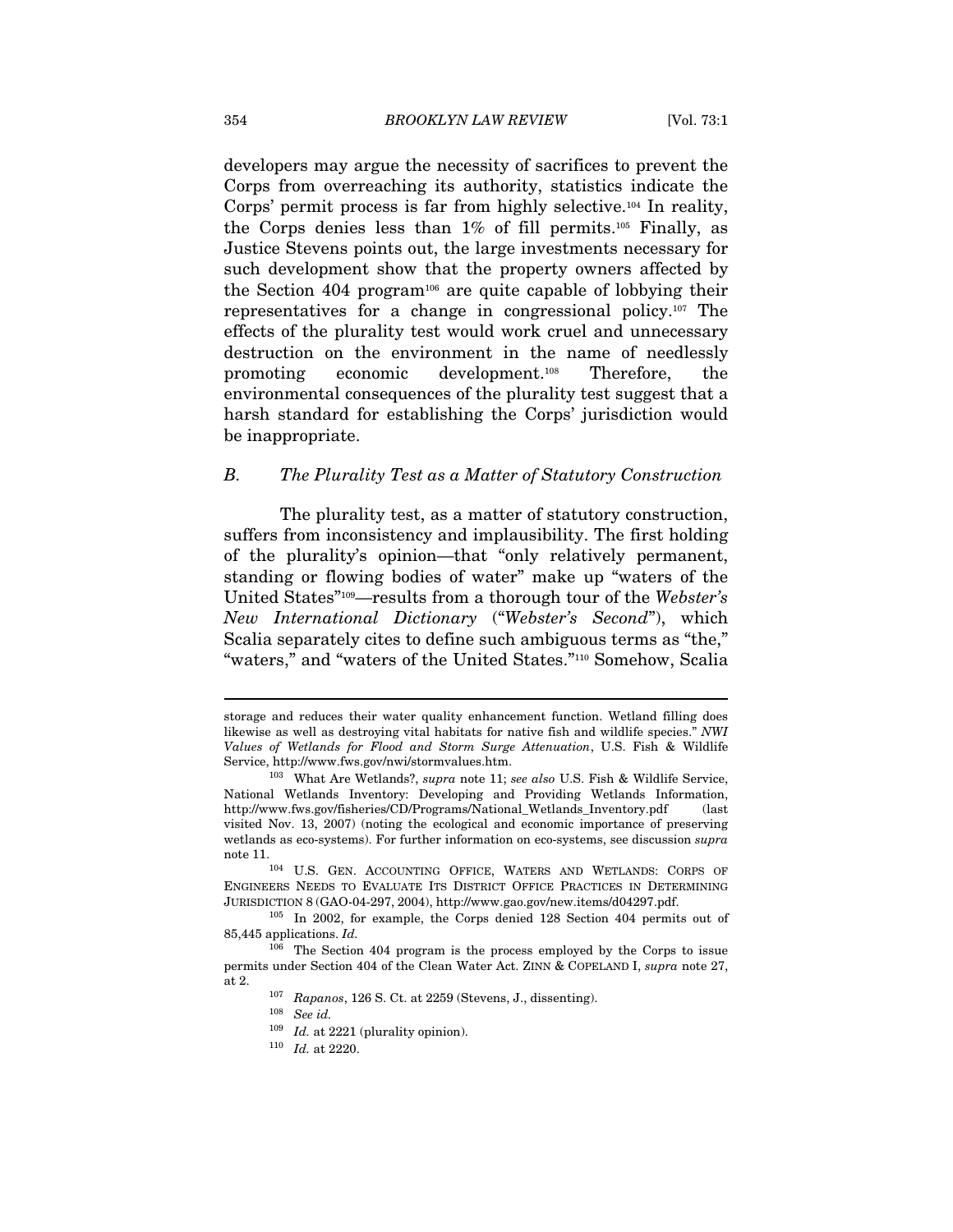developers may argue the necessity of sacrifices to prevent the Corps from overreaching its authority, statistics indicate the Corps' permit process is far from highly selective.104 In reality, the Corps denies less than  $1\%$  of fill permits.<sup>105</sup> Finally, as Justice Stevens points out, the large investments necessary for such development show that the property owners affected by the Section 404 program106 are quite capable of lobbying their representatives for a change in congressional policy.107 The effects of the plurality test would work cruel and unnecessary destruction on the environment in the name of needlessly promoting economic development.108 Therefore, the environmental consequences of the plurality test suggest that a harsh standard for establishing the Corps' jurisdiction would be inappropriate.

# B. The Plurality Test as a Matter of Statutory Construction

The plurality test, as a matter of statutory construction, suffers from inconsistency and implausibility. The first holding of the plurality's opinion—that "only relatively permanent, standing or flowing bodies of water" make up "waters of the United States"109—results from a thorough tour of the Webster's New International Dictionary ("Webster's Second"), which Scalia separately cites to define such ambiguous terms as "the," "waters," and "waters of the United States."110 Somehow, Scalia

storage and reduces their water quality enhancement function. Wetland filling does likewise as well as destroying vital habitats for native fish and wildlife species." NWI Values of Wetlands for Flood and Storm Surge Attenuation, U.S. Fish & Wildlife Service, http://www.fws.gov/nwi/stormvalues.htm.<br><sup>103</sup> What Are Wetlands?, *supra* note 11; *see also* U.S. Fish & Wildlife Service,

National Wetlands Inventory: Developing and Providing Wetlands Information, http://www.fws.gov/fisheries/CD/Programs/National\_Wetlands\_Inventory.pdf (last visited Nov. 13, 2007) (noting the ecological and economic importance of preserving wetlands as eco-systems). For further information on eco-systems, see discussion supra note 11.<br><sup>104</sup> U.S. GEN. ACCOUNTING OFFICE, WATERS AND WETLANDS: CORPS OF

ENGINEERS NEEDS TO EVALUATE ITS DISTRICT OFFICE PRACTICES IN DETERMINING

JURISDICTION 8 (GAO-04-297, 2004), http://www.gao.gov/new.items/d04297.pdf. 105 In 2002, for example, the Corps denied 128 Section 404 permits out of 85,445 applications. Id.

<sup>106</sup> The Section 404 program is the process employed by the Corps to issue permits under Section 404 of the Clean Water Act. ZINN & COPELAND I, supra note 27, at 2. 107 Rapanos, 126 S. Ct. at 2259 (Stevens, J., dissenting).

<sup>108</sup> See id.

 $^{109}$   $\,$   $Id.$  at 2221 (plurality opinion).  $^{110}$   $\,$   $Id.$  at 2220.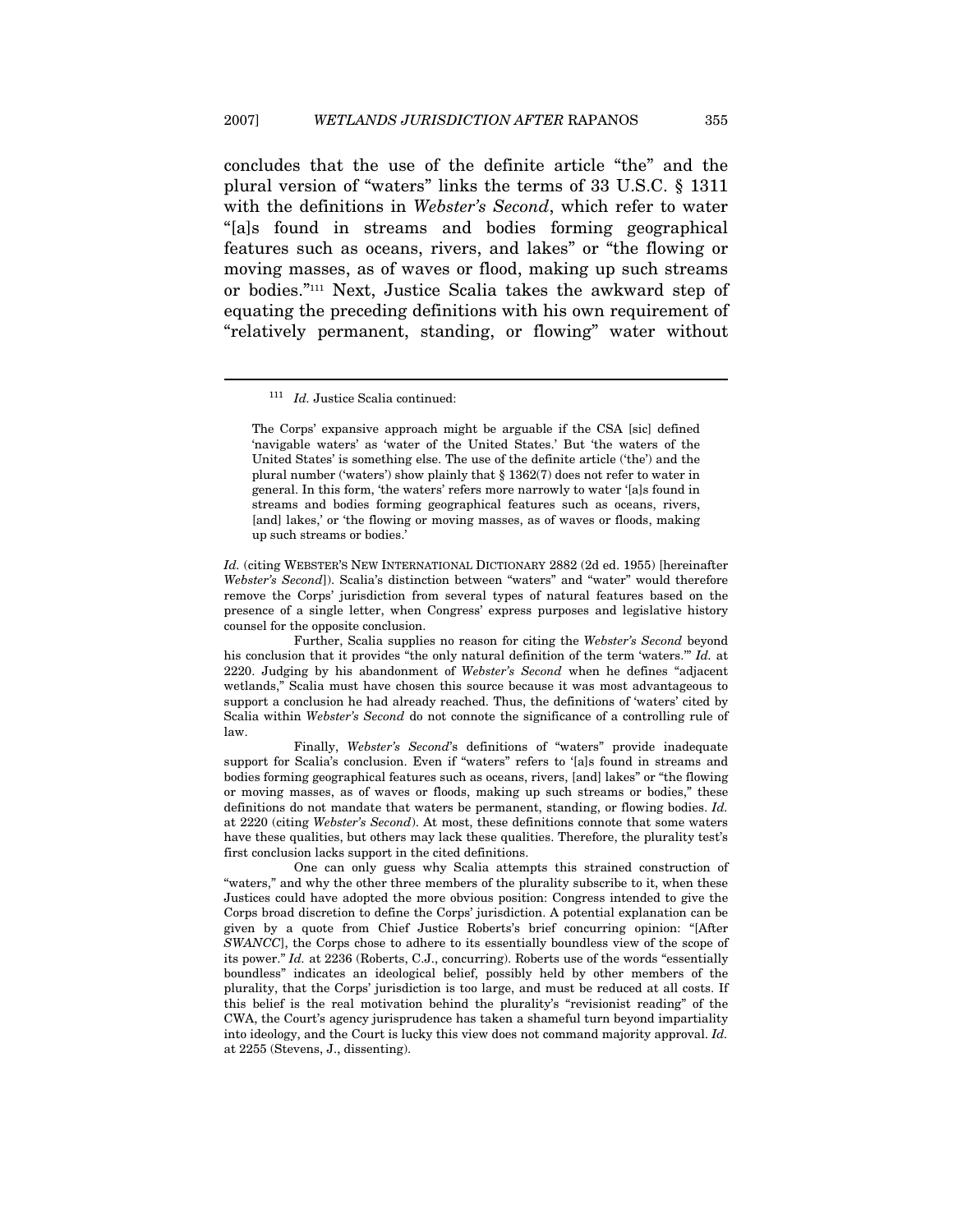concludes that the use of the definite article "the" and the plural version of "waters" links the terms of 33 U.S.C. § 1311 with the definitions in Webster's Second, which refer to water "[a]s found in streams and bodies forming geographical features such as oceans, rivers, and lakes" or "the flowing or moving masses, as of waves or flood, making up such streams or bodies."111 Next, Justice Scalia takes the awkward step of equating the preceding definitions with his own requirement of "relatively permanent, standing, or flowing" water without

 $\overline{a}$ 

Id. (citing WEBSTER'S NEW INTERNATIONAL DICTIONARY 2882 (2d ed. 1955) [hereinafter Webster's Second]). Scalia's distinction between "waters" and "water" would therefore remove the Corps' jurisdiction from several types of natural features based on the presence of a single letter, when Congress' express purposes and legislative history counsel for the opposite conclusion.

 Further, Scalia supplies no reason for citing the Webster's Second beyond his conclusion that it provides "the only natural definition of the term 'waters." Id. at 2220. Judging by his abandonment of Webster's Second when he defines "adjacent wetlands," Scalia must have chosen this source because it was most advantageous to support a conclusion he had already reached. Thus, the definitions of 'waters' cited by Scalia within Webster's Second do not connote the significance of a controlling rule of law.

 Finally, Webster's Second's definitions of "waters" provide inadequate support for Scalia's conclusion. Even if "waters" refers to '[a]s found in streams and bodies forming geographical features such as oceans, rivers, [and] lakes" or "the flowing or moving masses, as of waves or floods, making up such streams or bodies," these definitions do not mandate that waters be permanent, standing, or flowing bodies. Id. at 2220 (citing Webster's Second). At most, these definitions connote that some waters have these qualities, but others may lack these qualities. Therefore, the plurality test's first conclusion lacks support in the cited definitions.

 One can only guess why Scalia attempts this strained construction of "waters," and why the other three members of the plurality subscribe to it, when these Justices could have adopted the more obvious position: Congress intended to give the Corps broad discretion to define the Corps' jurisdiction. A potential explanation can be given by a quote from Chief Justice Roberts's brief concurring opinion: "[After SWANCC], the Corps chose to adhere to its essentially boundless view of the scope of its power." Id. at 2236 (Roberts, C.J., concurring). Roberts use of the words "essentially boundless" indicates an ideological belief, possibly held by other members of the plurality, that the Corps' jurisdiction is too large, and must be reduced at all costs. If this belief is the real motivation behind the plurality's "revisionist reading" of the CWA, the Court's agency jurisprudence has taken a shameful turn beyond impartiality into ideology, and the Court is lucky this view does not command majority approval. Id. at 2255 (Stevens, J., dissenting).

<sup>111</sup> Id. Justice Scalia continued:

The Corps' expansive approach might be arguable if the CSA [sic] defined 'navigable waters' as 'water of the United States.' But 'the waters of the United States' is something else. The use of the definite article ('the') and the plural number ('waters') show plainly that § 1362(7) does not refer to water in general. In this form, 'the waters' refers more narrowly to water '[a]s found in streams and bodies forming geographical features such as oceans, rivers, [and] lakes,' or 'the flowing or moving masses, as of waves or floods, making up such streams or bodies.'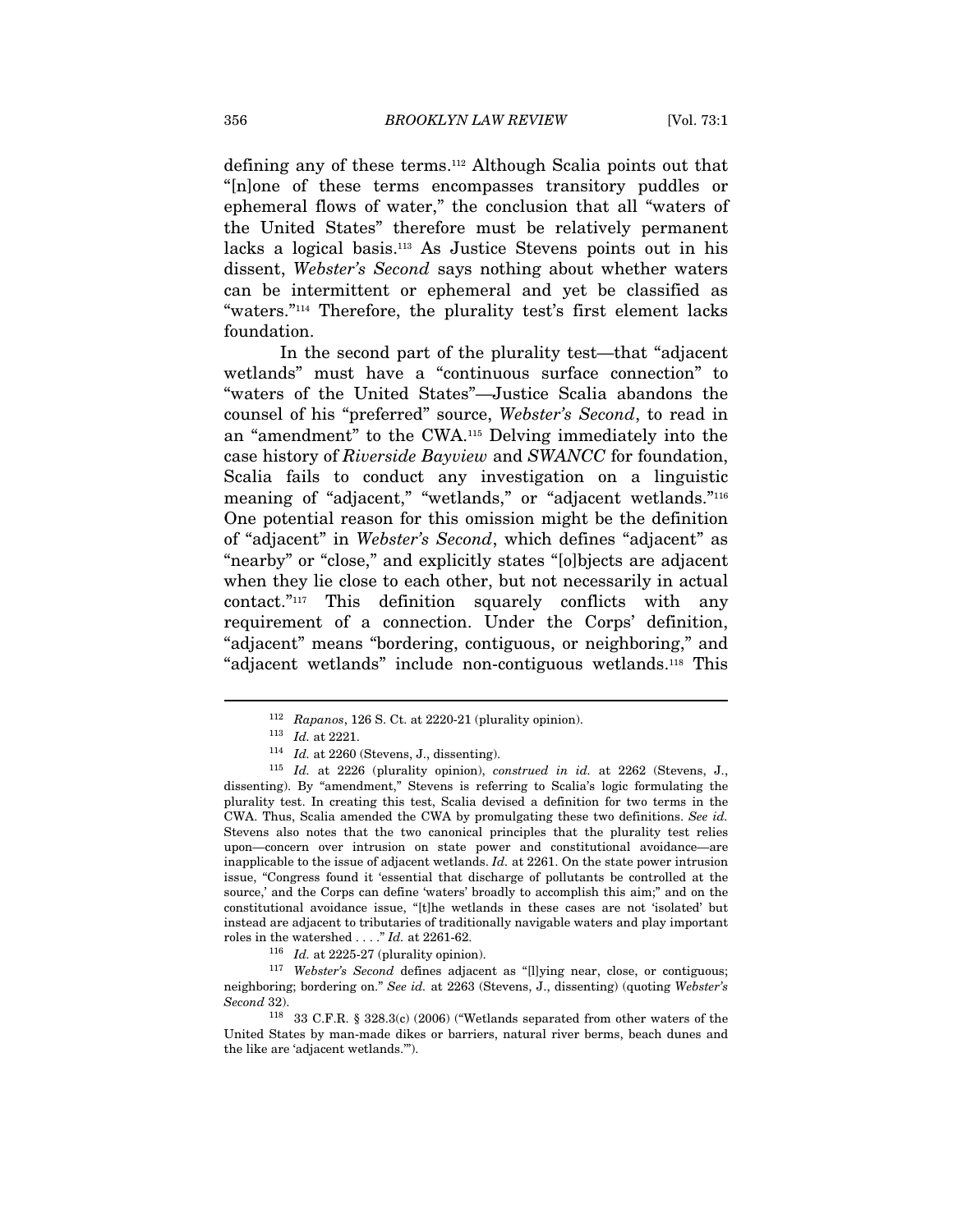defining any of these terms.112 Although Scalia points out that "[n]one of these terms encompasses transitory puddles or ephemeral flows of water," the conclusion that all "waters of the United States" therefore must be relatively permanent lacks a logical basis.113 As Justice Stevens points out in his dissent, Webster's Second says nothing about whether waters can be intermittent or ephemeral and yet be classified as "waters."114 Therefore, the plurality test's first element lacks foundation.

In the second part of the plurality test—that "adjacent wetlands" must have a "continuous surface connection" to "waters of the United States"—Justice Scalia abandons the counsel of his "preferred" source, Webster's Second, to read in an "amendment" to the CWA.115 Delving immediately into the case history of Riverside Bayview and SWANCC for foundation, Scalia fails to conduct any investigation on a linguistic meaning of "adjacent," "wetlands," or "adjacent wetlands."<sup>116</sup> One potential reason for this omission might be the definition of "adjacent" in Webster's Second, which defines "adjacent" as "nearby" or "close," and explicitly states "[o]bjects are adjacent when they lie close to each other, but not necessarily in actual contact."117 This definition squarely conflicts with any requirement of a connection. Under the Corps' definition, "adjacent" means "bordering, contiguous, or neighboring," and "adjacent wetlands" include non-contiguous wetlands.118 This

 $\overline{a}$ 

neighboring; bordering on." See id. at 2263 (Stevens, J., dissenting) (quoting Webster's Second 32).

<sup>&</sup>lt;sup>112</sup> Rapanos, 126 S. Ct. at 2220-21 (plurality opinion).<br><sup>113</sup> Id. at 2221.<br><sup>114</sup> Id. at 2260 (Stevens, J., dissenting).<br><sup>115</sup> Id. at 2226 (plurality opinion), *construed in id.* at 2262 (Stevens, J., dissenting). By "amendment," Stevens is referring to Scalia's logic formulating the plurality test. In creating this test, Scalia devised a definition for two terms in the CWA. Thus, Scalia amended the CWA by promulgating these two definitions. See id. Stevens also notes that the two canonical principles that the plurality test relies upon—concern over intrusion on state power and constitutional avoidance—are inapplicable to the issue of adjacent wetlands.  $Id$ . at 2261. On the state power intrusion issue, "Congress found it 'essential that discharge of pollutants be controlled at the source,' and the Corps can define 'waters' broadly to accomplish this aim;" and on the constitutional avoidance issue, "[t]he wetlands in these cases are not 'isolated' but instead are adjacent to tributaries of traditionally navigable waters and play important roles in the watershed . . . ." Id. at 2261-62.  $1^{16}$  Id. at 2225-27 (plurality opinion).  $1^{17}$  Webster's Second defines adjacent as "[l]ying near, close, or contiguous;

<sup>118 33</sup> C.F.R. § 328.3(c) (2006) ("Wetlands separated from other waters of the United States by man-made dikes or barriers, natural river berms, beach dunes and the like are 'adjacent wetlands.'").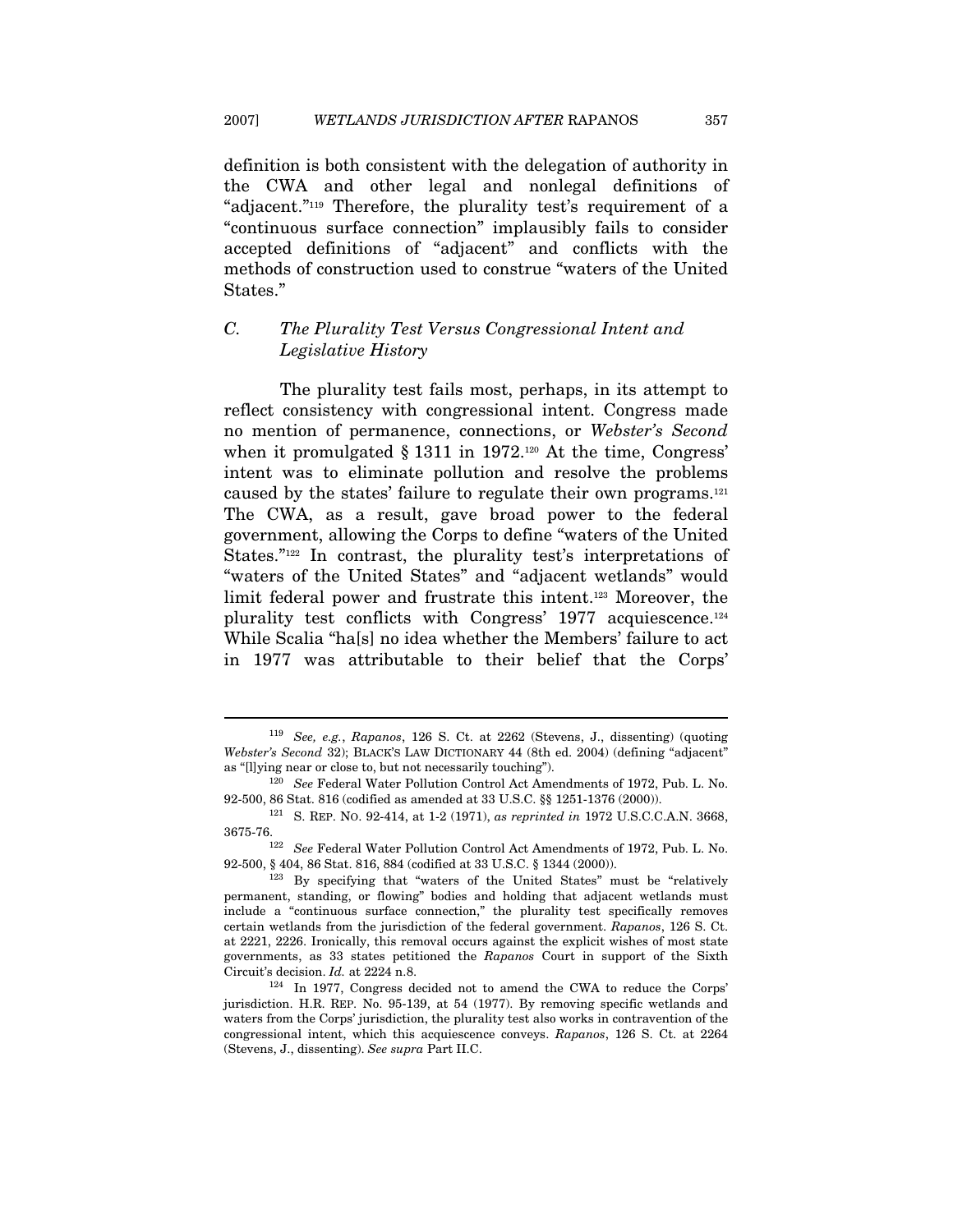definition is both consistent with the delegation of authority in the CWA and other legal and nonlegal definitions of "adjacent."119 Therefore, the plurality test's requirement of a "continuous surface connection" implausibly fails to consider accepted definitions of "adjacent" and conflicts with the methods of construction used to construe "waters of the United States."

# C. The Plurality Test Versus Congressional Intent and Legislative History

The plurality test fails most, perhaps, in its attempt to reflect consistency with congressional intent. Congress made no mention of permanence, connections, or Webster's Second when it promulgated  $\S 1311$  in 1972.<sup>120</sup> At the time, Congress' intent was to eliminate pollution and resolve the problems caused by the states' failure to regulate their own programs.121 The CWA, as a result, gave broad power to the federal government, allowing the Corps to define "waters of the United States."<sup>122</sup> In contrast, the plurality test's interpretations of "waters of the United States" and "adjacent wetlands" would limit federal power and frustrate this intent.123 Moreover, the plurality test conflicts with Congress' 1977 acquiescence.124 While Scalia "ha[s] no idea whether the Members' failure to act in 1977 was attributable to their belief that the Corps'

<sup>119</sup> See, e.g., Rapanos, 126 S. Ct. at 2262 (Stevens, J., dissenting) (quoting Webster's Second 32); BLACK'S LAW DICTIONARY 44 (8th ed. 2004) (defining "adjacent" as "[l]ying near or close to, but not necessarily touching"). 120 See Federal Water Pollution Control Act Amendments of 1972, Pub. L. No.

<sup>92-500, 86</sup> Stat. 816 (codified as amended at 33 U.S.C. §§ 1251-1376 (2000)). 121 S. REP. NO. 92-414, at 1-2 (1971), as reprinted in 1972 U.S.C.C.A.N. 3668,

<sup>3675-76.&</sup>lt;br><sup>122</sup> See Federal Water Pollution Control Act Amendments of 1972, Pub. L. No.<br>92-500, § 404, 86 Stat. 816, 884 (codified at 33 U.S.C. § 1344 (2000)).

 $123$  By specifying that "waters of the United States" must be "relatively permanent, standing, or flowing" bodies and holding that adjacent wetlands must include a "continuous surface connection," the plurality test specifically removes certain wetlands from the jurisdiction of the federal government. Rapanos, 126 S. Ct. at 2221, 2226. Ironically, this removal occurs against the explicit wishes of most state governments, as 33 states petitioned the Rapanos Court in support of the Sixth Circuit's decision. Id. at 2224 n.8.<br><sup>124</sup> In 1977, Congress decided not to amend the CWA to reduce the Corps'

jurisdiction. H.R. REP. No. 95-139, at 54 (1977). By removing specific wetlands and waters from the Corps' jurisdiction, the plurality test also works in contravention of the congressional intent, which this acquiescence conveys. Rapanos, 126 S. Ct. at 2264 (Stevens, J., dissenting). See supra Part II.C.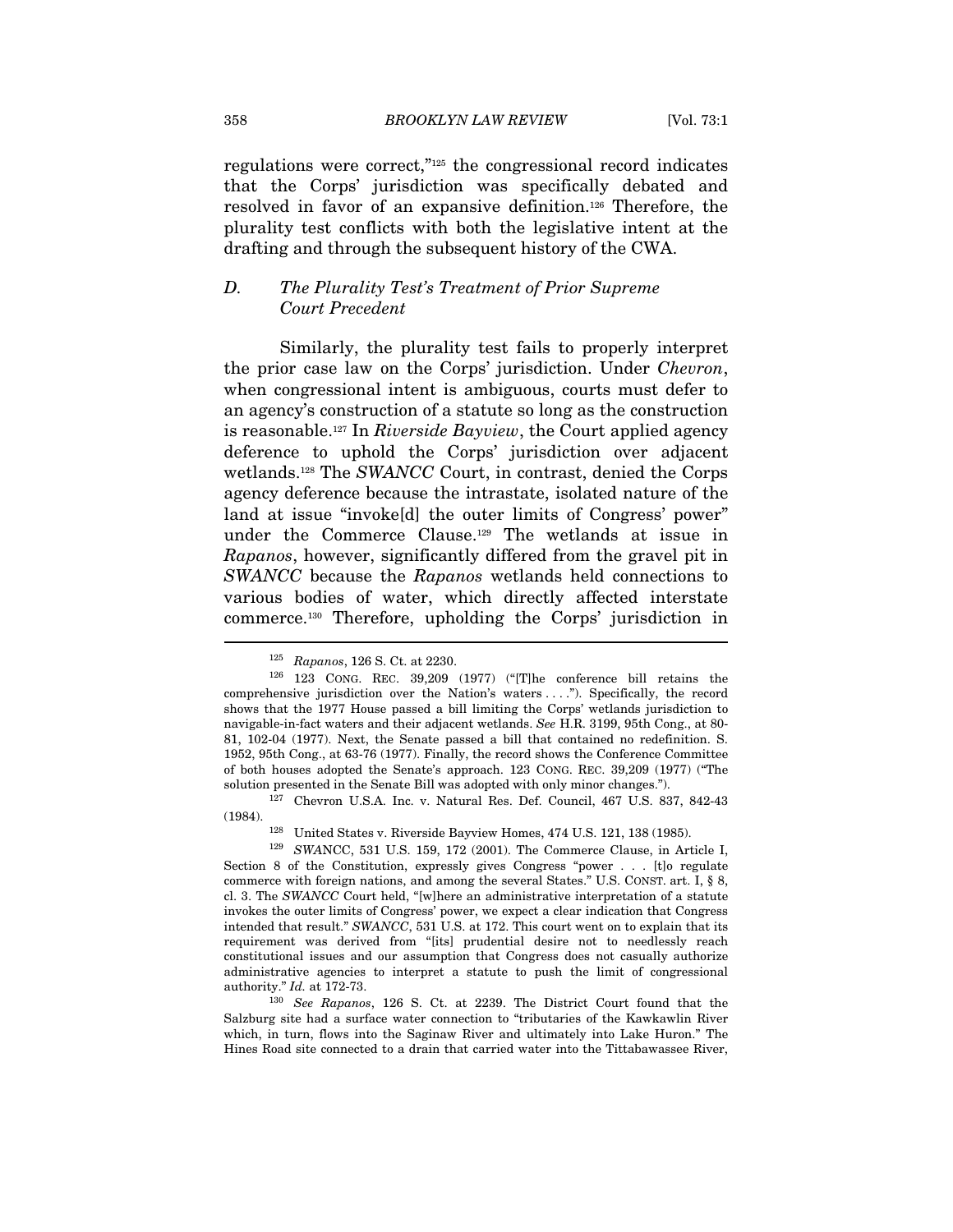regulations were correct,"125 the congressional record indicates that the Corps' jurisdiction was specifically debated and resolved in favor of an expansive definition.126 Therefore, the plurality test conflicts with both the legislative intent at the drafting and through the subsequent history of the CWA.

# D. The Plurality Test's Treatment of Prior Supreme Court Precedent

Similarly, the plurality test fails to properly interpret the prior case law on the Corps' jurisdiction. Under Chevron, when congressional intent is ambiguous, courts must defer to an agency's construction of a statute so long as the construction is reasonable.<sup>127</sup> In *Riverside Bayview*, the Court applied agency deference to uphold the Corps' jurisdiction over adjacent wetlands.128 The SWANCC Court, in contrast, denied the Corps agency deference because the intrastate, isolated nature of the land at issue "invoke[d] the outer limits of Congress' power" under the Commerce Clause.129 The wetlands at issue in Rapanos, however, significantly differed from the gravel pit in SWANCC because the Rapanos wetlands held connections to various bodies of water, which directly affected interstate commerce.130 Therefore, upholding the Corps' jurisdiction in

(1984).<br><sup>128</sup> United States v. Riverside Bayview Homes, 474 U.S. 121, 138 (1985).<br><sup>129</sup> SWANCC, 531 U.S. 159, 172 (2001). The Commerce Clause, in Article I,

Section 8 of the Constitution, expressly gives Congress "power . . . [t]o regulate commerce with foreign nations, and among the several States." U.S. CONST. art. I, § 8, cl. 3. The SWANCC Court held, "[w]here an administrative interpretation of a statute invokes the outer limits of Congress' power, we expect a clear indication that Congress intended that result." SWANCC, 531 U.S. at 172. This court went on to explain that its requirement was derived from "[its] prudential desire not to needlessly reach constitutional issues and our assumption that Congress does not casually authorize administrative agencies to interpret a statute to push the limit of congressional authority." Id. at 172-73.<br><sup>130</sup> See Rapanos, 126 S. Ct. at 2239. The District Court found that the

Salzburg site had a surface water connection to "tributaries of the Kawkawlin River which, in turn, flows into the Saginaw River and ultimately into Lake Huron." The Hines Road site connected to a drain that carried water into the Tittabawassee River,

<sup>&</sup>lt;sup>125</sup> Rapanos, 126 S. Ct. at 2230.<br><sup>126</sup> 123 CONG. REC. 39,209 (1977) ("[T]he conference bill retains the comprehensive jurisdiction over the Nation's waters . . . ."). Specifically, the record shows that the 1977 House passed a bill limiting the Corps' wetlands jurisdiction to navigable-in-fact waters and their adjacent wetlands. See H.R. 3199, 95th Cong., at 80- 81, 102-04 (1977). Next, the Senate passed a bill that contained no redefinition. S. 1952, 95th Cong., at 63-76 (1977). Finally, the record shows the Conference Committee of both houses adopted the Senate's approach. 123 CONG. REC. 39,209 (1977) ("The solution presented in the Senate Bill was adopted with only minor changes."). 127 Chevron U.S.A. Inc. v. Natural Res. Def. Council, 467 U.S. 837, 842-43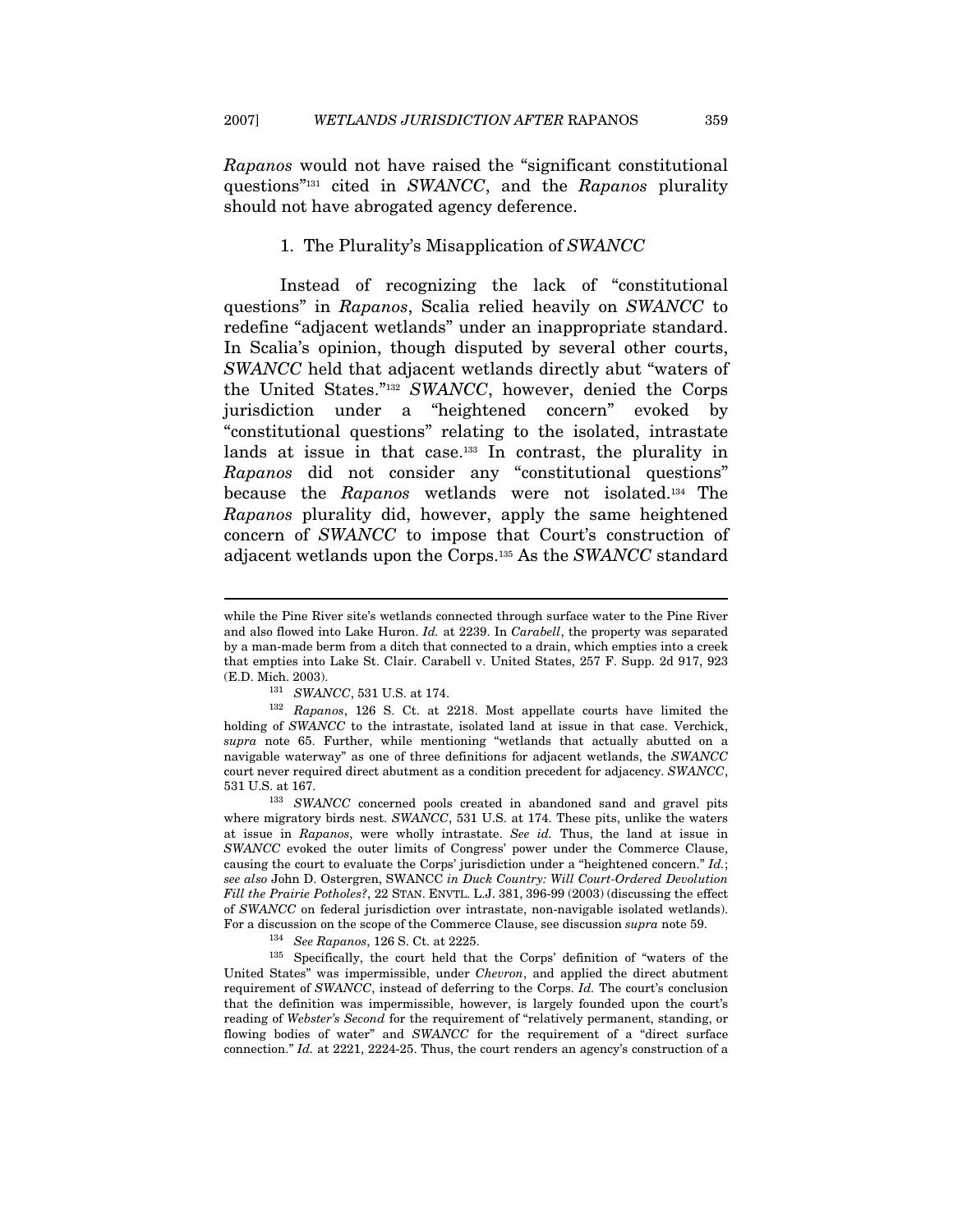Rapanos would not have raised the "significant constitutional questions"131 cited in SWANCC, and the Rapanos plurality should not have abrogated agency deference.

# 1. The Plurality's Misapplication of SWANCC

Instead of recognizing the lack of "constitutional questions" in Rapanos, Scalia relied heavily on SWANCC to redefine "adjacent wetlands" under an inappropriate standard. In Scalia's opinion, though disputed by several other courts, SWANCC held that adjacent wetlands directly abut "waters of the United States."132 SWANCC, however, denied the Corps jurisdiction under a "heightened concern" evoked by "constitutional questions" relating to the isolated, intrastate lands at issue in that case.<sup>133</sup> In contrast, the plurality in Rapanos did not consider any "constitutional questions" because the Rapanos wetlands were not isolated.134 The Rapanos plurality did, however, apply the same heightened concern of SWANCC to impose that Court's construction of adjacent wetlands upon the Corps.135 As the SWANCC standard

 $\overline{a}$ 

United States" was impermissible, under Chevron, and applied the direct abutment requirement of SWANCC, instead of deferring to the Corps. Id. The court's conclusion that the definition was impermissible, however, is largely founded upon the court's reading of Webster's Second for the requirement of "relatively permanent, standing, or flowing bodies of water" and SWANCC for the requirement of a "direct surface connection." Id. at 2221, 2224-25. Thus, the court renders an agency's construction of a

while the Pine River site's wetlands connected through surface water to the Pine River and also flowed into Lake Huron. Id. at 2239. In Carabell, the property was separated by a man-made berm from a ditch that connected to a drain, which empties into a creek that empties into Lake St. Clair. Carabell v. United States, 257 F. Supp. 2d 917, 923 (E.D. Mich. 2003). 131 SWANCC, 531 U.S. at 174. 132  $Rapanos$ , 126 S. Ct. at 2218. Most appellate courts have limited the

holding of SWANCC to the intrastate, isolated land at issue in that case. Verchick, supra note 65. Further, while mentioning "wetlands that actually abutted on a navigable waterway" as one of three definitions for adjacent wetlands, the SWANCC court never required direct abutment as a condition precedent for adjacency. SWANCC,

 $531$  U.S. at  $167.$   $^{133} \quad SWANCC$  concerned pools created in abandoned sand and gravel pits where migratory birds nest. SWANCC, 531 U.S. at 174. These pits, unlike the waters at issue in Rapanos, were wholly intrastate. See id. Thus, the land at issue in SWANCC evoked the outer limits of Congress' power under the Commerce Clause, causing the court to evaluate the Corps' jurisdiction under a "heightened concern." Id.; see also John D. Ostergren, SWANCC in Duck Country: Will Court-Ordered Devolution Fill the Prairie Potholes?, 22 STAN. ENVTL. L.J. 381, 396-99 (2003) (discussing the effect of SWANCC on federal jurisdiction over intrastate, non-navigable isolated wetlands). For a discussion on the scope of the Commerce Clause, see discussion *supra* note 59.<br><sup>134</sup> See Rapanos, 126 S. Ct. at 2225.<br><sup>135</sup> Specifically, the court held that the Corps' definition of "waters of the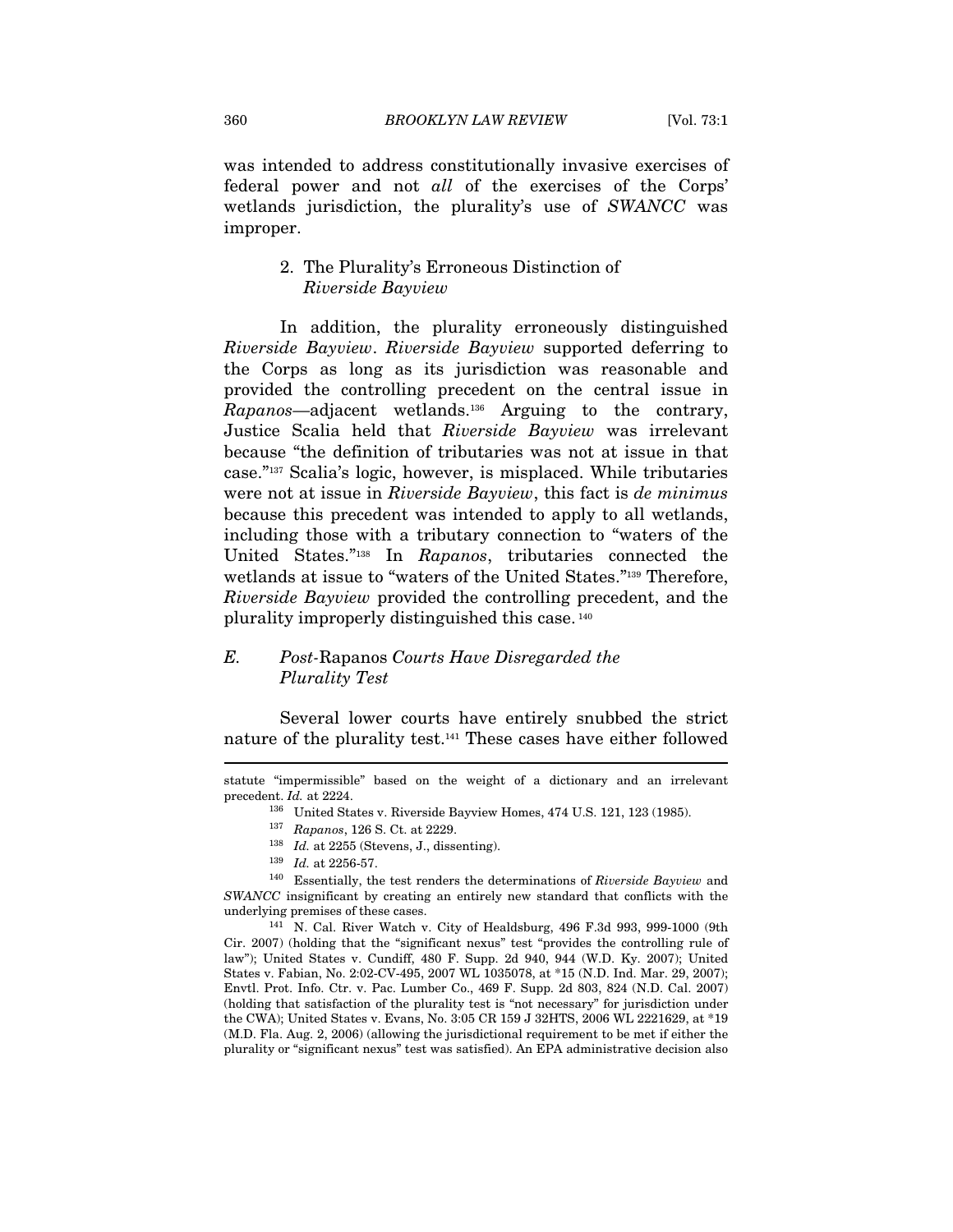was intended to address constitutionally invasive exercises of federal power and not all of the exercises of the Corps' wetlands jurisdiction, the plurality's use of SWANCC was improper.

# 2. The Plurality's Erroneous Distinction of Riverside Bayview

In addition, the plurality erroneously distinguished Riverside Bayview. Riverside Bayview supported deferring to the Corps as long as its jurisdiction was reasonable and provided the controlling precedent on the central issue in Rapanos—adjacent wetlands.136 Arguing to the contrary, Justice Scalia held that Riverside Bayview was irrelevant because "the definition of tributaries was not at issue in that case."137 Scalia's logic, however, is misplaced. While tributaries were not at issue in Riverside Bayview, this fact is de minimus because this precedent was intended to apply to all wetlands, including those with a tributary connection to "waters of the United States."138 In Rapanos, tributaries connected the wetlands at issue to "waters of the United States."139 Therefore, Riverside Bayview provided the controlling precedent, and the plurality improperly distinguished this case. 140

# E. Post-Rapanos Courts Have Disregarded the Plurality Test

Several lower courts have entirely snubbed the strict nature of the plurality test.141 These cases have either followed

statute "impermissible" based on the weight of a dictionary and an irrelevant precedent. Id. at 2224.<br><sup>136</sup> United States v. Riverside Bayview Homes, 474 U.S. 121, 123 (1985).<br><sup>137</sup> Rapanos, 126 S. Ct. at 2229.<br><sup>138</sup> Id. at 2255 (Stevens, J., dissenting).

<sup>&</sup>lt;sup>139</sup> Id. at 2256-57.<br><sup>140</sup> Essentially, the test renders the determinations of *Riverside Bayview* and SWANCC insignificant by creating an entirely new standard that conflicts with the underlying premises of these cases.<br><sup>141</sup> N. Cal. River Watch v. City of Healdsburg, 496 F.3d 993, 999-1000 (9th

Cir. 2007) (holding that the "significant nexus" test "provides the controlling rule of law"); United States v. Cundiff, 480 F. Supp. 2d 940, 944 (W.D. Ky. 2007); United States v. Fabian, No. 2:02-CV-495, 2007 WL 1035078, at \*15 (N.D. Ind. Mar. 29, 2007); Envtl. Prot. Info. Ctr. v. Pac. Lumber Co., 469 F. Supp. 2d 803, 824 (N.D. Cal. 2007) (holding that satisfaction of the plurality test is "not necessary" for jurisdiction under the CWA); United States v. Evans, No. 3:05 CR 159 J 32HTS, 2006 WL 2221629, at \*19 (M.D. Fla. Aug. 2, 2006) (allowing the jurisdictional requirement to be met if either the plurality or "significant nexus" test was satisfied). An EPA administrative decision also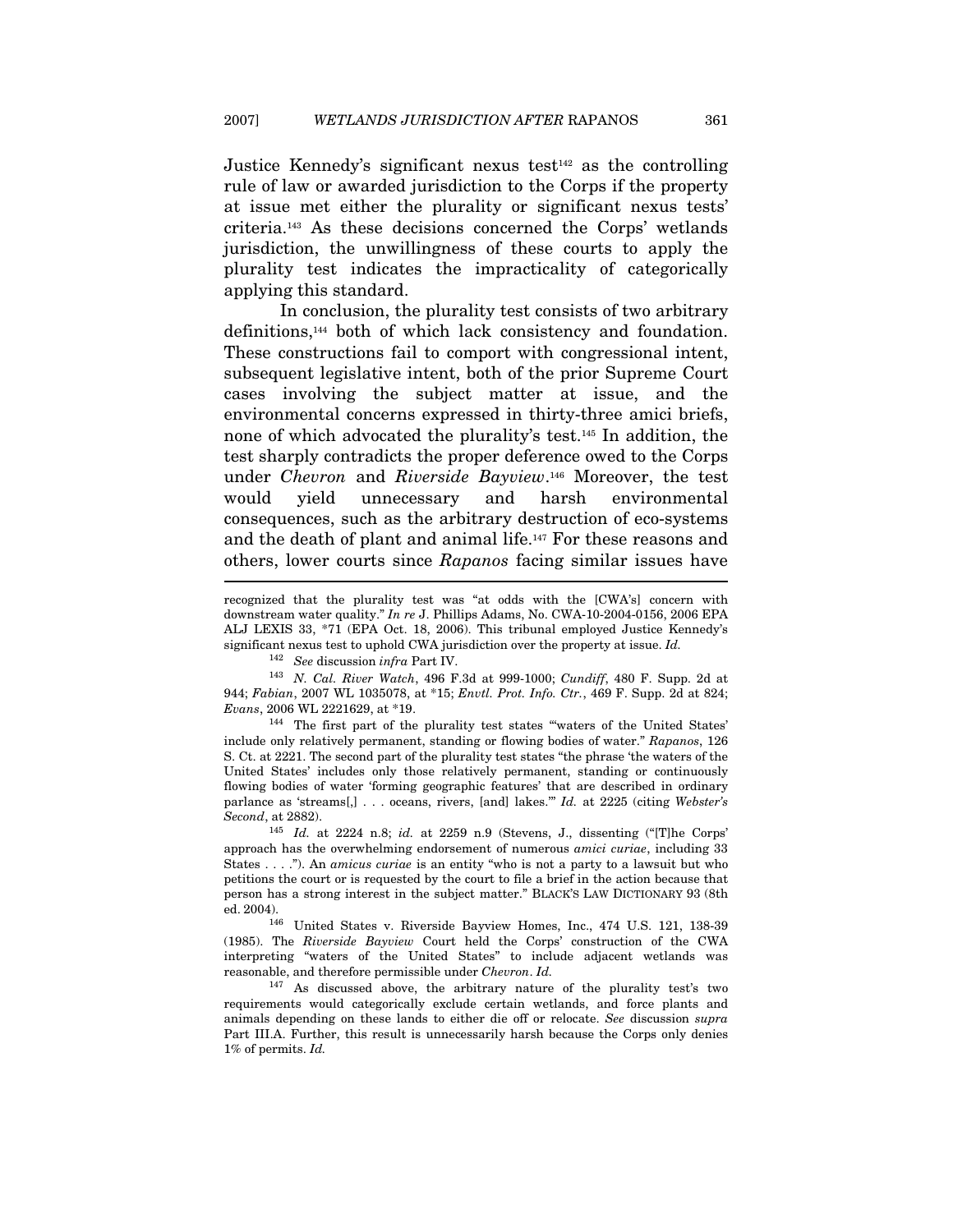Justice Kennedy's significant nexus test $142$  as the controlling rule of law or awarded jurisdiction to the Corps if the property at issue met either the plurality or significant nexus tests' criteria.143 As these decisions concerned the Corps' wetlands jurisdiction, the unwillingness of these courts to apply the plurality test indicates the impracticality of categorically applying this standard.

In conclusion, the plurality test consists of two arbitrary definitions,144 both of which lack consistency and foundation. These constructions fail to comport with congressional intent, subsequent legislative intent, both of the prior Supreme Court cases involving the subject matter at issue, and the environmental concerns expressed in thirty-three amici briefs, none of which advocated the plurality's test.145 In addition, the test sharply contradicts the proper deference owed to the Corps under Chevron and Riverside Bayview.<sup>146</sup> Moreover, the test would yield unnecessary and harsh environmental consequences, such as the arbitrary destruction of eco-systems and the death of plant and animal life.147 For these reasons and others, lower courts since Rapanos facing similar issues have

<sup>142</sup> See discussion infra Part IV.<br><sup>143</sup> N. Cal. River Watch, 496 F.3d at 999-1000; Cundiff, 480 F. Supp. 2d at 944; Fabian, 2007 WL 1035078, at \*15; Envtl. Prot. Info. Ctr., 469 F. Supp. 2d at 824; Evans, 2006 WL 2221629, at \*19.

144 The first part of the plurality test states "'waters of the United States' include only relatively permanent, standing or flowing bodies of water." Rapanos, 126 S. Ct. at 2221. The second part of the plurality test states "the phrase 'the waters of the United States' includes only those relatively permanent, standing or continuously flowing bodies of water 'forming geographic features' that are described in ordinary parlance as 'streams[,] . . . oceans, rivers, [and] lakes.'" Id. at 2225 (citing Webster's Second, at 2882).

ed. 2004). 146 United States v. Riverside Bayview Homes, Inc., 474 U.S. 121, 138-39 (1985). The Riverside Bayview Court held the Corps' construction of the CWA interpreting "waters of the United States" to include adjacent wetlands was reasonable, and therefore permissible under Chevron. Id.

147 As discussed above, the arbitrary nature of the plurality test's two requirements would categorically exclude certain wetlands, and force plants and animals depending on these lands to either die off or relocate. See discussion supra Part III.A. Further, this result is unnecessarily harsh because the Corps only denies 1% of permits. Id.

recognized that the plurality test was "at odds with the [CWA's] concern with downstream water quality." In re J. Phillips Adams, No. CWA-10-2004-0156, 2006 EPA ALJ LEXIS 33, \*71 (EPA Oct. 18, 2006). This tribunal employed Justice Kennedy's significant nexus test to uphold CWA jurisdiction over the property at issue. Id.

<sup>145</sup> Id. at 2224 n.8; id. at 2259 n.9 (Stevens, J., dissenting ("[T]he Corps' approach has the overwhelming endorsement of numerous amici curiae, including 33 States . . . ."). An amicus curiae is an entity "who is not a party to a lawsuit but who petitions the court or is requested by the court to file a brief in the action because that person has a strong interest in the subject matter." BLACK'S LAW DICTIONARY 93 (8th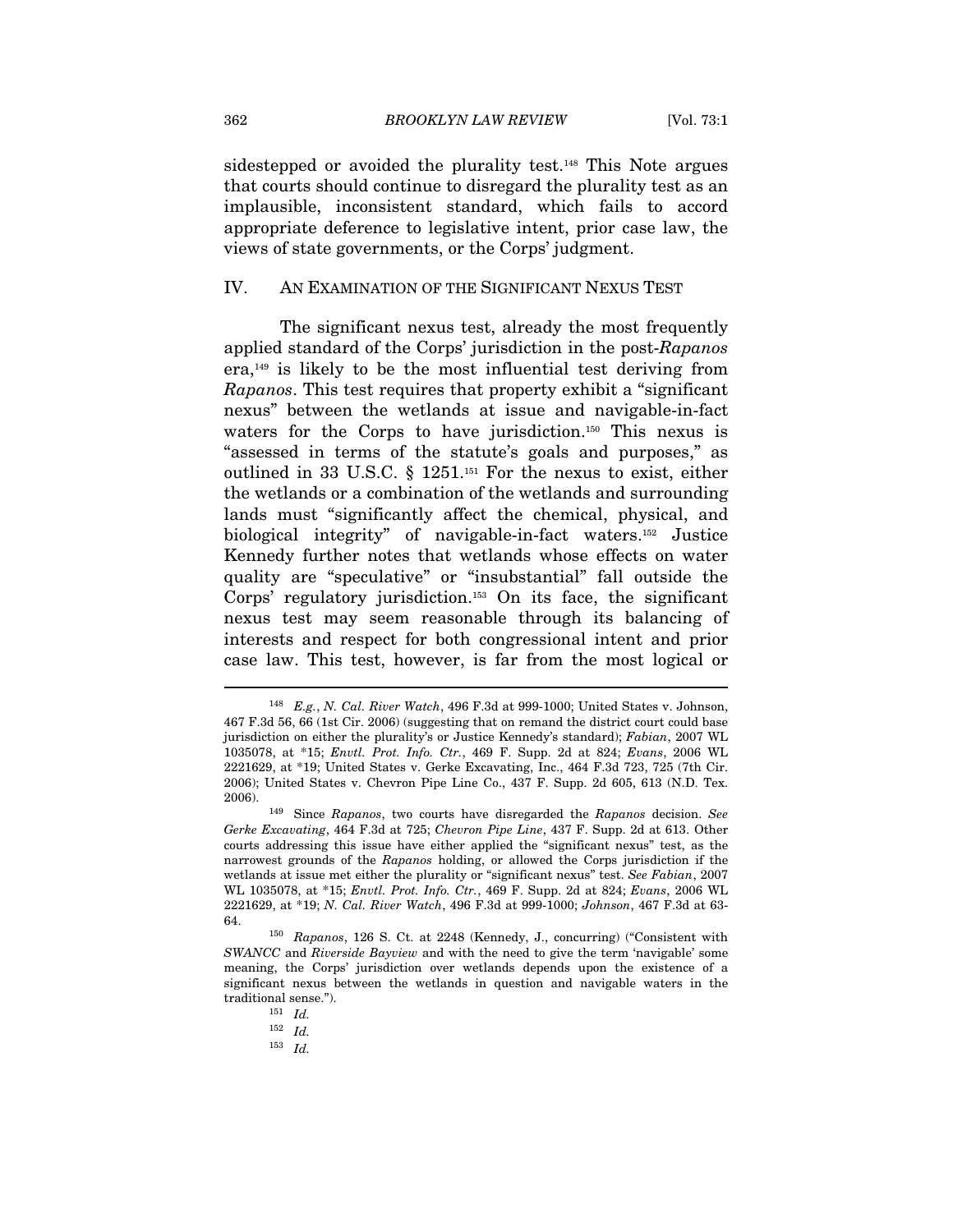sidestepped or avoided the plurality test.148 This Note argues that courts should continue to disregard the plurality test as an implausible, inconsistent standard, which fails to accord appropriate deference to legislative intent, prior case law, the views of state governments, or the Corps' judgment.

#### IV. AN EXAMINATION OF THE SIGNIFICANT NEXUS TEST

The significant nexus test, already the most frequently applied standard of the Corps' jurisdiction in the post-Rapanos era,149 is likely to be the most influential test deriving from Rapanos. This test requires that property exhibit a "significant nexus" between the wetlands at issue and navigable-in-fact waters for the Corps to have jurisdiction.<sup>150</sup> This nexus is "assessed in terms of the statute's goals and purposes," as outlined in 33 U.S.C. § 1251.151 For the nexus to exist, either the wetlands or a combination of the wetlands and surrounding lands must "significantly affect the chemical, physical, and biological integrity" of navigable-in-fact waters.152 Justice Kennedy further notes that wetlands whose effects on water quality are "speculative" or "insubstantial" fall outside the Corps' regulatory jurisdiction.153 On its face, the significant nexus test may seem reasonable through its balancing of interests and respect for both congressional intent and prior case law. This test, however, is far from the most logical or

<sup>153</sup> Id.

<sup>&</sup>lt;sup>148</sup> E.g., N. Cal. River Watch, 496 F.3d at 999-1000; United States v. Johnson, 467 F.3d 56, 66 (1st Cir. 2006) (suggesting that on remand the district court could base jurisdiction on either the plurality's or Justice Kennedy's standard); Fabian, 2007 WL 1035078, at \*15; Envtl. Prot. Info. Ctr., 469 F. Supp. 2d at 824; Evans, 2006 WL 2221629, at \*19; United States v. Gerke Excavating, Inc., 464 F.3d 723, 725 (7th Cir. 2006); United States v. Chevron Pipe Line Co., 437 F. Supp. 2d 605, 613 (N.D. Tex.

<sup>2006).</sup>  $149$  Since Rapanos, two courts have disregarded the Rapanos decision. See Gerke Excavating, 464 F.3d at 725; Chevron Pipe Line, 437 F. Supp. 2d at 613. Other courts addressing this issue have either applied the "significant nexus" test, as the narrowest grounds of the Rapanos holding, or allowed the Corps jurisdiction if the wetlands at issue met either the plurality or "significant nexus" test. See Fabian, 2007 WL 1035078, at \*15; Envtl. Prot. Info. Ctr., 469 F. Supp. 2d at 824; Evans, 2006 WL 2221629, at \*19; N. Cal. River Watch, 496 F.3d at 999-1000; Johnson, 467 F.3d at 63- 64. 150 Rapanos, 126 S. Ct. at 2248 (Kennedy, J., concurring) ("Consistent with

SWANCC and Riverside Bayview and with the need to give the term 'navigable' some meaning, the Corps' jurisdiction over wetlands depends upon the existence of a significant nexus between the wetlands in question and navigable waters in the traditional sense.").<br> $151$   $Id.$ 

 $^{152}\;$   $Id.$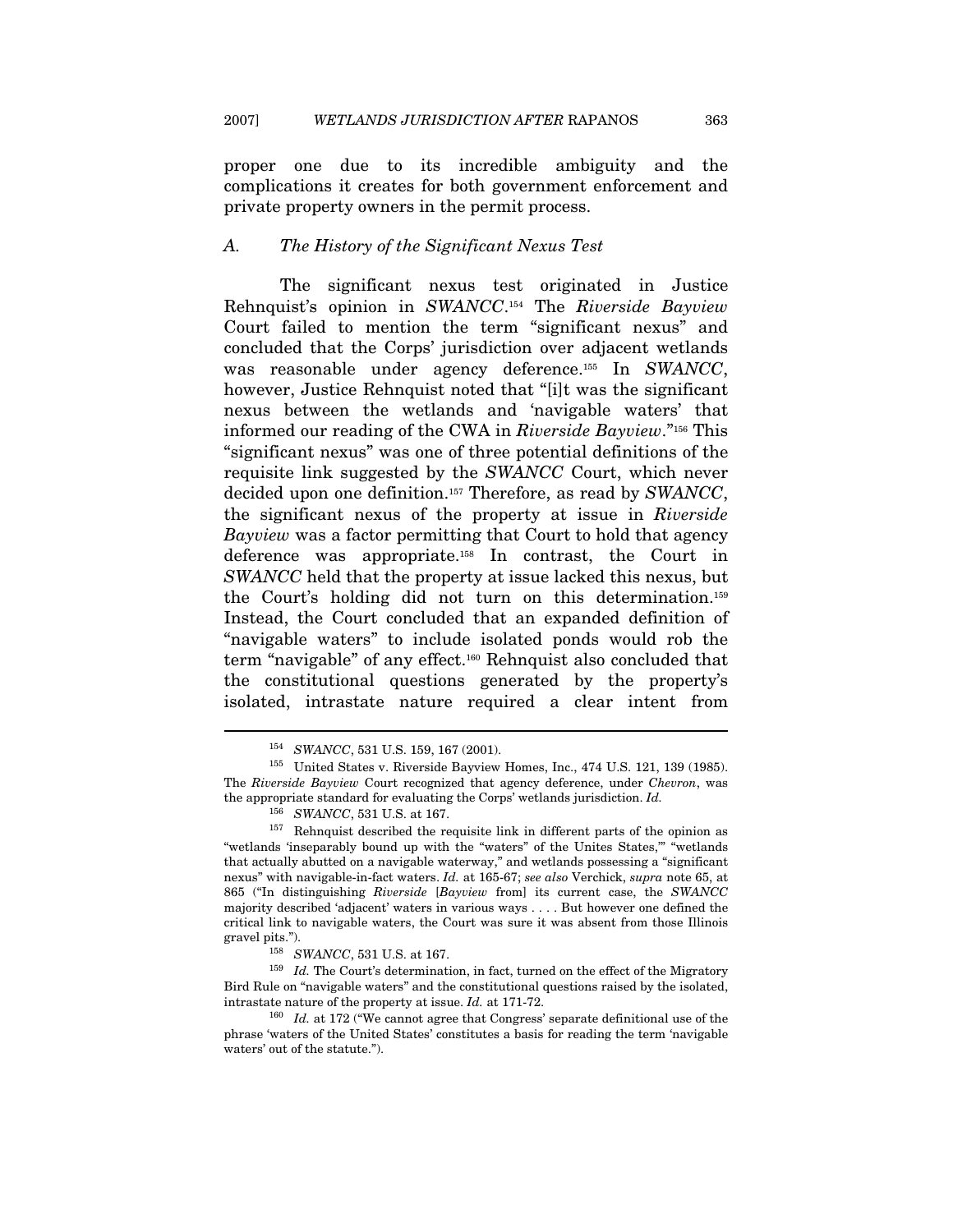$\overline{a}$ 

proper one due to its incredible ambiguity and the complications it creates for both government enforcement and private property owners in the permit process.

#### A. The History of the Significant Nexus Test

The significant nexus test originated in Justice Rehnquist's opinion in SWANCC.154 The Riverside Bayview Court failed to mention the term "significant nexus" and concluded that the Corps' jurisdiction over adjacent wetlands was reasonable under agency deference.155 In SWANCC, however, Justice Rehnquist noted that "[i]t was the significant nexus between the wetlands and 'navigable waters' that informed our reading of the CWA in Riverside Bayview."156 This "significant nexus" was one of three potential definitions of the requisite link suggested by the SWANCC Court, which never decided upon one definition.<sup>157</sup> Therefore, as read by SWANCC, the significant nexus of the property at issue in Riverside Bayview was a factor permitting that Court to hold that agency deference was appropriate.158 In contrast, the Court in SWANCC held that the property at issue lacked this nexus, but the Court's holding did not turn on this determination.159 Instead, the Court concluded that an expanded definition of "navigable waters" to include isolated ponds would rob the term "navigable" of any effect.160 Rehnquist also concluded that the constitutional questions generated by the property's isolated, intrastate nature required a clear intent from

<sup>&</sup>lt;sup>154</sup> SWANCC, 531 U.S. 159, 167 (2001).<br><sup>155</sup> United States v. Riverside Bayview Homes, Inc., 474 U.S. 121, 139 (1985). The Riverside Bayview Court recognized that agency deference, under Chevron, was the appropriate standard for evaluating the Corps' wetlands jurisdiction. Id.

<sup>&</sup>lt;sup>156</sup> SWANCC, 531 U.S. at 167.<br><sup>157</sup> Rehnquist described the requisite link in different parts of the opinion as "wetlands 'inseparably bound up with the "waters" of the Unites States,'" "wetlands that actually abutted on a navigable waterway," and wetlands possessing a "significant nexus" with navigable-in-fact waters. Id. at 165-67; see also Verchick, supra note 65, at 865 ("In distinguishing Riverside [Bayview from] its current case, the SWANCC majority described 'adjacent' waters in various ways . . . . But however one defined the critical link to navigable waters, the Court was sure it was absent from those Illinois gravel pits.").<br><sup>158</sup> SWANCC, 531 U.S. at 167.<br><sup>159</sup> Id. The Court's determination, in fact, turned on the effect of the Migratory

Bird Rule on "navigable waters" and the constitutional questions raised by the isolated, intrastate nature of the property at issue. Id. at 171-72.<br><sup>160</sup> Id. at 172 ("We cannot agree that Congress' separate definitional use of the

phrase 'waters of the United States' constitutes a basis for reading the term 'navigable waters' out of the statute.").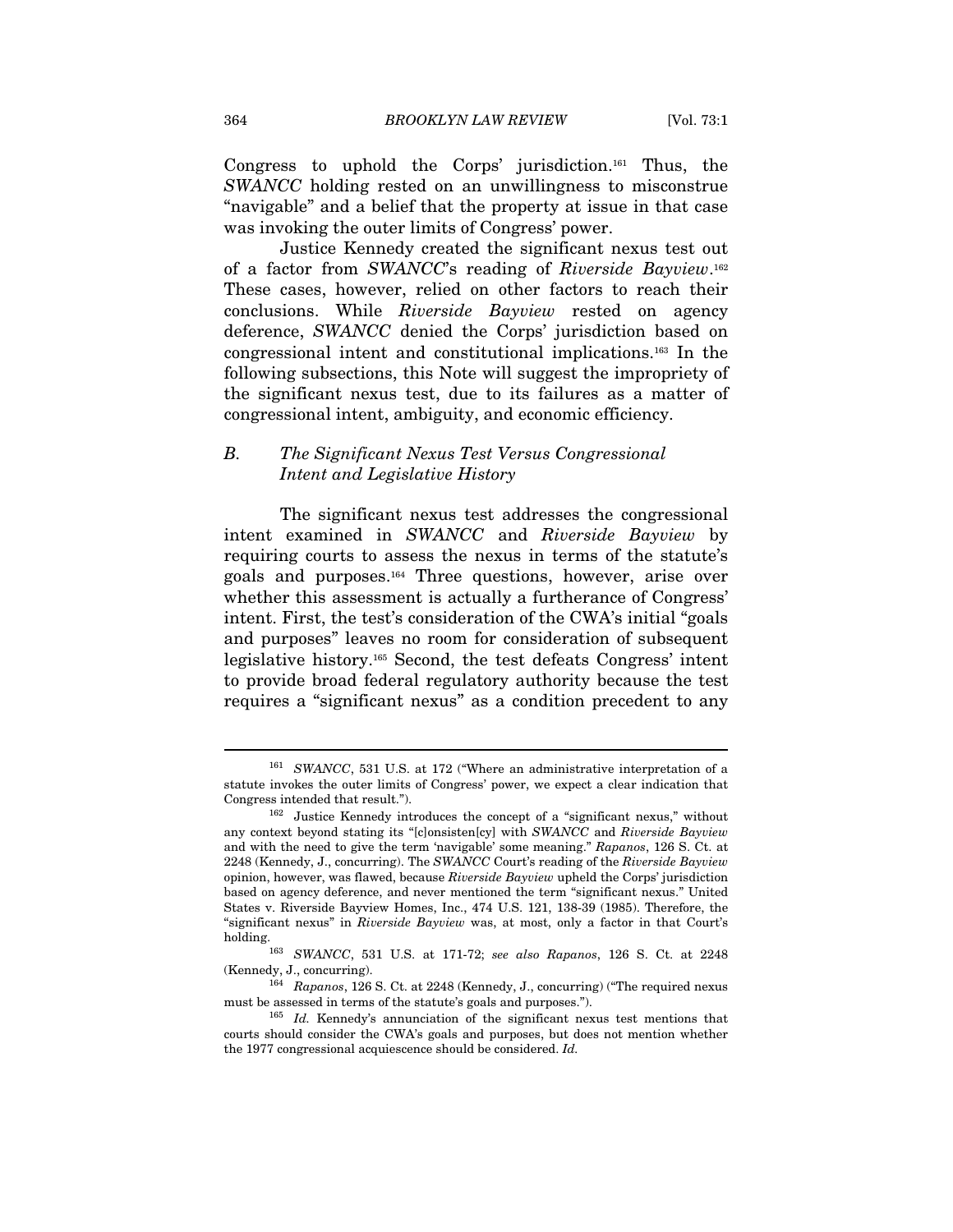Congress to uphold the Corps' jurisdiction.161 Thus, the SWANCC holding rested on an unwillingness to misconstrue "navigable" and a belief that the property at issue in that case was invoking the outer limits of Congress' power.

Justice Kennedy created the significant nexus test out of a factor from SWANCC's reading of Riverside Bayview.162 These cases, however, relied on other factors to reach their conclusions. While Riverside Bayview rested on agency deference, SWANCC denied the Corps' jurisdiction based on congressional intent and constitutional implications.163 In the following subsections, this Note will suggest the impropriety of the significant nexus test, due to its failures as a matter of congressional intent, ambiguity, and economic efficiency.

# B. The Significant Nexus Test Versus Congressional Intent and Legislative History

The significant nexus test addresses the congressional intent examined in SWANCC and Riverside Bayview by requiring courts to assess the nexus in terms of the statute's goals and purposes.164 Three questions, however, arise over whether this assessment is actually a furtherance of Congress' intent. First, the test's consideration of the CWA's initial "goals and purposes" leaves no room for consideration of subsequent legislative history.165 Second, the test defeats Congress' intent to provide broad federal regulatory authority because the test requires a "significant nexus" as a condition precedent to any

<sup>161</sup> SWANCC, 531 U.S. at 172 ("Where an administrative interpretation of a statute invokes the outer limits of Congress' power, we expect a clear indication that

Congress intended that result."). 162 Justice Kennedy introduces the concept of a "significant nexus," without any context beyond stating its "[c]onsisten[cy] with SWANCC and Riverside Bayview and with the need to give the term 'navigable' some meaning." Rapanos, 126 S. Ct. at 2248 (Kennedy, J., concurring). The SWANCC Court's reading of the Riverside Bayview opinion, however, was flawed, because Riverside Bayview upheld the Corps' jurisdiction based on agency deference, and never mentioned the term "significant nexus." United States v. Riverside Bayview Homes, Inc., 474 U.S. 121, 138-39 (1985). Therefore, the "significant nexus" in Riverside Bayview was, at most, only a factor in that Court's

holding. 163 SWANCC, 531 U.S. at 171-72; see also Rapanos, 126 S. Ct. at 2248 (Kennedy, J., concurring). 164 Rapanos, 126 S. Ct. at 2248 (Kennedy, J., concurring) ("The required nexus

must be assessed in terms of the statute's goals and purposes.").<br><sup>165</sup> Id. Kennedy's annunciation of the significant nexus test mentions that

courts should consider the CWA's goals and purposes, but does not mention whether the 1977 congressional acquiescence should be considered. Id.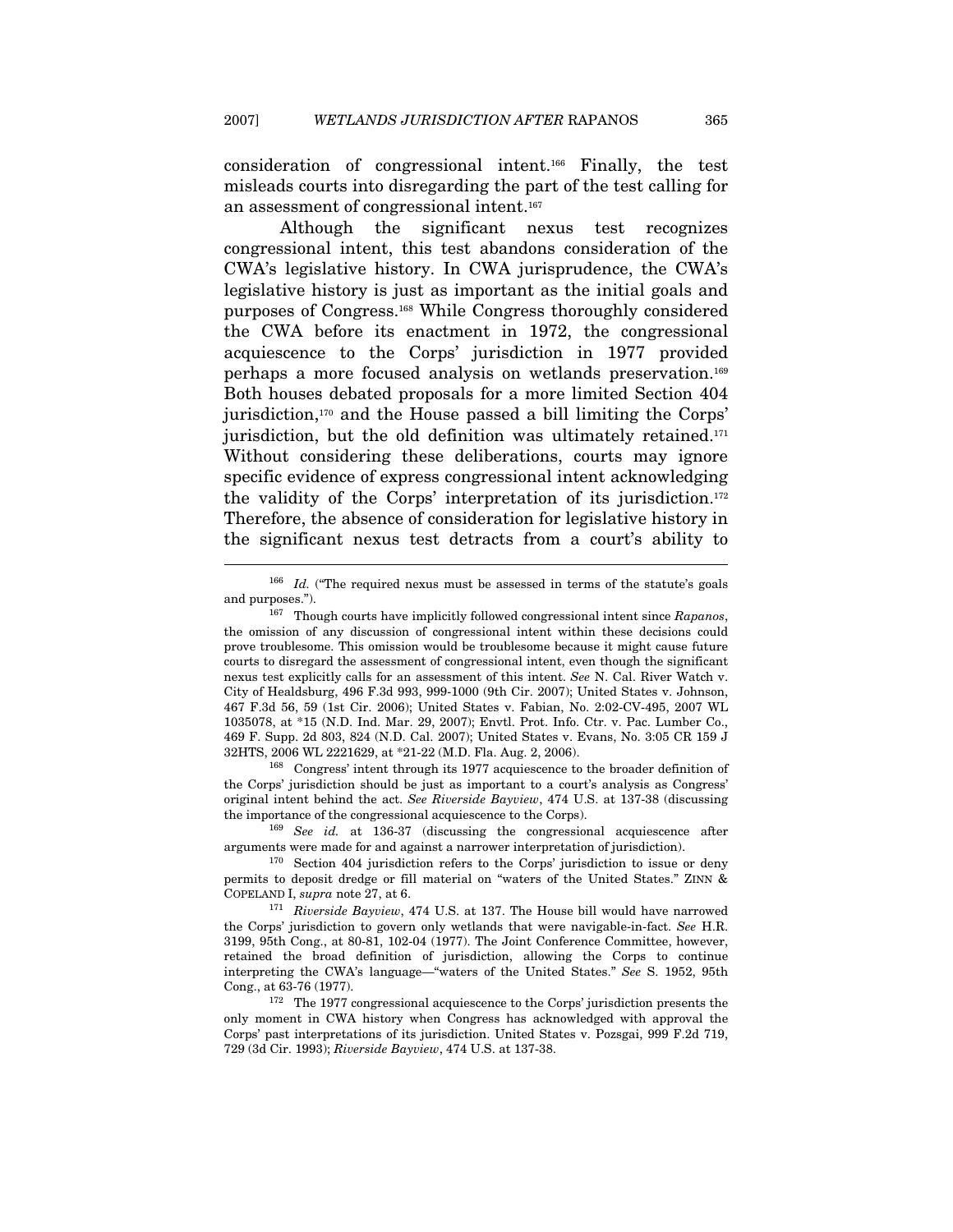consideration of congressional intent.166 Finally, the test misleads courts into disregarding the part of the test calling for an assessment of congressional intent.167

Although the significant nexus test recognizes congressional intent, this test abandons consideration of the CWA's legislative history. In CWA jurisprudence, the CWA's legislative history is just as important as the initial goals and purposes of Congress.168 While Congress thoroughly considered the CWA before its enactment in 1972, the congressional acquiescence to the Corps' jurisdiction in 1977 provided perhaps a more focused analysis on wetlands preservation.169 Both houses debated proposals for a more limited Section 404 jurisdiction,170 and the House passed a bill limiting the Corps' jurisdiction, but the old definition was ultimately retained.<sup>171</sup> Without considering these deliberations, courts may ignore specific evidence of express congressional intent acknowledging the validity of the Corps' interpretation of its jurisdiction.172 Therefore, the absence of consideration for legislative history in the significant nexus test detracts from a court's ability to

 $\overline{a}$ 

the Corps' jurisdiction should be just as important to a court's analysis as Congress' original intent behind the act. See Riverside Bayview, 474 U.S. at 137-38 (discussing

 $166$  *Id.* ("The required nexus must be assessed in terms of the statute's goals and purposes.").  $167$  Though courts have implicitly followed congressional intent since *Rapanos*,

the omission of any discussion of congressional intent within these decisions could prove troublesome. This omission would be troublesome because it might cause future courts to disregard the assessment of congressional intent, even though the significant nexus test explicitly calls for an assessment of this intent. See N. Cal. River Watch v. City of Healdsburg, 496 F.3d 993, 999-1000 (9th Cir. 2007); United States v. Johnson, 467 F.3d 56, 59 (1st Cir. 2006); United States v. Fabian, No. 2:02-CV-495, 2007 WL 1035078, at \*15 (N.D. Ind. Mar. 29, 2007); Envtl. Prot. Info. Ctr. v. Pac. Lumber Co., 469 F. Supp. 2d 803, 824 (N.D. Cal. 2007); United States v. Evans, No. 3:05 CR 159 J 32HTS, 2006 WL 2221629, at \*21-22 (M.D. Fla. Aug. 2, 2006). 168 Congress' intent through its 1977 acquiescence to the broader definition of

the importance of the congressional acquiescence to the Corps).<br>
<sup>169</sup> See id. at 136-37 (discussing the congressional acquiescence after arguments were made for and against a narrower interpretation of jurisdiction).

 $170$  Section 404 jurisdiction refers to the Corps' jurisdiction to issue or deny permits to deposit dredge or fill material on "waters of the United States." ZINN &

COPELAND I, supra note 27, at 6.<br><sup>171</sup> Riverside Bayview, 474 U.S. at 137. The House bill would have narrowed the Corps' jurisdiction to govern only wetlands that were navigable-in-fact. See H.R. 3199, 95th Cong., at 80-81, 102-04 (1977). The Joint Conference Committee, however, retained the broad definition of jurisdiction, allowing the Corps to continue interpreting the CWA's language—"waters of the United States." See S. 1952, 95th Cong., at 63-76 (1977). 172 The 1977 congressional acquiescence to the Corps' jurisdiction presents the

only moment in CWA history when Congress has acknowledged with approval the Corps' past interpretations of its jurisdiction. United States v. Pozsgai, 999 F.2d 719, 729 (3d Cir. 1993); Riverside Bayview, 474 U.S. at 137-38.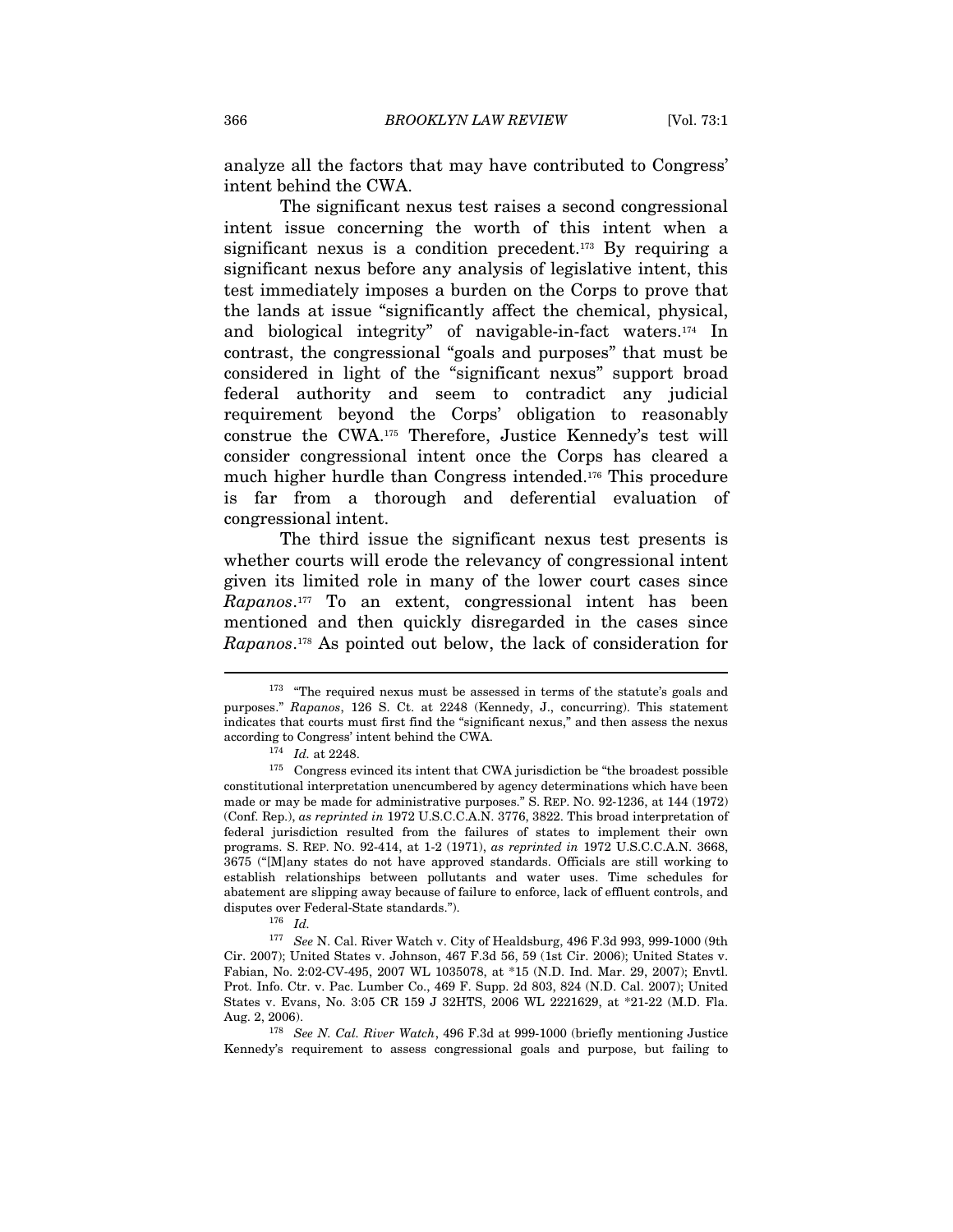analyze all the factors that may have contributed to Congress' intent behind the CWA.

The significant nexus test raises a second congressional intent issue concerning the worth of this intent when a significant nexus is a condition precedent.<sup>173</sup> By requiring a significant nexus before any analysis of legislative intent, this test immediately imposes a burden on the Corps to prove that the lands at issue "significantly affect the chemical, physical, and biological integrity" of navigable-in-fact waters.174 In contrast, the congressional "goals and purposes" that must be considered in light of the "significant nexus" support broad federal authority and seem to contradict any judicial requirement beyond the Corps' obligation to reasonably construe the CWA.175 Therefore, Justice Kennedy's test will consider congressional intent once the Corps has cleared a much higher hurdle than Congress intended.176 This procedure is far from a thorough and deferential evaluation of congressional intent.

The third issue the significant nexus test presents is whether courts will erode the relevancy of congressional intent given its limited role in many of the lower court cases since Rapanos.177 To an extent, congressional intent has been mentioned and then quickly disregarded in the cases since Rapanos.178 As pointed out below, the lack of consideration for

 $173$  "The required nexus must be assessed in terms of the statute's goals and purposes." Rapanos, 126 S. Ct. at 2248 (Kennedy, J., concurring). This statement indicates that courts must first find the "significant nexus," and then assess the nexus

according to Congress' intent behind the CWA.<br><sup>174</sup> Id. at 2248.<br><sup>175</sup> Congress evinced its intent that CWA jurisdiction be "the broadest possible constitutional interpretation unencumbered by agency determinations which have been made or may be made for administrative purposes." S. REP. NO. 92-1236, at 144 (1972) (Conf. Rep.), as reprinted in 1972 U.S.C.C.A.N. 3776, 3822. This broad interpretation of federal jurisdiction resulted from the failures of states to implement their own programs. S. REP. NO. 92-414, at 1-2 (1971), as reprinted in 1972 U.S.C.C.A.N. 3668, 3675 ("[M]any states do not have approved standards. Officials are still working to establish relationships between pollutants and water uses. Time schedules for abatement are slipping away because of failure to enforce, lack of effluent controls, and disputes over Federal-State standards.").<br> $^{176}$  *Id.* 

<sup>177</sup> See N. Cal. River Watch v. City of Healdsburg, 496 F.3d 993, 999-1000 (9th Cir. 2007); United States v. Johnson, 467 F.3d 56, 59 (1st Cir. 2006); United States v. Fabian, No. 2:02-CV-495, 2007 WL 1035078, at \*15 (N.D. Ind. Mar. 29, 2007); Envtl. Prot. Info. Ctr. v. Pac. Lumber Co., 469 F. Supp. 2d 803, 824 (N.D. Cal. 2007); United States v. Evans, No. 3:05 CR 159 J 32HTS, 2006 WL 2221629, at \*21-22 (M.D. Fla.

Aug. 2, 2006). 178 See N. Cal. River Watch, 496 F.3d at 999-1000 (briefly mentioning Justice Kennedy's requirement to assess congressional goals and purpose, but failing to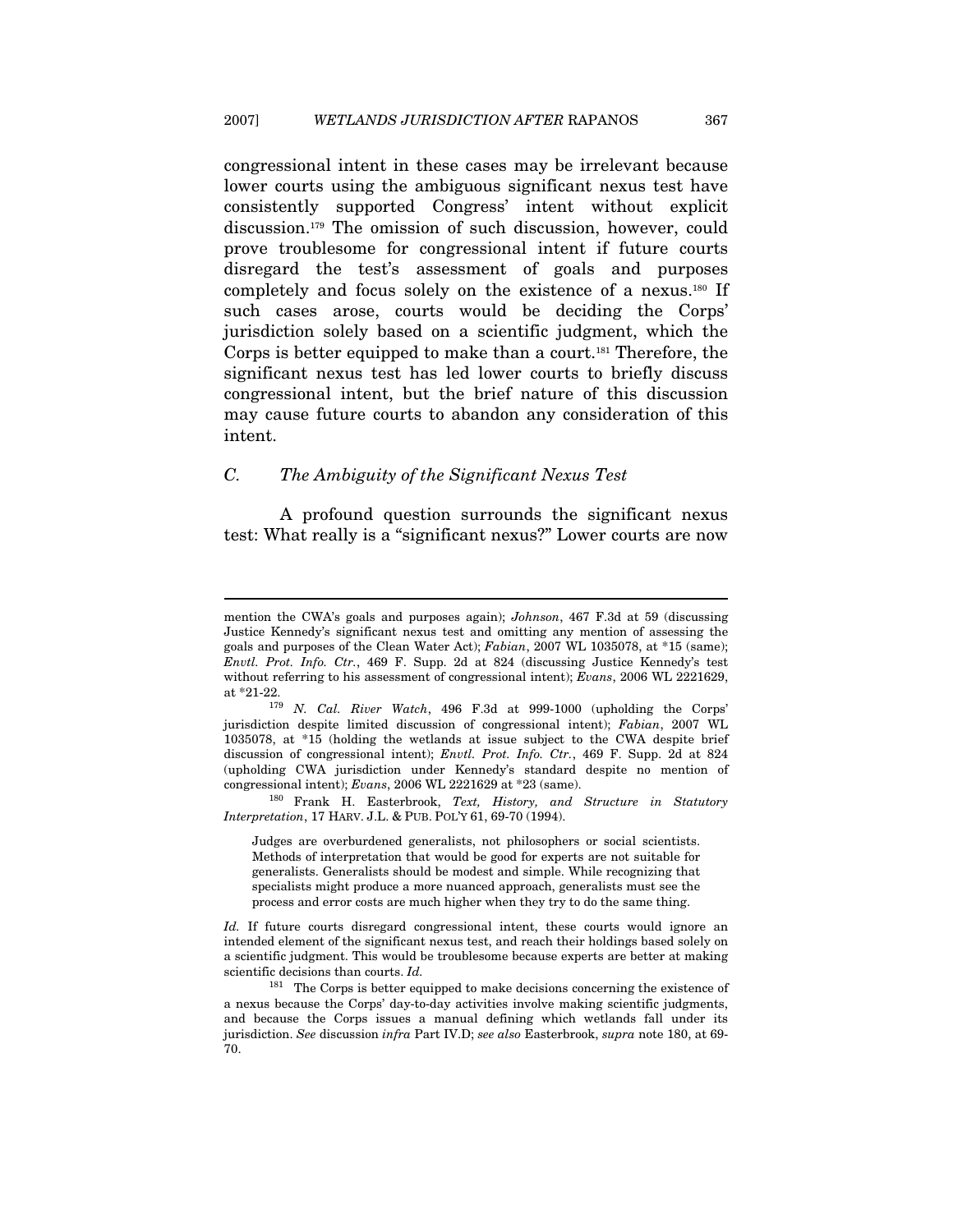congressional intent in these cases may be irrelevant because lower courts using the ambiguous significant nexus test have consistently supported Congress' intent without explicit discussion.179 The omission of such discussion, however, could prove troublesome for congressional intent if future courts disregard the test's assessment of goals and purposes completely and focus solely on the existence of a nexus.180 If such cases arose, courts would be deciding the Corps' jurisdiction solely based on a scientific judgment, which the Corps is better equipped to make than a court.181 Therefore, the significant nexus test has led lower courts to briefly discuss congressional intent, but the brief nature of this discussion may cause future courts to abandon any consideration of this intent.

# C. The Ambiguity of the Significant Nexus Test

 $\overline{a}$ 

A profound question surrounds the significant nexus test: What really is a "significant nexus?" Lower courts are now

mention the CWA's goals and purposes again); Johnson, 467 F.3d at 59 (discussing Justice Kennedy's significant nexus test and omitting any mention of assessing the goals and purposes of the Clean Water Act); Fabian, 2007 WL 1035078, at \*15 (same); Envtl. Prot. Info. Ctr., 469 F. Supp. 2d at 824 (discussing Justice Kennedy's test without referring to his assessment of congressional intent); Evans, 2006 WL 2221629, at  $*21-22$ .

 $179$  N. Cal. River Watch, 496 F.3d at 999-1000 (upholding the Corps' jurisdiction despite limited discussion of congressional intent); Fabian, 2007 WL 1035078, at \*15 (holding the wetlands at issue subject to the CWA despite brief discussion of congressional intent); *Envtl. Prot. Info. Ctr.*, 469 F. Supp. 2d at 824 (upholding CWA jurisdiction under Kennedy's standard despite no mention of congressional intent); Evans, 2006 WL 2221629 at \*23 (same). 180 Frank H. Easterbrook, Text, History, and Structure in Statutory

Interpretation, 17 HARV. J.L. & PUB. POL'Y 61, 69-70 (1994).

Judges are overburdened generalists, not philosophers or social scientists. Methods of interpretation that would be good for experts are not suitable for generalists. Generalists should be modest and simple. While recognizing that specialists might produce a more nuanced approach, generalists must see the process and error costs are much higher when they try to do the same thing.

Id. If future courts disregard congressional intent, these courts would ignore an intended element of the significant nexus test, and reach their holdings based solely on a scientific judgment. This would be troublesome because experts are better at making scientific decisions than courts. Id.

<sup>181</sup> The Corps is better equipped to make decisions concerning the existence of a nexus because the Corps' day-to-day activities involve making scientific judgments, and because the Corps issues a manual defining which wetlands fall under its jurisdiction. See discussion infra Part IV.D; see also Easterbrook, supra note 180, at 69-70.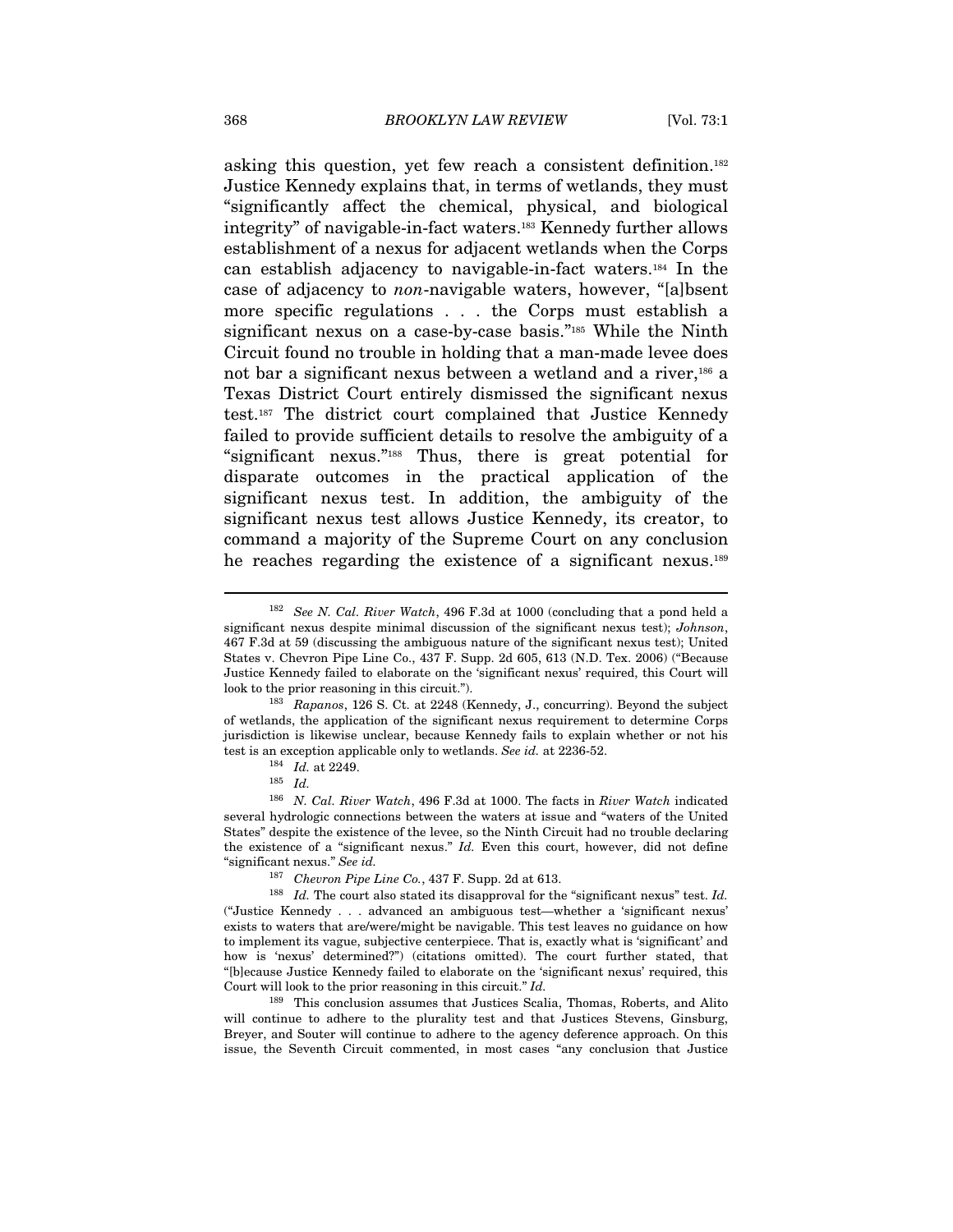asking this question, yet few reach a consistent definition.182 Justice Kennedy explains that, in terms of wetlands, they must "significantly affect the chemical, physical, and biological integrity" of navigable-in-fact waters.183 Kennedy further allows establishment of a nexus for adjacent wetlands when the Corps can establish adjacency to navigable-in-fact waters.184 In the case of adjacency to non-navigable waters, however, "[a]bsent more specific regulations . . . the Corps must establish a significant nexus on a case-by-case basis."185 While the Ninth Circuit found no trouble in holding that a man-made levee does not bar a significant nexus between a wetland and a river,186 a Texas District Court entirely dismissed the significant nexus test.187 The district court complained that Justice Kennedy failed to provide sufficient details to resolve the ambiguity of a "significant nexus."188 Thus, there is great potential for disparate outcomes in the practical application of the significant nexus test. In addition, the ambiguity of the significant nexus test allows Justice Kennedy, its creator, to command a majority of the Supreme Court on any conclusion he reaches regarding the existence of a significant nexus.<sup>189</sup>

<sup>&</sup>lt;sup>182</sup> See N. Cal. River Watch, 496 F.3d at 1000 (concluding that a pond held a significant nexus despite minimal discussion of the significant nexus test); Johnson, 467 F.3d at 59 (discussing the ambiguous nature of the significant nexus test); United States v. Chevron Pipe Line Co., 437 F. Supp. 2d 605, 613 (N.D. Tex. 2006) ("Because Justice Kennedy failed to elaborate on the 'significant nexus' required, this Court will look to the prior reasoning in this circuit.").

<sup>183</sup> Rapanos, 126 S. Ct. at 2248 (Kennedy, J., concurring). Beyond the subject of wetlands, the application of the significant nexus requirement to determine Corps jurisdiction is likewise unclear, because Kennedy fails to explain whether or not his test is an exception applicable only to wetlands. See id. at 2236-52. 184 Id. at 2249. 185 Id.

<sup>186</sup> N. Cal. River Watch, 496 F.3d at 1000. The facts in River Watch indicated several hydrologic connections between the waters at issue and "waters of the United States" despite the existence of the levee, so the Ninth Circuit had no trouble declaring the existence of a "significant nexus." Id. Even this court, however, did not define "significant nexus." See id.

<sup>&</sup>lt;sup>187</sup> Chevron Pipe Line Co., 437 F. Supp. 2d at 613.<br><sup>188</sup> Id. The court also stated its disapproval for the "significant nexus" test. Id. ("Justice Kennedy . . . advanced an ambiguous test—whether a 'significant nexus' exists to waters that are/were/might be navigable. This test leaves no guidance on how to implement its vague, subjective centerpiece. That is, exactly what is 'significant' and how is 'nexus' determined?") (citations omitted). The court further stated, that "[b]ecause Justice Kennedy failed to elaborate on the 'significant nexus' required, this Court will look to the prior reasoning in this circuit." Id.

<sup>189</sup> This conclusion assumes that Justices Scalia, Thomas, Roberts, and Alito will continue to adhere to the plurality test and that Justices Stevens, Ginsburg, Breyer, and Souter will continue to adhere to the agency deference approach. On this issue, the Seventh Circuit commented, in most cases "any conclusion that Justice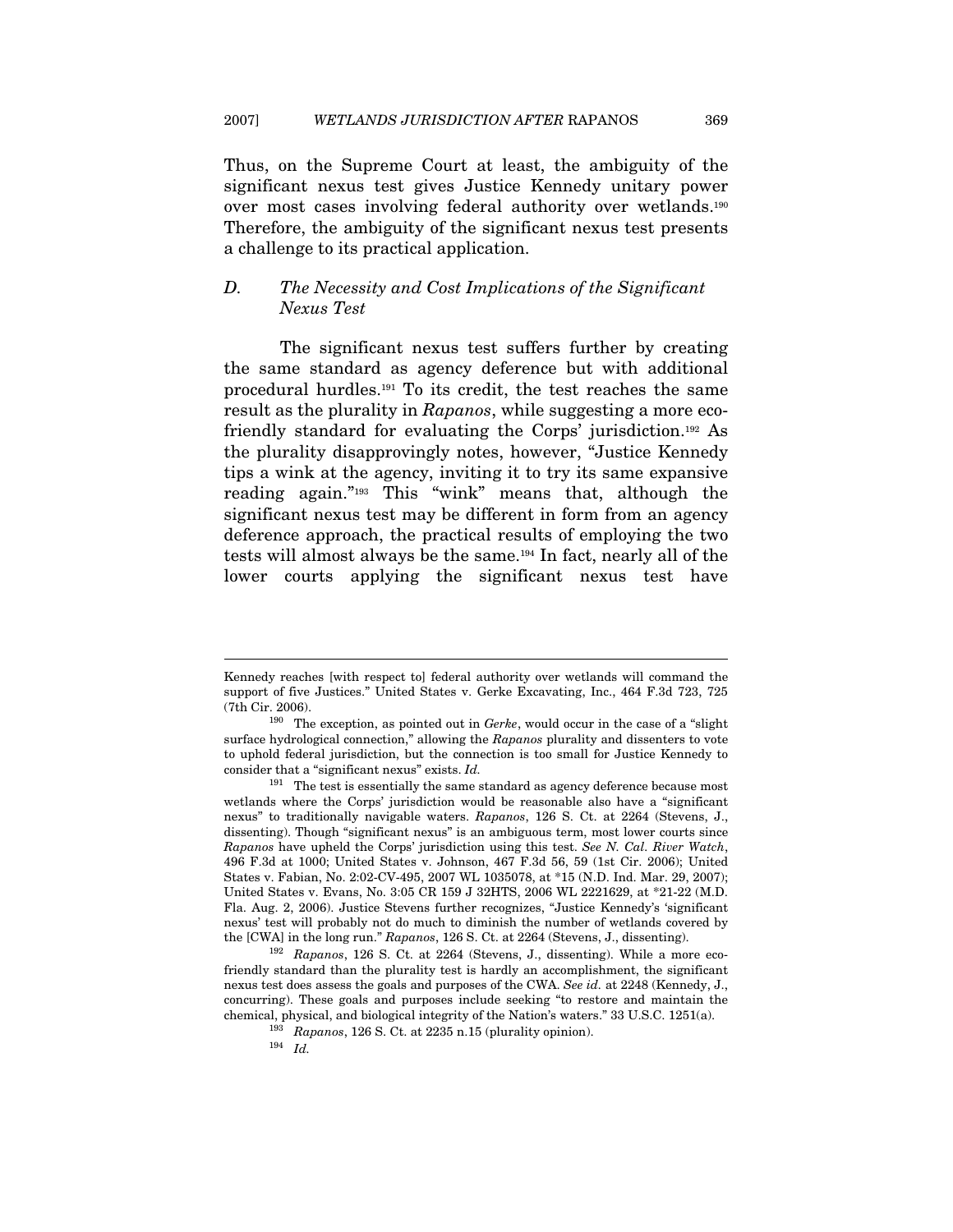Thus, on the Supreme Court at least, the ambiguity of the significant nexus test gives Justice Kennedy unitary power over most cases involving federal authority over wetlands.190 Therefore, the ambiguity of the significant nexus test presents a challenge to its practical application.

# D. The Necessity and Cost Implications of the Significant Nexus Test

The significant nexus test suffers further by creating the same standard as agency deference but with additional procedural hurdles.191 To its credit, the test reaches the same result as the plurality in Rapanos, while suggesting a more ecofriendly standard for evaluating the Corps' jurisdiction.192 As the plurality disapprovingly notes, however, "Justice Kennedy tips a wink at the agency, inviting it to try its same expansive reading again."193 This "wink" means that, although the significant nexus test may be different in form from an agency deference approach, the practical results of employing the two tests will almost always be the same.194 In fact, nearly all of the lower courts applying the significant nexus test have

Kennedy reaches [with respect to] federal authority over wetlands will command the support of five Justices." United States v. Gerke Excavating, Inc., 464 F.3d 723, 725 (7th Cir. 2006).<br><sup>190</sup> The exception, as pointed out in *Gerke*, would occur in the case of a "slight"

surface hydrological connection," allowing the Rapanos plurality and dissenters to vote to uphold federal jurisdiction, but the connection is too small for Justice Kennedy to consider that a "significant nexus" exists. Id.

 $191$  The test is essentially the same standard as agency deference because most wetlands where the Corps' jurisdiction would be reasonable also have a "significant nexus" to traditionally navigable waters. Rapanos, 126 S. Ct. at 2264 (Stevens, J., dissenting). Though "significant nexus" is an ambiguous term, most lower courts since Rapanos have upheld the Corps' jurisdiction using this test. See N. Cal. River Watch, 496 F.3d at 1000; United States v. Johnson, 467 F.3d 56, 59 (1st Cir. 2006); United States v. Fabian, No. 2:02-CV-495, 2007 WL 1035078, at \*15 (N.D. Ind. Mar. 29, 2007); United States v. Evans, No. 3:05 CR 159 J 32HTS, 2006 WL 2221629, at \*21-22 (M.D. Fla. Aug. 2, 2006). Justice Stevens further recognizes, "Justice Kennedy's 'significant nexus' test will probably not do much to diminish the number of wetlands covered by the [CWA] in the long run." Rapanos, 126 S. Ct. at 2264 (Stevens, J., dissenting).<br><sup>192</sup> Rapanos, 126 S. Ct. at 2264 (Stevens, J., dissenting). While a more eco-

friendly standard than the plurality test is hardly an accomplishment, the significant nexus test does assess the goals and purposes of the CWA. See id. at 2248 (Kennedy, J., concurring). These goals and purposes include seeking "to restore and maintain the chemical, physical, and biological integrity of the Nation's waters." 33 U.S.C. 1251(a).  $\frac{193}{194}$  Rapanos, 126 S. Ct. at 2235 n.15 (plurality opinion).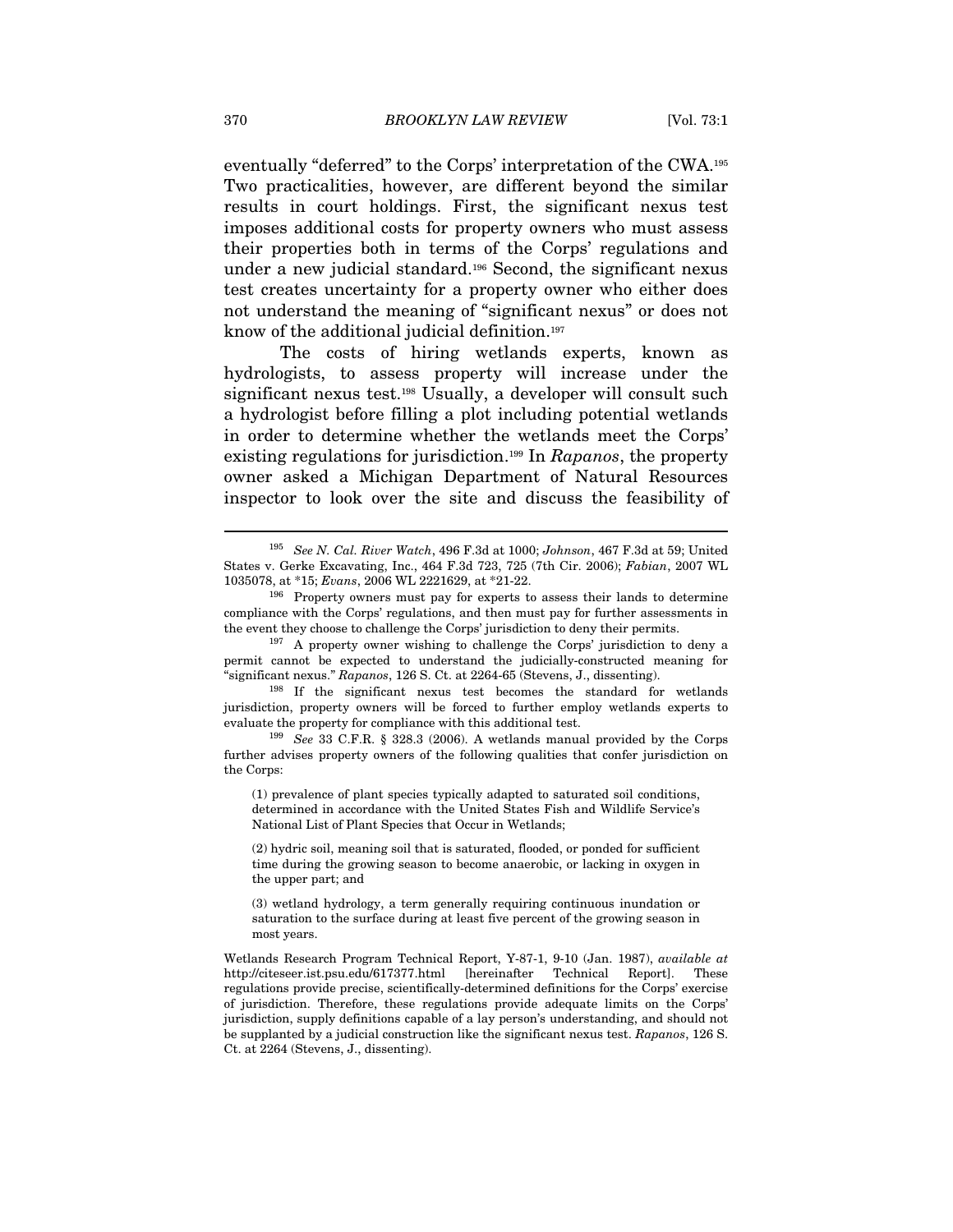eventually "deferred" to the Corps' interpretation of the CWA.195 Two practicalities, however, are different beyond the similar results in court holdings. First, the significant nexus test imposes additional costs for property owners who must assess their properties both in terms of the Corps' regulations and under a new judicial standard.196 Second, the significant nexus test creates uncertainty for a property owner who either does not understand the meaning of "significant nexus" or does not know of the additional judicial definition.197

The costs of hiring wetlands experts, known as hydrologists, to assess property will increase under the significant nexus test.198 Usually, a developer will consult such a hydrologist before filling a plot including potential wetlands in order to determine whether the wetlands meet the Corps' existing regulations for jurisdiction.<sup>199</sup> In Rapanos, the property owner asked a Michigan Department of Natural Resources inspector to look over the site and discuss the feasibility of

jurisdiction, property owners will be forced to further employ wetlands experts to evaluate the property for compliance with this additional test.<br><sup>199</sup> See 33 C.F.R. § 328.3 (2006). A wetlands manual provided by the Corps

<sup>195</sup> See N. Cal. River Watch, 496 F.3d at 1000; Johnson, 467 F.3d at 59; United States v. Gerke Excavating, Inc., 464 F.3d 723, 725 (7th Cir. 2006); Fabian, 2007 WL 1035078, at \*15;  $Evans$ , 2006 WL 2221629, at \*21-22.<br><sup>196</sup> Property owners must pay for experts to assess their lands to determine

compliance with the Corps' regulations, and then must pay for further assessments in the event they choose to challenge the Corps' jurisdiction to deny their permits.<br><sup>197</sup> A property owner wishing to challenge the Corps' jurisdiction to deny a

permit cannot be expected to understand the judicially-constructed meaning for "significant nexus." Rapanos, 126 S. Ct. at 2264-65 (Stevens, J., dissenting). 198 If the significant nexus test becomes the standard for wetlands

further advises property owners of the following qualities that confer jurisdiction on the Corps:

<sup>(1)</sup> prevalence of plant species typically adapted to saturated soil conditions, determined in accordance with the United States Fish and Wildlife Service's National List of Plant Species that Occur in Wetlands;

<sup>(2)</sup> hydric soil, meaning soil that is saturated, flooded, or ponded for sufficient time during the growing season to become anaerobic, or lacking in oxygen in the upper part; and

<sup>(3)</sup> wetland hydrology, a term generally requiring continuous inundation or saturation to the surface during at least five percent of the growing season in most years.

Wetlands Research Program Technical Report, Y-87-1, 9-10 (Jan. 1987), available at http://citeseer.ist.psu.edu/617377.html [hereinafter Technical Report]. These regulations provide precise, scientifically-determined definitions for the Corps' exercise of jurisdiction. Therefore, these regulations provide adequate limits on the Corps' jurisdiction, supply definitions capable of a lay person's understanding, and should not be supplanted by a judicial construction like the significant nexus test. Rapanos, 126 S. Ct. at 2264 (Stevens, J., dissenting).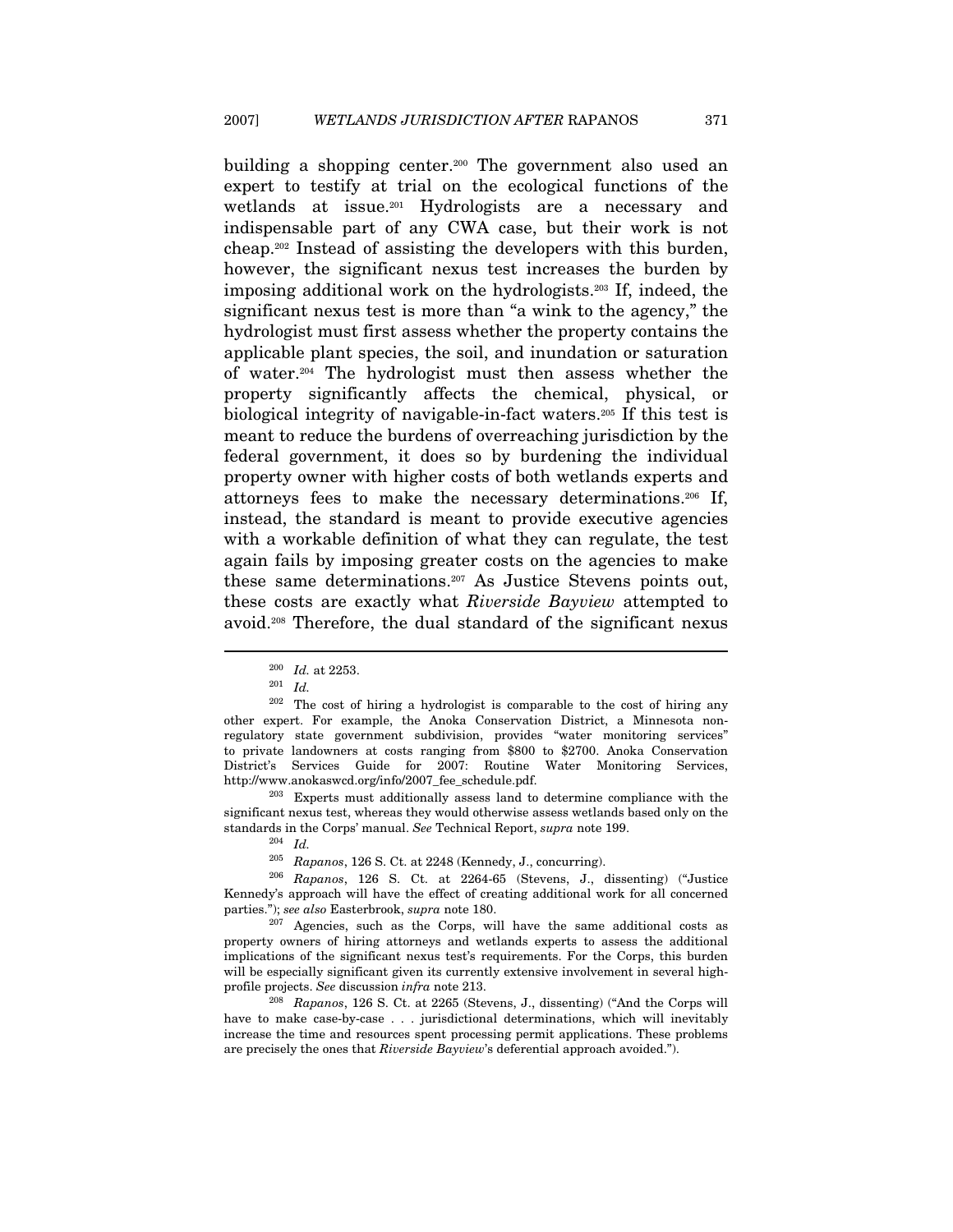building a shopping center.<sup>200</sup> The government also used an expert to testify at trial on the ecological functions of the wetlands at issue.201 Hydrologists are a necessary and indispensable part of any CWA case, but their work is not cheap.202 Instead of assisting the developers with this burden, however, the significant nexus test increases the burden by imposing additional work on the hydrologists.203 If, indeed, the significant nexus test is more than "a wink to the agency," the hydrologist must first assess whether the property contains the applicable plant species, the soil, and inundation or saturation of water.204 The hydrologist must then assess whether the property significantly affects the chemical, physical, or biological integrity of navigable-in-fact waters.205 If this test is meant to reduce the burdens of overreaching jurisdiction by the federal government, it does so by burdening the individual property owner with higher costs of both wetlands experts and attorneys fees to make the necessary determinations.206 If, instead, the standard is meant to provide executive agencies with a workable definition of what they can regulate, the test again fails by imposing greater costs on the agencies to make these same determinations.207 As Justice Stevens points out, these costs are exactly what Riverside Bayview attempted to avoid.208 Therefore, the dual standard of the significant nexus

 $\overline{a}$ 

significant nexus test, whereas they would otherwise assess wetlands based only on the standards in the Corps' manual. See Technical Report,  $supra$  note 199.  $^{204}$   $\,$   $Id.$ 

property owners of hiring attorneys and wetlands experts to assess the additional implications of the significant nexus test's requirements. For the Corps, this burden will be especially significant given its currently extensive involvement in several highprofile projects. See discussion *infra* note 213.<br><sup>208</sup> Rapanos, 126 S. Ct. at 2265 (Stevens, J., dissenting) ("And the Corps will

have to make case-by-case . . . jurisdictional determinations, which will inevitably increase the time and resources spent processing permit applications. These problems are precisely the ones that Riverside Bayview's deferential approach avoided.").

 $\frac{200}{201}$  *Id.* at 2253.

<sup>202</sup> The cost of hiring a hydrologist is comparable to the cost of hiring any other expert. For example, the Anoka Conservation District, a Minnesota nonregulatory state government subdivision, provides "water monitoring services" to private landowners at costs ranging from \$800 to \$2700. Anoka Conservation District's Services Guide for 2007: Routine Water Monitoring Services, http://www.anokaswcd.org/info/2007\_fee\_schedule.pdf. 203 Experts must additionally assess land to determine compliance with the

 $^{205}\;$   $Rapanos,$  126 S. Ct. at 2248 (Kennedy, J., concurring).

<sup>206</sup> Rapanos, 126 S. Ct. at 2264-65 (Stevens, J., dissenting) ("Justice Kennedy's approach will have the effect of creating additional work for all concerned parties."); see also Easterbrook, supra note 180.  $^{207}$  Agencies, such as the Corps, will have the same additional costs as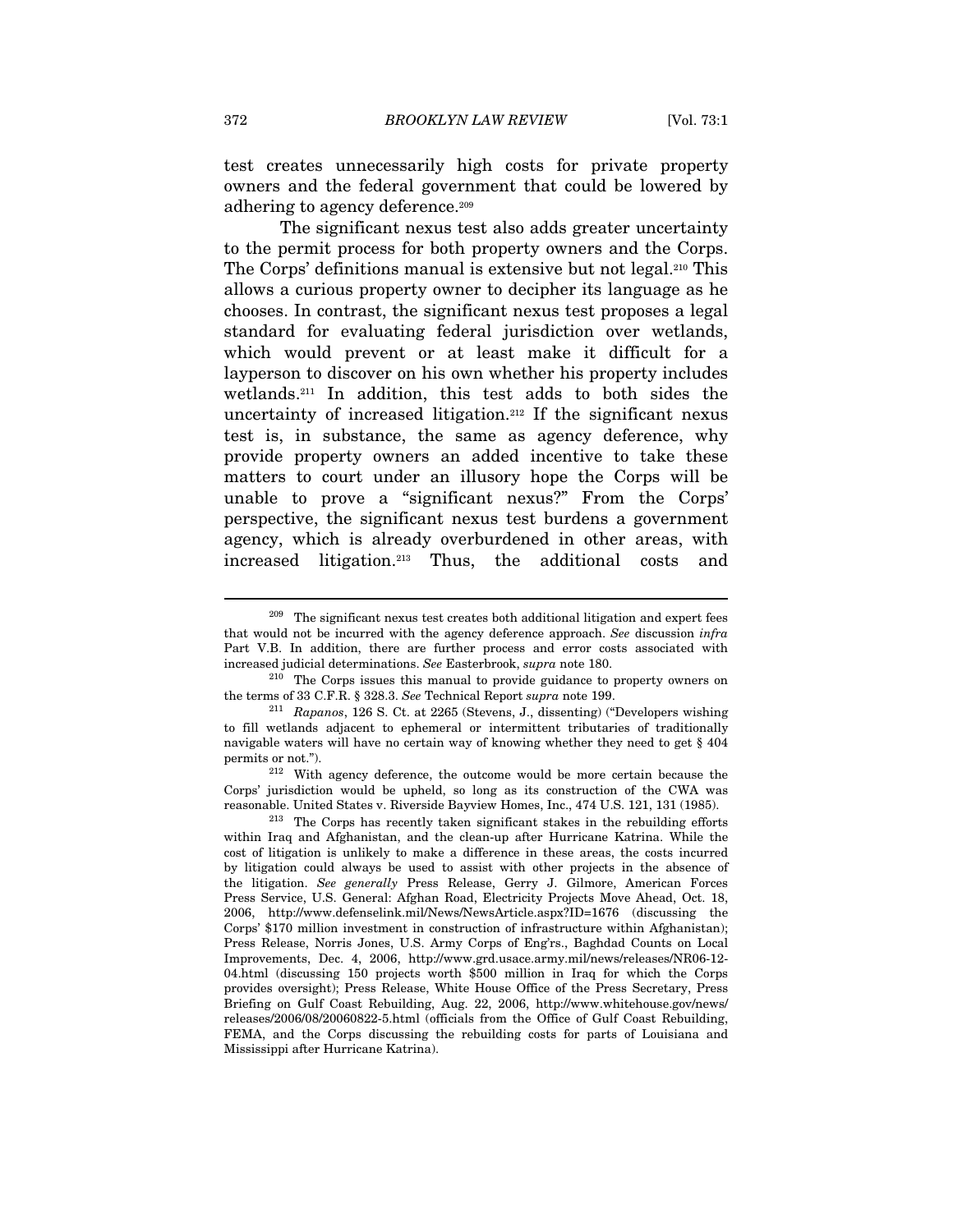test creates unnecessarily high costs for private property owners and the federal government that could be lowered by adhering to agency deference.<sup>209</sup>

The significant nexus test also adds greater uncertainty to the permit process for both property owners and the Corps. The Corps' definitions manual is extensive but not legal.210 This allows a curious property owner to decipher its language as he chooses. In contrast, the significant nexus test proposes a legal standard for evaluating federal jurisdiction over wetlands, which would prevent or at least make it difficult for a layperson to discover on his own whether his property includes wetlands.211 In addition, this test adds to both sides the uncertainty of increased litigation.<sup>212</sup> If the significant nexus test is, in substance, the same as agency deference, why provide property owners an added incentive to take these matters to court under an illusory hope the Corps will be unable to prove a "significant nexus?" From the Corps' perspective, the significant nexus test burdens a government agency, which is already overburdened in other areas, with increased litigation.213 Thus, the additional costs and

 $209$  The significant nexus test creates both additional litigation and expert fees that would not be incurred with the agency deference approach. See discussion infra Part V.B. In addition, there are further process and error costs associated with

increased judicial determinations. See Easterbrook, *supra* note 180.<br><sup>210</sup> The Corps issues this manual to provide guidance to property owners on the terms of 33 C.F.R. § 328.3. See Technical Report *supra* note 199.<br><sup>211</sup> Rapanos, 126 S. Ct. at 2265 (Stevens, J., dissenting) ("Developers wishing

to fill wetlands adjacent to ephemeral or intermittent tributaries of traditionally navigable waters will have no certain way of knowing whether they need to get § 404

permits or not."). 212 With agency deference, the outcome would be more certain because the Corps' jurisdiction would be upheld, so long as its construction of the CWA was reasonable. United States v. Riverside Bayview Homes, Inc., 474 U.S. 121, 131 (1985). 213 The Corps has recently taken significant stakes in the rebuilding efforts

within Iraq and Afghanistan, and the clean-up after Hurricane Katrina. While the cost of litigation is unlikely to make a difference in these areas, the costs incurred by litigation could always be used to assist with other projects in the absence of the litigation. See generally Press Release, Gerry J. Gilmore, American Forces Press Service, U.S. General: Afghan Road, Electricity Projects Move Ahead, Oct. 18, 2006, http://www.defenselink.mil/News/NewsArticle.aspx?ID=1676 (discussing the Corps' \$170 million investment in construction of infrastructure within Afghanistan); Press Release, Norris Jones, U.S. Army Corps of Eng'rs., Baghdad Counts on Local Improvements, Dec. 4, 2006, http://www.grd.usace.army.mil/news/releases/NR06-12- 04.html (discussing 150 projects worth \$500 million in Iraq for which the Corps provides oversight); Press Release, White House Office of the Press Secretary, Press Briefing on Gulf Coast Rebuilding, Aug. 22, 2006, http://www.whitehouse.gov/news/ releases/2006/08/20060822-5.html (officials from the Office of Gulf Coast Rebuilding, FEMA, and the Corps discussing the rebuilding costs for parts of Louisiana and Mississippi after Hurricane Katrina).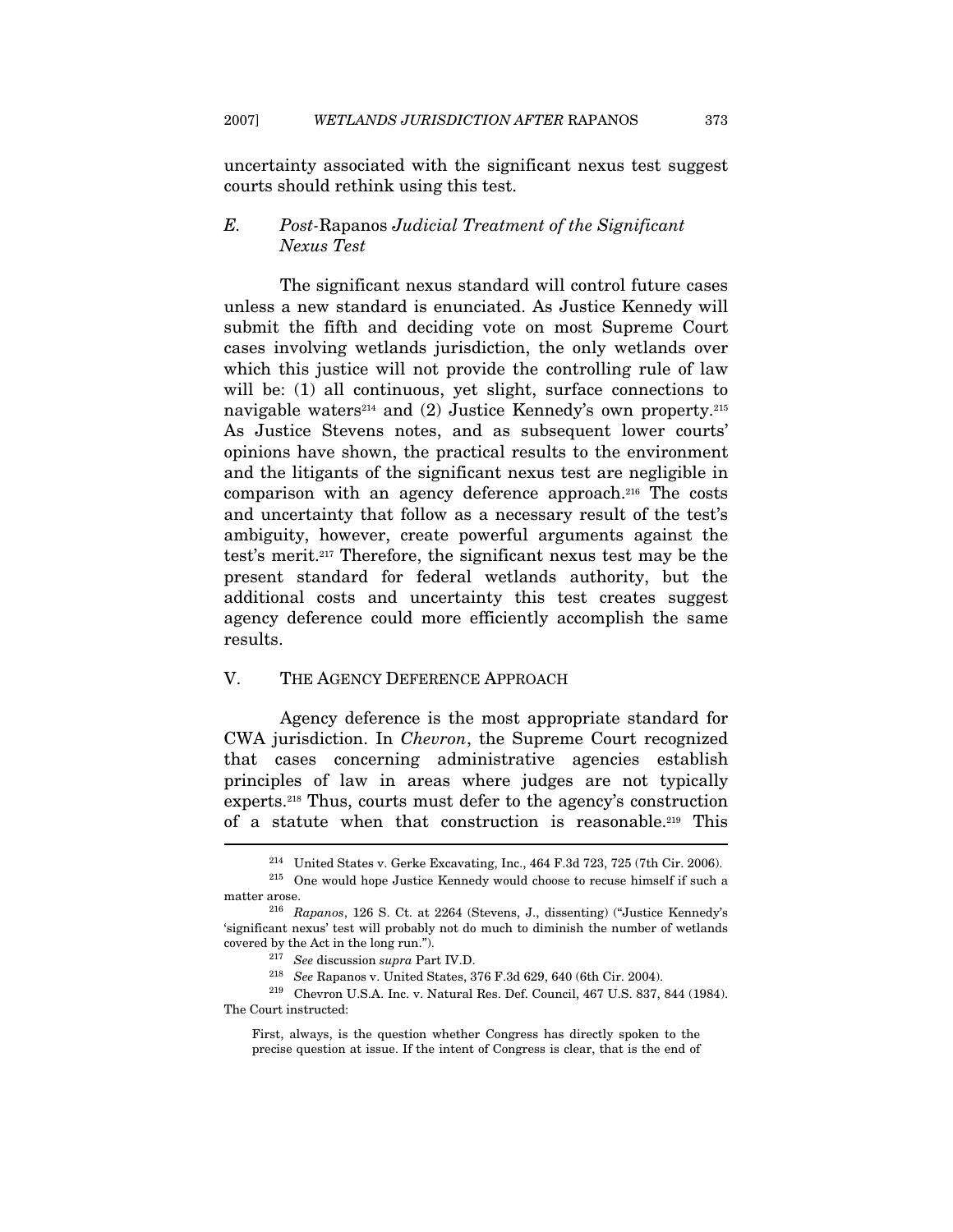uncertainty associated with the significant nexus test suggest courts should rethink using this test.

# E. Post-Rapanos Judicial Treatment of the Significant Nexus Test

The significant nexus standard will control future cases unless a new standard is enunciated. As Justice Kennedy will submit the fifth and deciding vote on most Supreme Court cases involving wetlands jurisdiction, the only wetlands over which this justice will not provide the controlling rule of law will be: (1) all continuous, yet slight, surface connections to navigable waters<sup>214</sup> and (2) Justice Kennedy's own property.<sup>215</sup> As Justice Stevens notes, and as subsequent lower courts' opinions have shown, the practical results to the environment and the litigants of the significant nexus test are negligible in comparison with an agency deference approach.216 The costs and uncertainty that follow as a necessary result of the test's ambiguity, however, create powerful arguments against the test's merit.217 Therefore, the significant nexus test may be the present standard for federal wetlands authority, but the additional costs and uncertainty this test creates suggest agency deference could more efficiently accomplish the same results.

# V. THE AGENCY DEFERENCE APPROACH

Agency deference is the most appropriate standard for CWA jurisdiction. In Chevron, the Supreme Court recognized that cases concerning administrative agencies establish principles of law in areas where judges are not typically experts.218 Thus, courts must defer to the agency's construction of a statute when that construction is reasonable.219 This

<sup>&</sup>lt;sup>214</sup> United States v. Gerke Excavating, Inc., 464 F.3d 723, 725 (7th Cir. 2006).<br><sup>215</sup> One would hope Justice Kennedy would choose to recuse himself if such a matter arose.<br><sup>216</sup> Rapanos, 126 S. Ct. at 2264 (Stevens, J., dissenting) ("Justice Kennedy's

<sup>&#</sup>x27;significant nexus' test will probably not do much to diminish the number of wetlands % covered by the Act in the long run."). 217 See discussion supra Part IV.D. 218 See Rapanos v. United States, 376 F.3d 629, 640 (6th Cir. 2004). 219 Chevron U.S.A. Inc. v. Natural Res. Def. Council, 467 U.S. 837, 844 (19

The Court instructed:

First, always, is the question whether Congress has directly spoken to the precise question at issue. If the intent of Congress is clear, that is the end of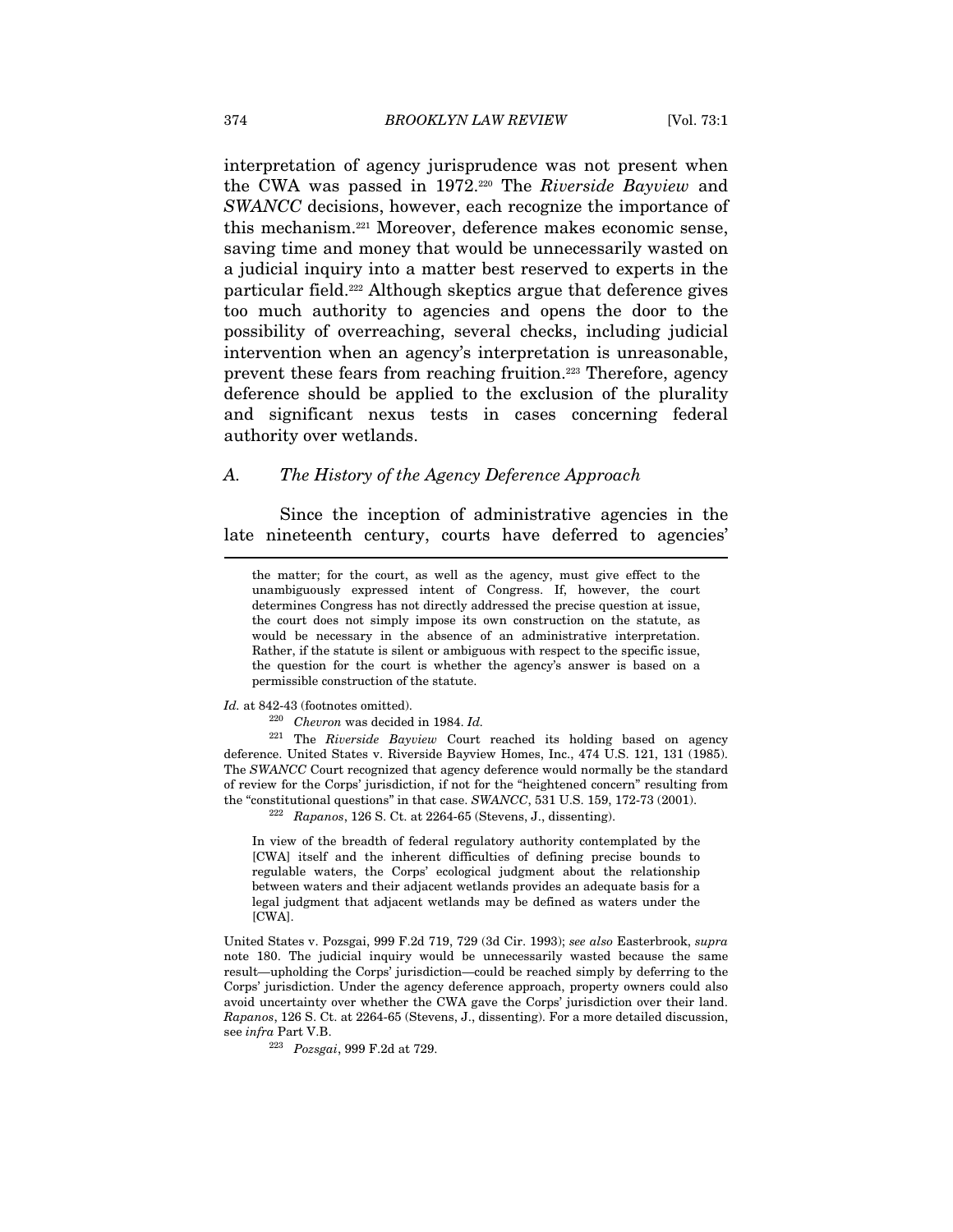interpretation of agency jurisprudence was not present when the CWA was passed in 1972.220 The Riverside Bayview and SWANCC decisions, however, each recognize the importance of this mechanism.221 Moreover, deference makes economic sense, saving time and money that would be unnecessarily wasted on a judicial inquiry into a matter best reserved to experts in the particular field.222 Although skeptics argue that deference gives too much authority to agencies and opens the door to the possibility of overreaching, several checks, including judicial intervention when an agency's interpretation is unreasonable, prevent these fears from reaching fruition.223 Therefore, agency deference should be applied to the exclusion of the plurality and significant nexus tests in cases concerning federal authority over wetlands.

#### A. The History of the Agency Deference Approach

Since the inception of administrative agencies in the late nineteenth century, courts have deferred to agencies'

the matter; for the court, as well as the agency, must give effect to the unambiguously expressed intent of Congress. If, however, the court determines Congress has not directly addressed the precise question at issue, the court does not simply impose its own construction on the statute, as would be necessary in the absence of an administrative interpretation. Rather, if the statute is silent or ambiguous with respect to the specific issue, the question for the court is whether the agency's answer is based on a permissible construction of the statute.

 $\emph{Id.}$  at 842-43 (footnotes omitted).  $^{220}$  Chevron was decided in 1984. Id.

<sup>221</sup> The Riverside Bayview Court reached its holding based on agency deference. United States v. Riverside Bayview Homes, Inc., 474 U.S. 121, 131 (1985). The SWANCC Court recognized that agency deference would normally be the standard of review for the Corps' jurisdiction, if not for the "heightened concern" resulting from the "constitutional questions" in that case.  $SWANCE$ , 531 U.S. 159, 172-73 (2001).<br><sup>222</sup> Rapanos, 126 S. Ct. at 2264-65 (Stevens, J., dissenting).

In view of the breadth of federal regulatory authority contemplated by the [CWA] itself and the inherent difficulties of defining precise bounds to regulable waters, the Corps' ecological judgment about the relationship between waters and their adjacent wetlands provides an adequate basis for a legal judgment that adjacent wetlands may be defined as waters under the [CWA].

United States v. Pozsgai, 999 F.2d 719, 729 (3d Cir. 1993); see also Easterbrook, supra note 180. The judicial inquiry would be unnecessarily wasted because the same result—upholding the Corps' jurisdiction—could be reached simply by deferring to the Corps' jurisdiction. Under the agency deference approach, property owners could also avoid uncertainty over whether the CWA gave the Corps' jurisdiction over their land. Rapanos, 126 S. Ct. at 2264-65 (Stevens, J., dissenting). For a more detailed discussion, see infra Part V.B.

<sup>223</sup> Pozsgai, 999 F.2d at 729.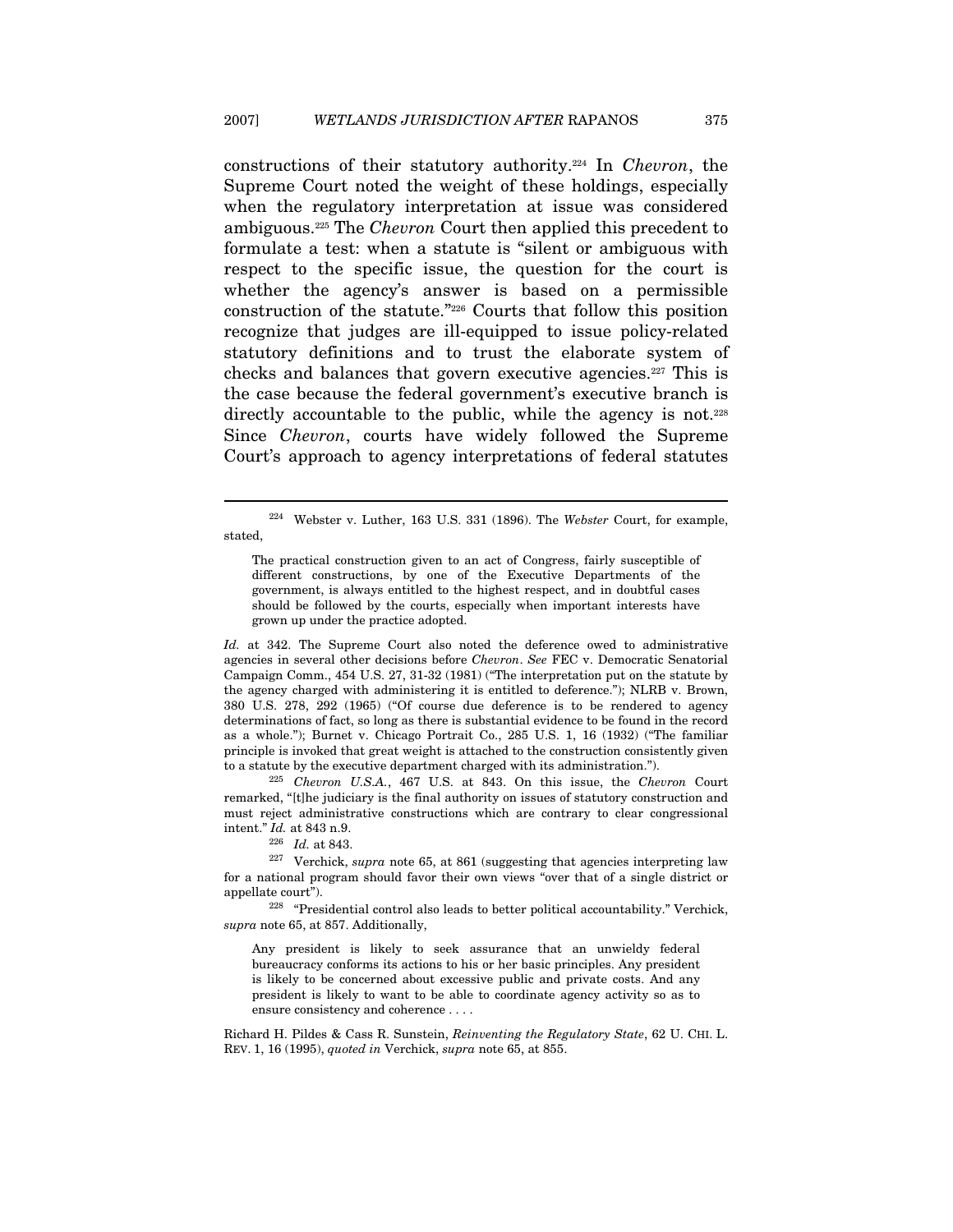constructions of their statutory authority.224 In Chevron, the Supreme Court noted the weight of these holdings, especially when the regulatory interpretation at issue was considered ambiguous.225 The Chevron Court then applied this precedent to formulate a test: when a statute is "silent or ambiguous with respect to the specific issue, the question for the court is whether the agency's answer is based on a permissible construction of the statute."226 Courts that follow this position recognize that judges are ill-equipped to issue policy-related statutory definitions and to trust the elaborate system of checks and balances that govern executive agencies.227 This is the case because the federal government's executive branch is directly accountable to the public, while the agency is not.<sup>228</sup> Since Chevron, courts have widely followed the Supreme Court's approach to agency interpretations of federal statutes

The practical construction given to an act of Congress, fairly susceptible of different constructions, by one of the Executive Departments of the government, is always entitled to the highest respect, and in doubtful cases should be followed by the courts, especially when important interests have grown up under the practice adopted.

Id. at 342. The Supreme Court also noted the deference owed to administrative agencies in several other decisions before Chevron. See FEC v. Democratic Senatorial Campaign Comm., 454 U.S. 27, 31-32 (1981) ("The interpretation put on the statute by the agency charged with administering it is entitled to deference."); NLRB v. Brown, 380 U.S. 278, 292 (1965) ("Of course due deference is to be rendered to agency determinations of fact, so long as there is substantial evidence to be found in the record as a whole."); Burnet v. Chicago Portrait Co., 285 U.S. 1, 16 (1932) ("The familiar principle is invoked that great weight is attached to the construction consistently given

to a statute by the executive department charged with its administration.").<br><sup>225</sup> Chevron U.S.A., 467 U.S. at 843. On this issue, the Chevron Court remarked, "[t]he judiciary is the final authority on issues of statutory construction and must reject administrative constructions which are contrary to clear congressional

 $\overline{a}$ 

intent." Id. at 843 n.9.<br><sup>226</sup> Id. at 843. <sup>227</sup> Verchick, *supra* note 65, at 861 (suggesting that agencies interpreting law for a national program should favor their own views "over that of a single district or appellate court").<br><sup>228</sup> "Presidential control also leads to better political accountability." Verchick,

supra note 65, at 857. Additionally,

Any president is likely to seek assurance that an unwieldy federal bureaucracy conforms its actions to his or her basic principles. Any president is likely to be concerned about excessive public and private costs. And any president is likely to want to be able to coordinate agency activity so as to ensure consistency and coherence . . . .

Richard H. Pildes & Cass R. Sunstein, Reinventing the Regulatory State, 62 U. CHI. L. REV. 1, 16 (1995), quoted in Verchick, supra note 65, at 855.

 $224$  Webster v. Luther, 163 U.S. 331 (1896). The Webster Court, for example, stated,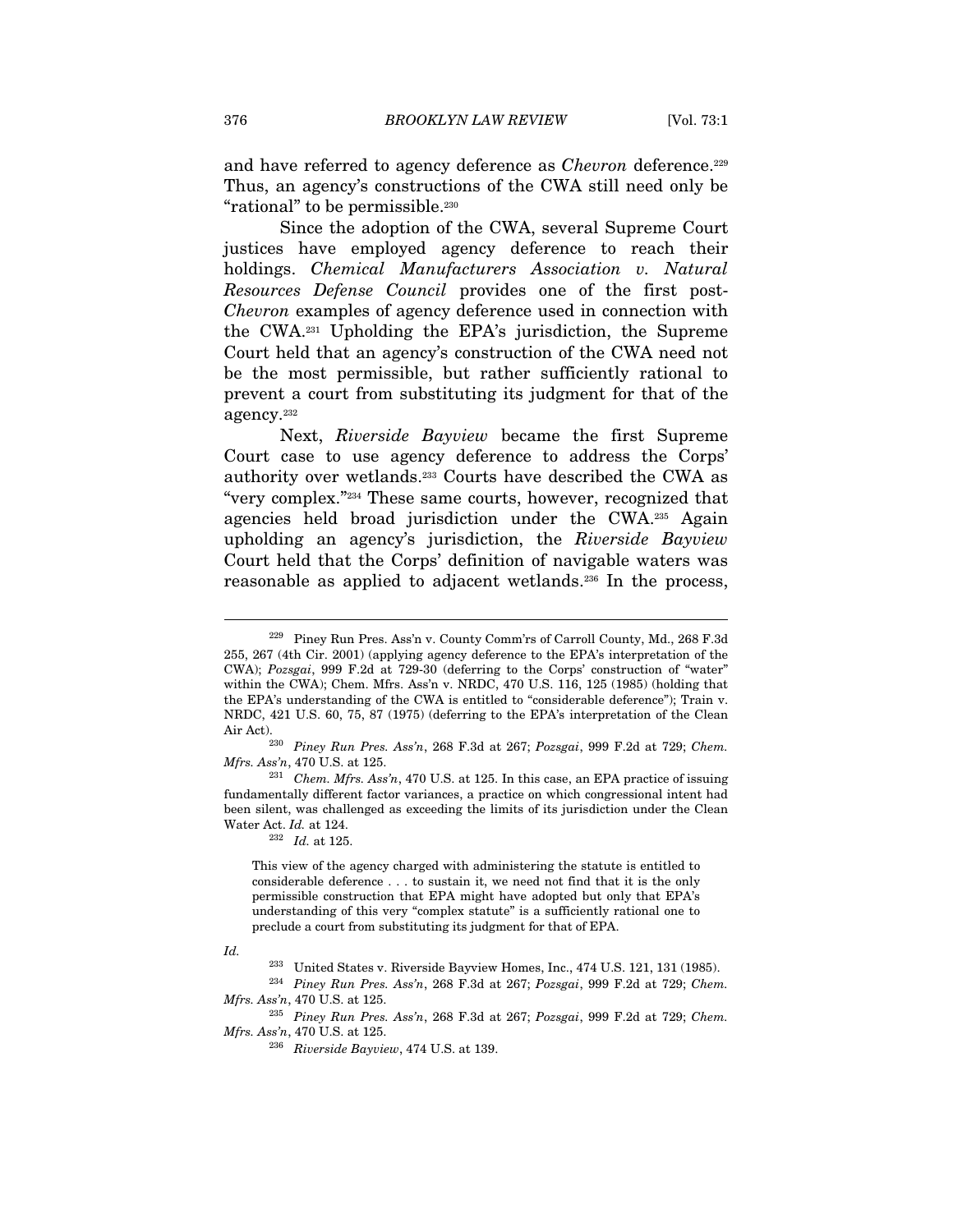and have referred to agency deference as *Chevron* deference.<sup>229</sup> Thus, an agency's constructions of the CWA still need only be "rational" to be permissible.<sup>230</sup>

Since the adoption of the CWA, several Supreme Court justices have employed agency deference to reach their holdings. Chemical Manufacturers Association v. Natural Resources Defense Council provides one of the first post-Chevron examples of agency deference used in connection with the CWA.231 Upholding the EPA's jurisdiction, the Supreme Court held that an agency's construction of the CWA need not be the most permissible, but rather sufficiently rational to prevent a court from substituting its judgment for that of the agency.232

Next, Riverside Bayview became the first Supreme Court case to use agency deference to address the Corps' authority over wetlands.233 Courts have described the CWA as "very complex."234 These same courts, however, recognized that agencies held broad jurisdiction under the CWA.235 Again upholding an agency's jurisdiction, the Riverside Bayview Court held that the Corps' definition of navigable waters was reasonable as applied to adjacent wetlands.236 In the process,

Air Act).<br><sup>230</sup> Piney Run Pres. Ass'n, 268 F.3d at 267; Pozsgai, 999 F.2d at 729; Chem.<br>*Mfrs. Ass'n*, 470 U.S. at 125.

This view of the agency charged with administering the statute is entitled to considerable deference . . . to sustain it, we need not find that it is the only permissible construction that EPA might have adopted but only that EPA's understanding of this very "complex statute" is a sufficiently rational one to preclude a court from substituting its judgment for that of EPA.

 $\overline{a}$ 

*Mfrs. Ass'n*, 470 U.S. at 125.<br><sup>235</sup> Piney Run Pres. Ass'n, 268 F.3d at 267; Pozsgai, 999 F.2d at 729; Chem.<br>*Mfrs. Ass'n*, 470 U.S. at 125.

<sup>229</sup> Piney Run Pres. Ass'n v. County Comm'rs of Carroll County, Md., 268 F.3d 255, 267 (4th Cir. 2001) (applying agency deference to the EPA's interpretation of the CWA); Pozsgai, 999 F.2d at 729-30 (deferring to the Corps' construction of "water" within the CWA); Chem. Mfrs. Ass'n v. NRDC, 470 U.S. 116, 125 (1985) (holding that the EPA's understanding of the CWA is entitled to "considerable deference"); Train v. NRDC, 421 U.S. 60, 75, 87 (1975) (deferring to the EPA's interpretation of the Clean

 $231$  Chem. Mfrs. Ass'n, 470 U.S. at 125. In this case, an EPA practice of issuing fundamentally different factor variances, a practice on which congressional intent had been silent, was challenged as exceeding the limits of its jurisdiction under the Clean Water Act. *Id.* at 124.<br> $\frac{232}{1}$  *Id.* at 125.

Id.

<sup>233</sup> United States v. Riverside Bayview Homes, Inc., 474 U.S. 121, 131 (1985).

<sup>234</sup> Piney Run Pres. Ass'n, 268 F.3d at 267; Pozsgai, 999 F.2d at 729; Chem.

 $^{236}$  Riverside Bayview, 474 U.S. at 139.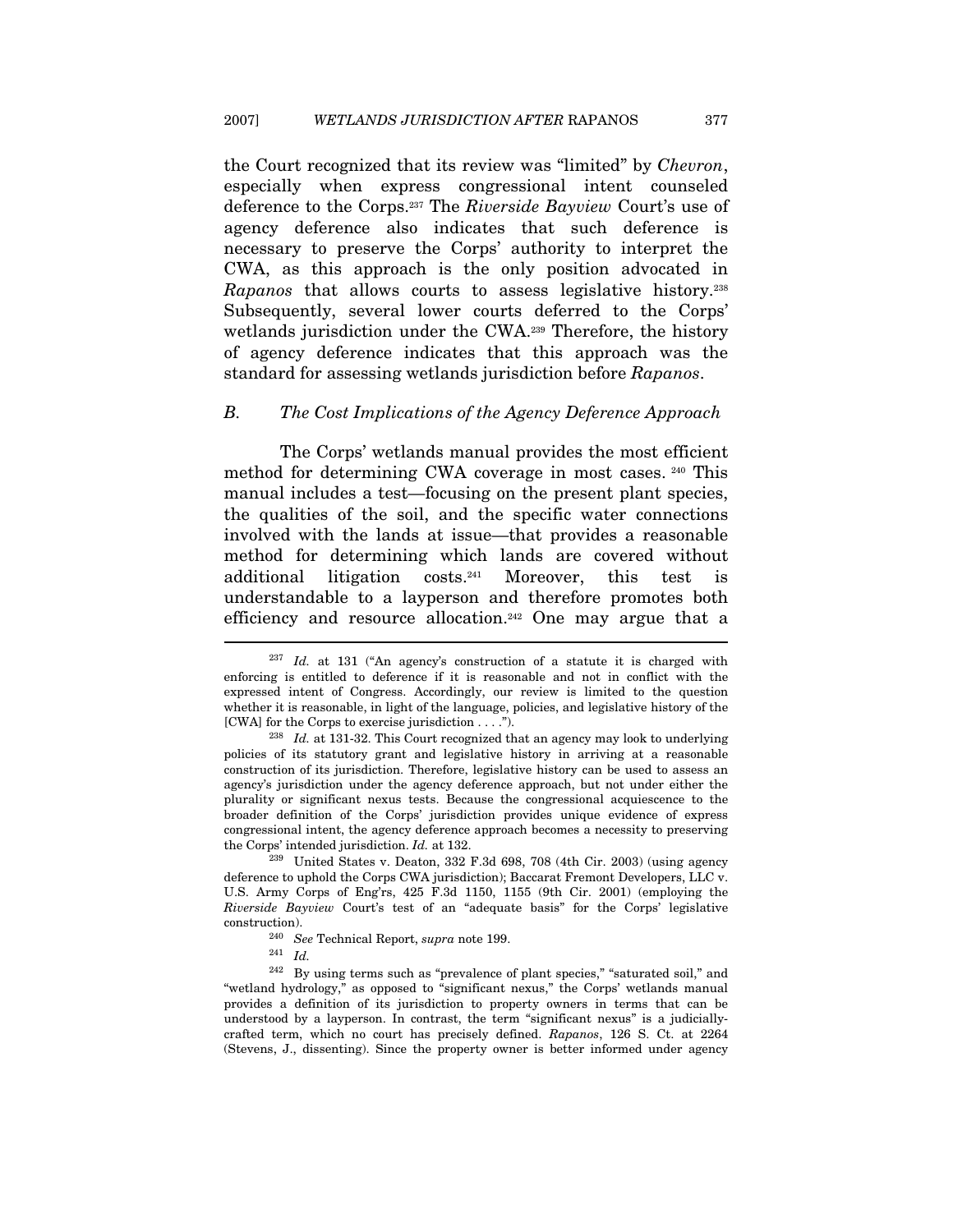the Court recognized that its review was "limited" by Chevron, especially when express congressional intent counseled deference to the Corps.237 The Riverside Bayview Court's use of agency deference also indicates that such deference is necessary to preserve the Corps' authority to interpret the CWA, as this approach is the only position advocated in Rapanos that allows courts to assess legislative history.238 Subsequently, several lower courts deferred to the Corps' wetlands jurisdiction under the CWA.239 Therefore, the history of agency deference indicates that this approach was the standard for assessing wetlands jurisdiction before Rapanos.

### B. The Cost Implications of the Agency Deference Approach

The Corps' wetlands manual provides the most efficient method for determining CWA coverage in most cases. 240 This manual includes a test—focusing on the present plant species, the qualities of the soil, and the specific water connections involved with the lands at issue—that provides a reasonable method for determining which lands are covered without additional litigation costs.241 Moreover, this test is understandable to a layperson and therefore promotes both efficiency and resource allocation.242 One may argue that a

 $237$  Id. at 131 ("An agency's construction of a statute it is charged with enforcing is entitled to deference if it is reasonable and not in conflict with the expressed intent of Congress. Accordingly, our review is limited to the question whether it is reasonable, in light of the language, policies, and legislative history of the [CWA] for the Corps to exercise jurisdiction  $\dots$ .").<br><sup>238</sup> Id. at 131-32. This Court recognized that an agency may look to underlying

policies of its statutory grant and legislative history in arriving at a reasonable construction of its jurisdiction. Therefore, legislative history can be used to assess an agency's jurisdiction under the agency deference approach, but not under either the plurality or significant nexus tests. Because the congressional acquiescence to the broader definition of the Corps' jurisdiction provides unique evidence of express congressional intent, the agency deference approach becomes a necessity to preserving

the Corps' intended jurisdiction. Id. at 132.<br><sup>239</sup> United States v. Deaton, 332 F.3d 698, 708 (4th Cir. 2003) (using agency deference to uphold the Corps CWA jurisdiction); Baccarat Fremont Developers, LLC v. U.S. Army Corps of Eng'rs, 425 F.3d 1150, 1155 (9th Cir. 2001) (employing the Riverside Bayview Court's test of an "adequate basis" for the Corps' legislative % construction). <br>  $\overset{240}{\phantom{}_{36}^{240}}$  See Technical Report,  $supra$  note 199. <br>  $^{241}$   $\phantom{}$   $Id$ 

<sup>&</sup>lt;sup>242</sup> By using terms such as "prevalence of plant species," "saturated soil," and "wetland hydrology," as opposed to "significant nexus," the Corps' wetlands manual provides a definition of its jurisdiction to property owners in terms that can be understood by a layperson. In contrast, the term "significant nexus" is a judiciallycrafted term, which no court has precisely defined. Rapanos, 126 S. Ct. at 2264 (Stevens, J., dissenting). Since the property owner is better informed under agency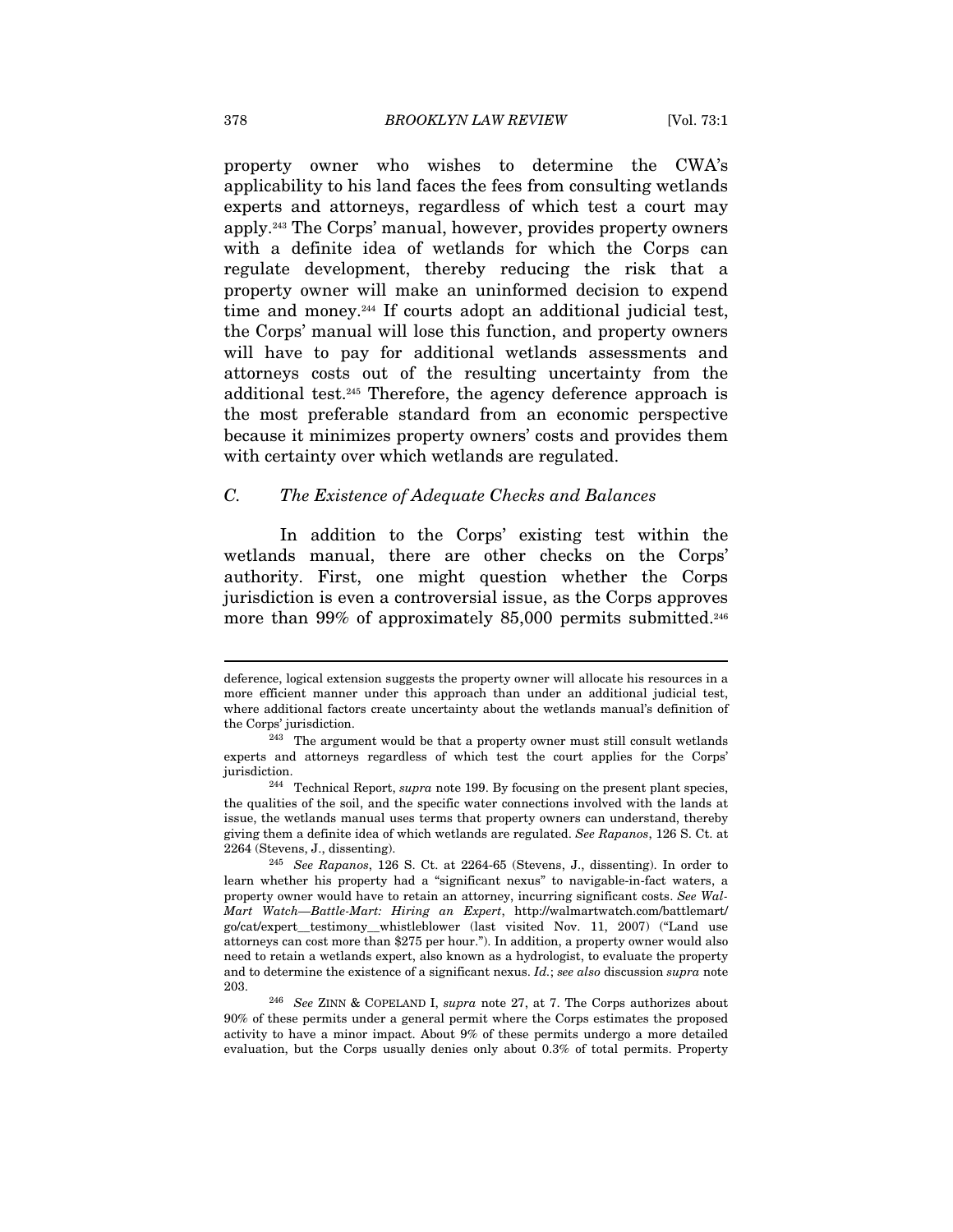property owner who wishes to determine the CWA's applicability to his land faces the fees from consulting wetlands experts and attorneys, regardless of which test a court may apply.243 The Corps' manual, however, provides property owners with a definite idea of wetlands for which the Corps can regulate development, thereby reducing the risk that a property owner will make an uninformed decision to expend time and money.244 If courts adopt an additional judicial test, the Corps' manual will lose this function, and property owners will have to pay for additional wetlands assessments and attorneys costs out of the resulting uncertainty from the additional test.245 Therefore, the agency deference approach is the most preferable standard from an economic perspective because it minimizes property owners' costs and provides them with certainty over which wetlands are regulated.

# C. The Existence of Adequate Checks and Balances

In addition to the Corps' existing test within the wetlands manual, there are other checks on the Corps' authority. First, one might question whether the Corps jurisdiction is even a controversial issue, as the Corps approves more than 99% of approximately 85,000 permits submitted.<sup>246</sup>

deference, logical extension suggests the property owner will allocate his resources in a more efficient manner under this approach than under an additional judicial test, where additional factors create uncertainty about the wetlands manual's definition of

the Corps' jurisdiction.<br><sup>243</sup> The argument would be that a property owner must still consult wetlands experts and attorneys regardless of which test the court applies for the Corps' jurisdiction.<br><sup>244</sup> Technical Report, *supra* note 199. By focusing on the present plant species,

the qualities of the soil, and the specific water connections involved with the lands at issue, the wetlands manual uses terms that property owners can understand, thereby giving them a definite idea of which wetlands are regulated. See Rapanos, 126 S. Ct. at

<sup>2264 (</sup>Stevens, J., dissenting). 245 See Rapanos, 126 S. Ct. at 2264-65 (Stevens, J., dissenting). In order to learn whether his property had a "significant nexus" to navigable-in-fact waters, a property owner would have to retain an attorney, incurring significant costs. See Wal-Mart Watch—Battle-Mart: Hiring an Expert, http://walmartwatch.com/battlemart/ go/cat/expert\_\_testimony\_\_whistleblower (last visited Nov. 11, 2007) ("Land use attorneys can cost more than \$275 per hour."). In addition, a property owner would also need to retain a wetlands expert, also known as a hydrologist, to evaluate the property and to determine the existence of a significant nexus. Id.; see also discussion supra note 203. <sup>246</sup> See ZINN & COPELAND I, supra note 27, at 7. The Corps authorizes about

<sup>90%</sup> of these permits under a general permit where the Corps estimates the proposed activity to have a minor impact. About 9% of these permits undergo a more detailed evaluation, but the Corps usually denies only about 0.3% of total permits. Property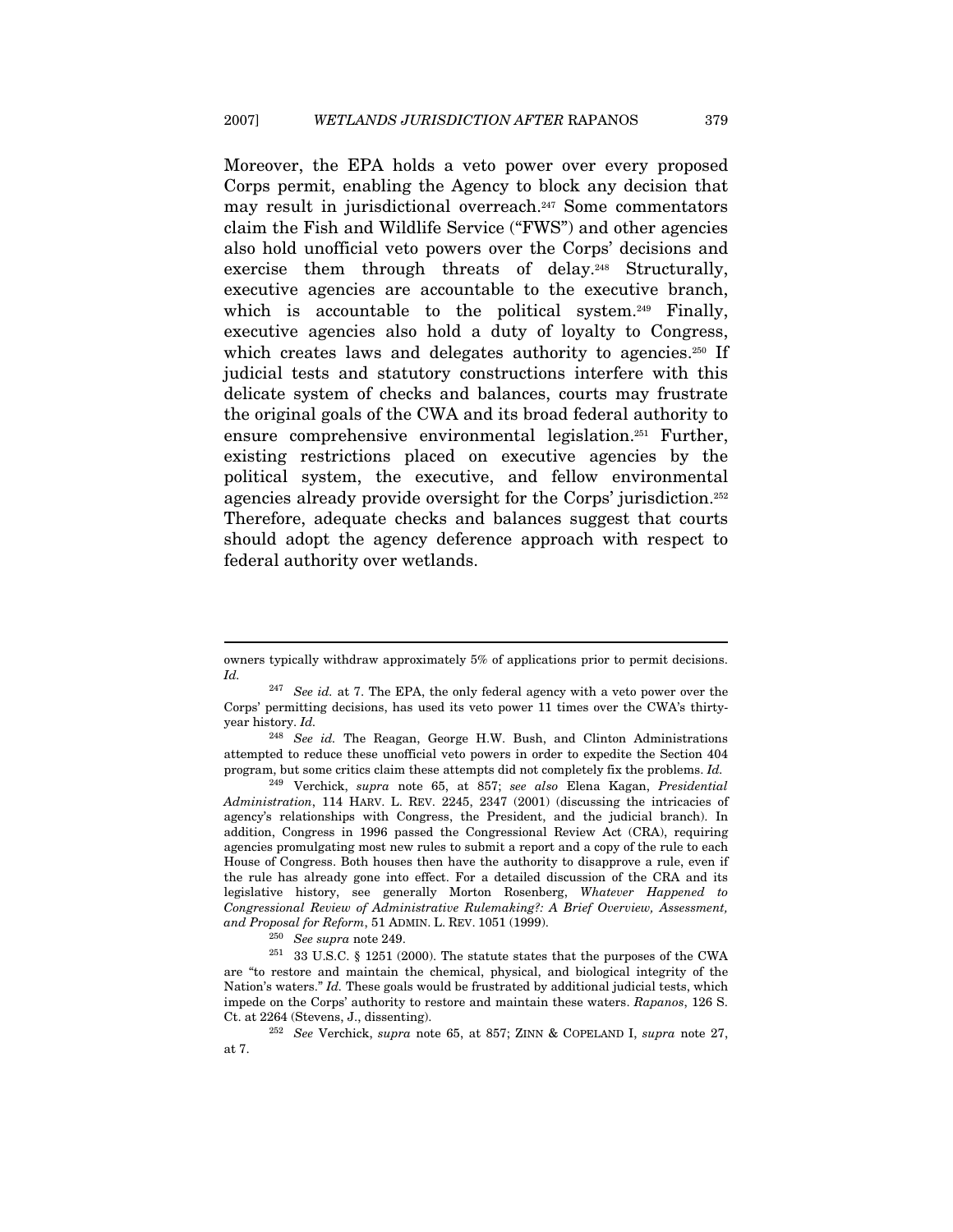Moreover, the EPA holds a veto power over every proposed Corps permit, enabling the Agency to block any decision that may result in jurisdictional overreach.247 Some commentators claim the Fish and Wildlife Service ("FWS") and other agencies also hold unofficial veto powers over the Corps' decisions and exercise them through threats of delay.<sup>248</sup> Structurally, executive agencies are accountable to the executive branch, which is accountable to the political system.<sup>249</sup> Finally, executive agencies also hold a duty of loyalty to Congress, which creates laws and delegates authority to agencies.<sup>250</sup> If judicial tests and statutory constructions interfere with this delicate system of checks and balances, courts may frustrate the original goals of the CWA and its broad federal authority to ensure comprehensive environmental legislation.251 Further, existing restrictions placed on executive agencies by the political system, the executive, and fellow environmental agencies already provide oversight for the Corps' jurisdiction.252 Therefore, adequate checks and balances suggest that courts should adopt the agency deference approach with respect to federal authority over wetlands.

owners typically withdraw approximately 5% of applications prior to permit decisions. Id.

 $247$  See id. at 7. The EPA, the only federal agency with a veto power over the Corps' permitting decisions, has used its veto power 11 times over the CWA's thirtyyear history. Id.

 $248$  See id. The Reagan, George H.W. Bush, and Clinton Administrations attempted to reduce these unofficial veto powers in order to expedite the Section 404 program, but some critics claim these attempts did not completely fix the problems. Id.

<sup>&</sup>lt;sup>249</sup> Verchick, supra note 65, at 857; see also Elena Kagan, Presidential Administration, 114 HARV. L. REV. 2245, 2347 (2001) (discussing the intricacies of agency's relationships with Congress, the President, and the judicial branch). In addition, Congress in 1996 passed the Congressional Review Act (CRA), requiring agencies promulgating most new rules to submit a report and a copy of the rule to each House of Congress. Both houses then have the authority to disapprove a rule, even if the rule has already gone into effect. For a detailed discussion of the CRA and its legislative history, see generally Morton Rosenberg, Whatever Happened to Congressional Review of Administrative Rulemaking?: A Brief Overview, Assessment, and Proposal for Reform, 51 ADMIN. L. REV. 1051 (1999).  $$^{250}$  See supra note 249.  $$^{251}$  33 U.S.C.  $\S$  1251 (2000). The statute states that the purposes of the CWA

are "to restore and maintain the chemical, physical, and biological integrity of the Nation's waters." Id. These goals would be frustrated by additional judicial tests, which impede on the Corps' authority to restore and maintain these waters. Rapanos, 126 S.

Ct. at 2264 (Stevens, J., dissenting). 252 See Verchick, supra note 65, at 857; ZINN & COPELAND I, supra note 27, at 7.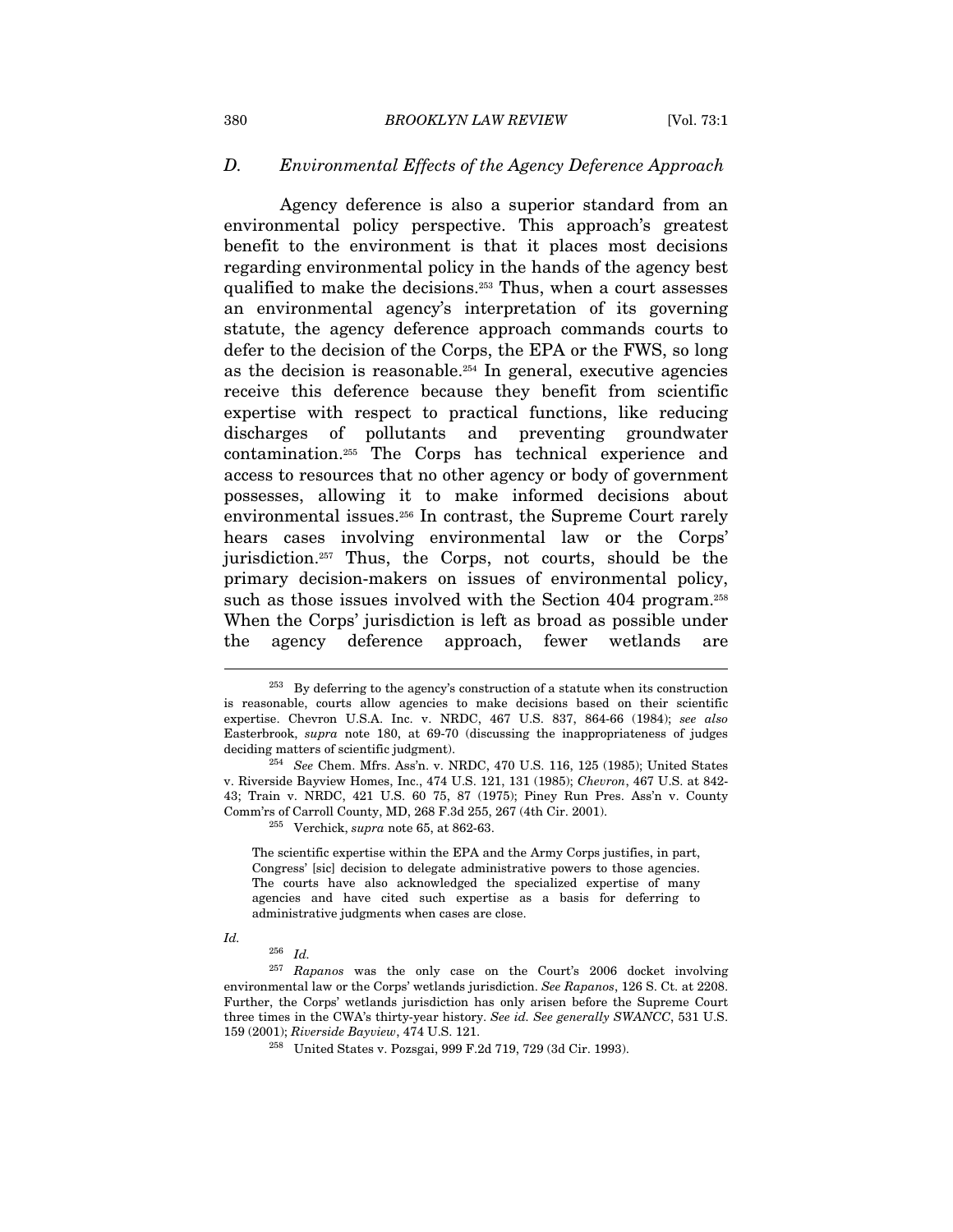#### D. Environmental Effects of the Agency Deference Approach

Agency deference is also a superior standard from an environmental policy perspective. This approach's greatest benefit to the environment is that it places most decisions regarding environmental policy in the hands of the agency best qualified to make the decisions.253 Thus, when a court assesses an environmental agency's interpretation of its governing statute, the agency deference approach commands courts to defer to the decision of the Corps, the EPA or the FWS, so long as the decision is reasonable.254 In general, executive agencies receive this deference because they benefit from scientific expertise with respect to practical functions, like reducing discharges of pollutants and preventing groundwater contamination.255 The Corps has technical experience and access to resources that no other agency or body of government possesses, allowing it to make informed decisions about environmental issues.256 In contrast, the Supreme Court rarely hears cases involving environmental law or the Corps' jurisdiction.257 Thus, the Corps, not courts, should be the primary decision-makers on issues of environmental policy, such as those issues involved with the Section 404 program.<sup>258</sup> When the Corps' jurisdiction is left as broad as possible under the agency deference approach, fewer wetlands are

The scientific expertise within the EPA and the Army Corps justifies, in part, Congress' [sic] decision to delegate administrative powers to those agencies. The courts have also acknowledged the specialized expertise of many agencies and have cited such expertise as a basis for deferring to administrative judgments when cases are close.

Id.

 $^{253}$  By deferring to the agency's construction of a statute when its construction is reasonable, courts allow agencies to make decisions based on their scientific expertise. Chevron U.S.A. Inc. v. NRDC, 467 U.S. 837, 864-66 (1984); see also Easterbrook, supra note 180, at 69-70 (discussing the inappropriateness of judges deciding matters of scientific judgment).<br><sup>254</sup> See Chem. Mfrs. Ass'n. v. NRDC, 470 U.S. 116, 125 (1985); United States

v. Riverside Bayview Homes, Inc., 474 U.S. 121, 131 (1985); Chevron, 467 U.S. at 842- 43; Train v. NRDC, 421 U.S. 60 75, 87 (1975); Piney Run Pres. Ass'n v. County Comm'rs of Carroll County, MD, 268 F.3d 255, 267 (4th Cir. 2001).<br><sup>255</sup> Verchick, *supra* note 65, at 862-63.

 $^{256}\,$   $Id.$ 

<sup>257</sup> Rapanos was the only case on the Court's 2006 docket involving environmental law or the Corps' wetlands jurisdiction. See Rapanos, 126 S. Ct. at 2208. Further, the Corps' wetlands jurisdiction has only arisen before the Supreme Court three times in the CWA's thirty-year history. See id. See generally SWANCC, 531 U.S. 159 (2001); Riverside Bayview, 474 U.S. 121. 258 United States v. Pozsgai, 999 F.2d 719, 729 (3d Cir. 1993).